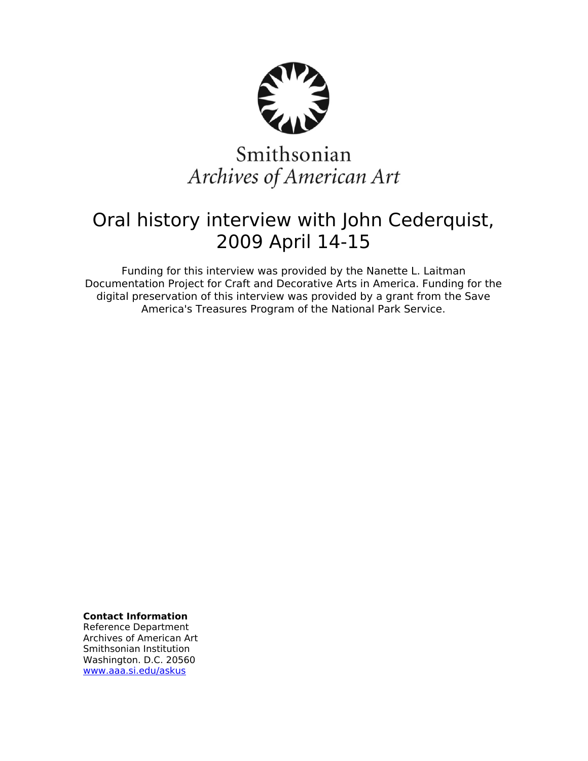

# Smithsonian Archives of American Art

## Oral history interview with John Cederquist, 2009 April 14-15

Funding for this interview was provided by the Nanette L. Laitman Documentation Project for Craft and Decorative Arts in America. Funding for the digital preservation of this interview was provided by a grant from the Save America's Treasures Program of the National Park Service.

**Contact Information**

Reference Department Archives of American Art Smithsonian Institution Washington. D.C. 20560 [www.aaa.si.edu/askus](http://www.aaa.si.edu/askus)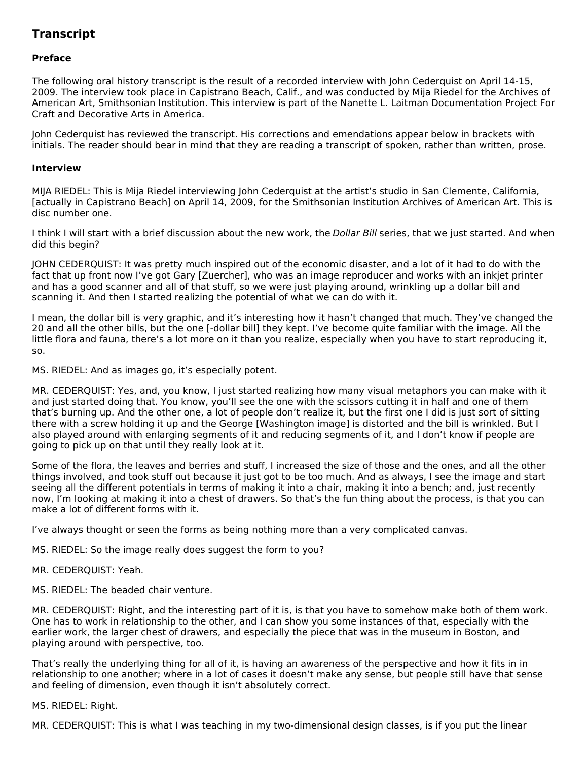### **Transcript**

#### **Preface**

The following oral history transcript is the result of a recorded interview with John Cederquist on April 14-15, 2009. The interview took place in Capistrano Beach, Calif., and was conducted by Mija Riedel for the Archives of American Art, Smithsonian Institution. This interview is part of the Nanette L. Laitman Documentation Project For Craft and Decorative Arts in America.

John Cederquist has reviewed the transcript. His corrections and emendations appear below in brackets with initials. The reader should bear in mind that they are reading a transcript of spoken, rather than written, prose.

#### **Interview**

MIJA RIEDEL: This is Mija Riedel interviewing John Cederquist at the artist's studio in San Clemente, California, [actually in Capistrano Beach] on April 14, 2009, for the Smithsonian Institution Archives of American Art. This is disc number one.

I think I will start with a brief discussion about the new work, the Dollar Bill series, that we just started. And when did this begin?

JOHN CEDERQUIST: It was pretty much inspired out of the economic disaster, and a lot of it had to do with the fact that up front now I've got Gary [Zuercher], who was an image reproducer and works with an inkjet printer and has a good scanner and all of that stuff, so we were just playing around, wrinkling up a dollar bill and scanning it. And then I started realizing the potential of what we can do with it.

I mean, the dollar bill is very graphic, and it's interesting how it hasn't changed that much. They've changed the 20 and all the other bills, but the one [-dollar bill] they kept. I've become quite familiar with the image. All the little flora and fauna, there's a lot more on it than you realize, especially when you have to start reproducing it, so.

MS. RIEDEL: And as images go, it's especially potent.

MR. CEDERQUIST: Yes, and, you know, I just started realizing how many visual metaphors you can make with it and just started doing that. You know, you'll see the one with the scissors cutting it in half and one of them that's burning up. And the other one, a lot of people don't realize it, but the first one I did is just sort of sitting there with a screw holding it up and the George [Washington image] is distorted and the bill is wrinkled. But I also played around with enlarging segments of it and reducing segments of it, and I don't know if people are going to pick up on that until they really look at it.

Some of the flora, the leaves and berries and stuff, I increased the size of those and the ones, and all the other things involved, and took stuff out because it just got to be too much. And as always, I see the image and start seeing all the different potentials in terms of making it into a chair, making it into a bench; and, just recently now, I'm looking at making it into a chest of drawers. So that's the fun thing about the process, is that you can make a lot of different forms with it.

I've always thought or seen the forms as being nothing more than a very complicated canvas.

MS. RIEDEL: So the image really does suggest the form to you?

- MR. CEDERQUIST: Yeah.
- MS. RIEDEL: The beaded chair venture.

MR. CEDERQUIST: Right, and the interesting part of it is, is that you have to somehow make both of them work. One has to work in relationship to the other, and I can show you some instances of that, especially with the earlier work, the larger chest of drawers, and especially the piece that was in the museum in Boston, and playing around with perspective, too.

That's really the underlying thing for all of it, is having an awareness of the perspective and how it fits in in relationship to one another; where in a lot of cases it doesn't make any sense, but people still have that sense and feeling of dimension, even though it isn't absolutely correct.

#### MS. RIEDEL: Right.

MR. CEDERQUIST: This is what I was teaching in my two-dimensional design classes, is if you put the linear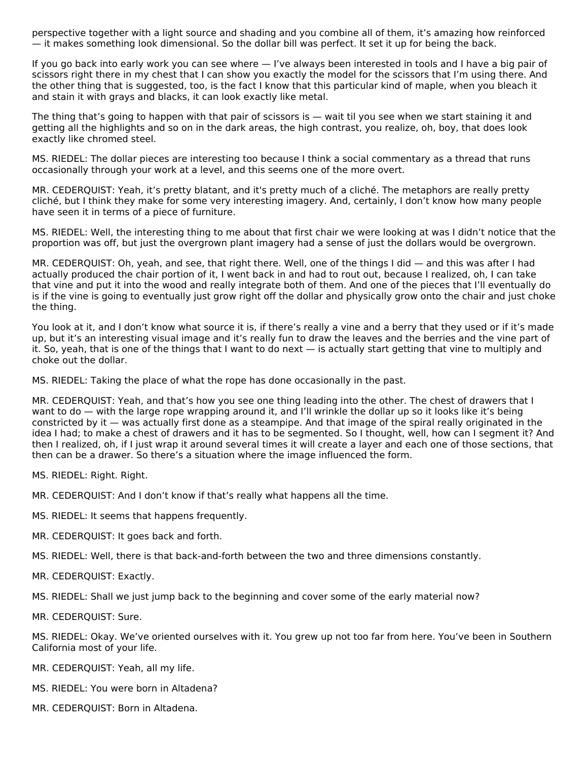perspective together with a light source and shading and you combine all of them, it's amazing how reinforced — it makes something look dimensional. So the dollar bill was perfect. It set it up for being the back.

If you go back into early work you can see where — I've always been interested in tools and I have a big pair of scissors right there in my chest that I can show you exactly the model for the scissors that I'm using there. And the other thing that is suggested, too, is the fact I know that this particular kind of maple, when you bleach it and stain it with grays and blacks, it can look exactly like metal.

The thing that's going to happen with that pair of scissors is — wait til you see when we start staining it and getting all the highlights and so on in the dark areas, the high contrast, you realize, oh, boy, that does look exactly like chromed steel.

MS. RIEDEL: The dollar pieces are interesting too because I think a social commentary as a thread that runs occasionally through your work at a level, and this seems one of the more overt.

MR. CEDERQUIST: Yeah, it's pretty blatant, and it's pretty much of a cliché. The metaphors are really pretty cliché, but I think they make for some very interesting imagery. And, certainly, I don't know how many people have seen it in terms of a piece of furniture.

MS. RIEDEL: Well, the interesting thing to me about that first chair we were looking at was I didn't notice that the proportion was off, but just the overgrown plant imagery had a sense of just the dollars would be overgrown.

MR. CEDERQUIST: Oh, yeah, and see, that right there. Well, one of the things I did — and this was after I had actually produced the chair portion of it, I went back in and had to rout out, because I realized, oh, I can take that vine and put it into the wood and really integrate both of them. And one of the pieces that I'll eventually do is if the vine is going to eventually just grow right off the dollar and physically grow onto the chair and just choke the thing.

You look at it, and I don't know what source it is, if there's really a vine and a berry that they used or if it's made up, but it's an interesting visual image and it's really fun to draw the leaves and the berries and the vine part of it. So, yeah, that is one of the things that I want to do next — is actually start getting that vine to multiply and choke out the dollar.

MS. RIEDEL: Taking the place of what the rope has done occasionally in the past.

MR. CEDERQUIST: Yeah, and that's how you see one thing leading into the other. The chest of drawers that I want to do — with the large rope wrapping around it, and I'll wrinkle the dollar up so it looks like it's being constricted by it — was actually first done as a steampipe. And that image of the spiral really originated in the idea I had; to make a chest of drawers and it has to be segmented. So I thought, well, how can I segment it? And then I realized, oh, if I just wrap it around several times it will create a layer and each one of those sections, that then can be a drawer. So there's a situation where the image influenced the form.

MS. RIEDEL: Right. Right.

MR. CEDERQUIST: And I don't know if that's really what happens all the time.

MS. RIEDEL: It seems that happens frequently.

MR. CEDERQUIST: It goes back and forth.

MS. RIEDEL: Well, there is that back-and-forth between the two and three dimensions constantly.

MR. CEDERQUIST: Exactly.

MS. RIEDEL: Shall we just jump back to the beginning and cover some of the early material now?

MR. CEDERQUIST: Sure.

MS. RIEDEL: Okay. We've oriented ourselves with it. You grew up not too far from here. You've been in Southern California most of your life.

- MR. CEDERQUIST: Yeah, all my life.
- MS. RIEDEL: You were born in Altadena?
- MR. CEDERQUIST: Born in Altadena.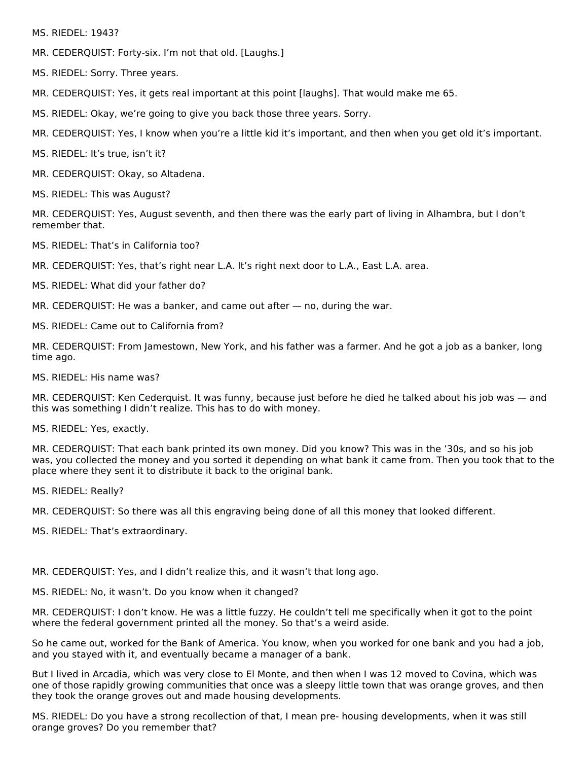MS. RIEDEL: 1943?

MR. CEDERQUIST: Forty-six. I'm not that old. [Laughs.]

MS. RIEDEL: Sorry. Three years.

MR. CEDERQUIST: Yes, it gets real important at this point [laughs]. That would make me 65.

MS. RIEDEL: Okay, we're going to give you back those three years. Sorry.

MR. CEDERQUIST: Yes, I know when you're a little kid it's important, and then when you get old it's important.

MS. RIEDEL: It's true, isn't it?

MR. CEDERQUIST: Okay, so Altadena.

MS. RIEDEL: This was August?

MR. CEDERQUIST: Yes, August seventh, and then there was the early part of living in Alhambra, but I don't remember that.

MS. RIEDEL: That's in California too?

MR. CEDERQUIST: Yes, that's right near L.A. It's right next door to L.A., East L.A. area.

MS. RIEDEL: What did your father do?

MR. CEDERQUIST: He was a banker, and came out after — no, during the war.

MS. RIEDEL: Came out to California from?

MR. CEDERQUIST: From Jamestown, New York, and his father was a farmer. And he got a job as a banker, long time ago.

MS. RIEDEL: His name was?

MR. CEDERQUIST: Ken Cederquist. It was funny, because just before he died he talked about his job was — and this was something I didn't realize. This has to do with money.

MS. RIEDEL: Yes, exactly.

MR. CEDERQUIST: That each bank printed its own money. Did you know? This was in the '30s, and so his job was, you collected the money and you sorted it depending on what bank it came from. Then you took that to the place where they sent it to distribute it back to the original bank.

MS. RIEDEL: Really?

MR. CEDERQUIST: So there was all this engraving being done of all this money that looked different.

MS. RIEDEL: That's extraordinary.

MR. CEDERQUIST: Yes, and I didn't realize this, and it wasn't that long ago.

MS. RIEDEL: No, it wasn't. Do you know when it changed?

MR. CEDERQUIST: I don't know. He was a little fuzzy. He couldn't tell me specifically when it got to the point where the federal government printed all the money. So that's a weird aside.

So he came out, worked for the Bank of America. You know, when you worked for one bank and you had a job, and you stayed with it, and eventually became a manager of a bank.

But I lived in Arcadia, which was very close to El Monte, and then when I was 12 moved to Covina, which was one of those rapidly growing communities that once was a sleepy little town that was orange groves, and then they took the orange groves out and made housing developments.

MS. RIEDEL: Do you have a strong recollection of that, I mean pre- housing developments, when it was still orange groves? Do you remember that?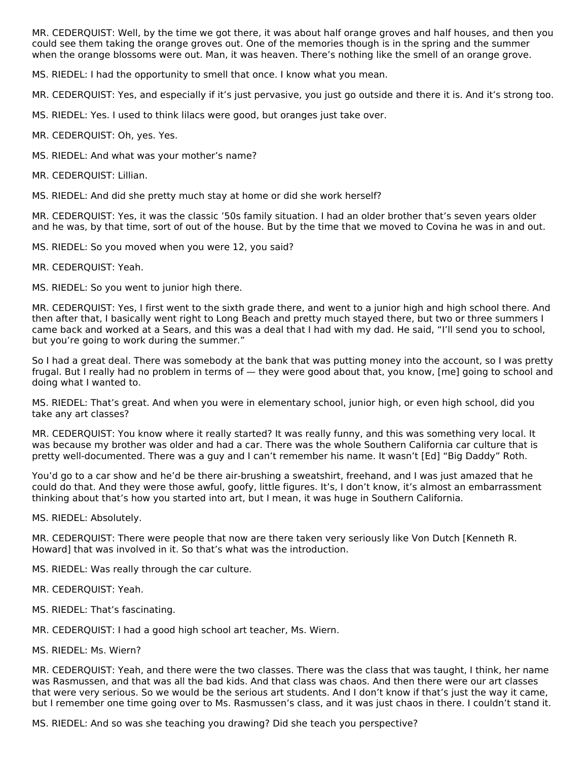MR. CEDERQUIST: Well, by the time we got there, it was about half orange groves and half houses, and then you could see them taking the orange groves out. One of the memories though is in the spring and the summer when the orange blossoms were out. Man, it was heaven. There's nothing like the smell of an orange grove.

MS. RIEDEL: I had the opportunity to smell that once. I know what you mean.

MR. CEDERQUIST: Yes, and especially if it's just pervasive, you just go outside and there it is. And it's strong too.

MS. RIEDEL: Yes. I used to think lilacs were good, but oranges just take over.

MR. CEDERQUIST: Oh, yes. Yes.

MS. RIEDEL: And what was your mother's name?

MR. CEDERQUIST: Lillian.

MS. RIEDEL: And did she pretty much stay at home or did she work herself?

MR. CEDERQUIST: Yes, it was the classic '50s family situation. I had an older brother that's seven years older and he was, by that time, sort of out of the house. But by the time that we moved to Covina he was in and out.

MS. RIEDEL: So you moved when you were 12, you said?

MR. CEDERQUIST: Yeah.

MS. RIEDEL: So you went to junior high there.

MR. CEDERQUIST: Yes, I first went to the sixth grade there, and went to a junior high and high school there. And then after that, I basically went right to Long Beach and pretty much stayed there, but two or three summers I came back and worked at a Sears, and this was a deal that I had with my dad. He said, "I'll send you to school, but you're going to work during the summer."

So I had a great deal. There was somebody at the bank that was putting money into the account, so I was pretty frugal. But I really had no problem in terms of — they were good about that, you know, [me] going to school and doing what I wanted to.

MS. RIEDEL: That's great. And when you were in elementary school, junior high, or even high school, did you take any art classes?

MR. CEDERQUIST: You know where it really started? It was really funny, and this was something very local. It was because my brother was older and had a car. There was the whole Southern California car culture that is pretty well-documented. There was a guy and I can't remember his name. It wasn't [Ed] "Big Daddy" Roth.

You'd go to a car show and he'd be there air-brushing a sweatshirt, freehand, and I was just amazed that he could do that. And they were those awful, goofy, little figures. It's, I don't know, it's almost an embarrassment thinking about that's how you started into art, but I mean, it was huge in Southern California.

MS. RIEDEL: Absolutely.

MR. CEDERQUIST: There were people that now are there taken very seriously like Von Dutch [Kenneth R. Howard] that was involved in it. So that's what was the introduction.

MS. RIEDEL: Was really through the car culture.

MR. CEDERQUIST: Yeah.

MS. RIEDEL: That's fascinating.

MR. CEDERQUIST: I had a good high school art teacher, Ms. Wiern.

MS. RIEDEL: Ms. Wiern?

MR. CEDERQUIST: Yeah, and there were the two classes. There was the class that was taught, I think, her name was Rasmussen, and that was all the bad kids. And that class was chaos. And then there were our art classes that were very serious. So we would be the serious art students. And I don't know if that's just the way it came, but I remember one time going over to Ms. Rasmussen's class, and it was just chaos in there. I couldn't stand it.

MS. RIEDEL: And so was she teaching you drawing? Did she teach you perspective?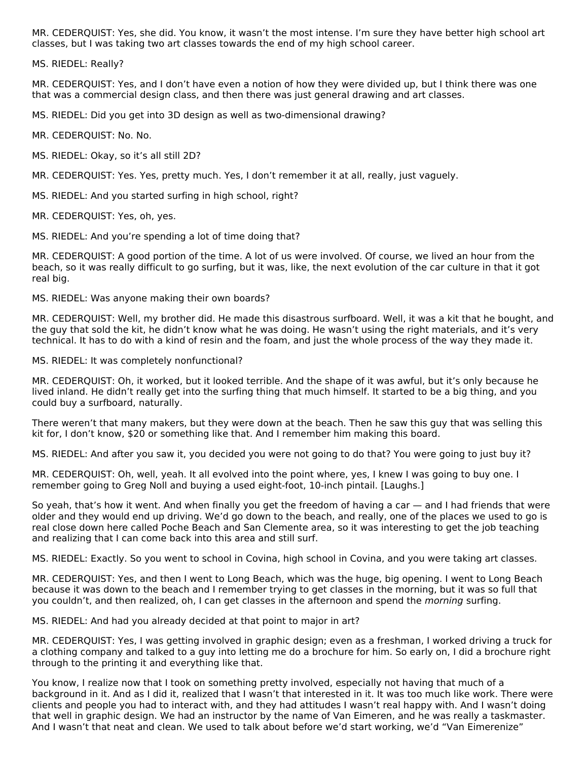MR. CEDERQUIST: Yes, she did. You know, it wasn't the most intense. I'm sure they have better high school art classes, but I was taking two art classes towards the end of my high school career.

MS. RIEDEL: Really?

MR. CEDERQUIST: Yes, and I don't have even a notion of how they were divided up, but I think there was one that was a commercial design class, and then there was just general drawing and art classes.

MS. RIEDEL: Did you get into 3D design as well as two-dimensional drawing?

MR. CEDERQUIST: No. No.

MS. RIEDEL: Okay, so it's all still 2D?

MR. CEDERQUIST: Yes. Yes, pretty much. Yes, I don't remember it at all, really, just vaguely.

MS. RIEDEL: And you started surfing in high school, right?

MR. CEDERQUIST: Yes, oh, yes.

MS. RIEDEL: And you're spending a lot of time doing that?

MR. CEDERQUIST: A good portion of the time. A lot of us were involved. Of course, we lived an hour from the beach, so it was really difficult to go surfing, but it was, like, the next evolution of the car culture in that it got real big.

MS. RIEDEL: Was anyone making their own boards?

MR. CEDERQUIST: Well, my brother did. He made this disastrous surfboard. Well, it was a kit that he bought, and the guy that sold the kit, he didn't know what he was doing. He wasn't using the right materials, and it's very technical. It has to do with a kind of resin and the foam, and just the whole process of the way they made it.

MS. RIEDEL: It was completely nonfunctional?

MR. CEDERQUIST: Oh, it worked, but it looked terrible. And the shape of it was awful, but it's only because he lived inland. He didn't really get into the surfing thing that much himself. It started to be a big thing, and you could buy a surfboard, naturally.

There weren't that many makers, but they were down at the beach. Then he saw this guy that was selling this kit for, I don't know, \$20 or something like that. And I remember him making this board.

MS. RIEDEL: And after you saw it, you decided you were not going to do that? You were going to just buy it?

MR. CEDERQUIST: Oh, well, yeah. It all evolved into the point where, yes, I knew I was going to buy one. I remember going to Greg Noll and buying a used eight-foot, 10-inch pintail. [Laughs.]

So yeah, that's how it went. And when finally you get the freedom of having a car — and I had friends that were older and they would end up driving. We'd go down to the beach, and really, one of the places we used to go is real close down here called Poche Beach and San Clemente area, so it was interesting to get the job teaching and realizing that I can come back into this area and still surf.

MS. RIEDEL: Exactly. So you went to school in Covina, high school in Covina, and you were taking art classes.

MR. CEDERQUIST: Yes, and then I went to Long Beach, which was the huge, big opening. I went to Long Beach because it was down to the beach and I remember trying to get classes in the morning, but it was so full that you couldn't, and then realized, oh, I can get classes in the afternoon and spend the *morning* surfing.

MS. RIEDEL: And had you already decided at that point to major in art?

MR. CEDERQUIST: Yes, I was getting involved in graphic design; even as a freshman, I worked driving a truck for a clothing company and talked to a guy into letting me do a brochure for him. So early on, I did a brochure right through to the printing it and everything like that.

You know, I realize now that I took on something pretty involved, especially not having that much of a background in it. And as I did it, realized that I wasn't that interested in it. It was too much like work. There were clients and people you had to interact with, and they had attitudes I wasn't real happy with. And I wasn't doing that well in graphic design. We had an instructor by the name of Van Eimeren, and he was really a taskmaster. And I wasn't that neat and clean. We used to talk about before we'd start working, we'd "Van Eimerenize"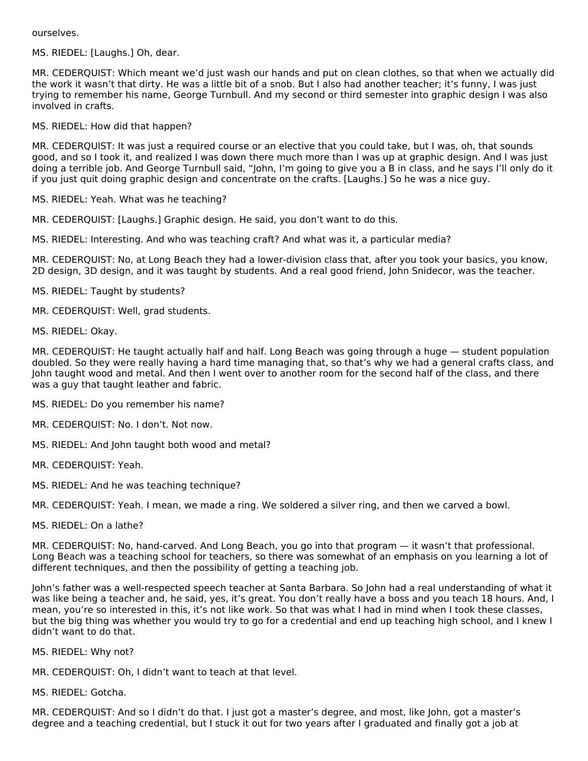ourselves.

MS. RIEDEL: [Laughs.] Oh, dear.

MR. CEDERQUIST: Which meant we'd just wash our hands and put on clean clothes, so that when we actually did the work it wasn't that dirty. He was a little bit of a snob. But I also had another teacher; it's funny, I was just trying to remember his name, George Turnbull. And my second or third semester into graphic design I was also involved in crafts.

MS. RIEDEL: How did that happen?

MR. CEDERQUIST: It was just a required course or an elective that you could take, but I was, oh, that sounds good, and so I took it, and realized I was down there much more than I was up at graphic design. And I was just doing a terrible job. And George Turnbull said, "John, I'm going to give you a B in class, and he says I'll only do it if you just quit doing graphic design and concentrate on the crafts. [Laughs.] So he was a nice guy.

MS. RIEDEL: Yeah. What was he teaching?

MR. CEDERQUIST: [Laughs.] Graphic design. He said, you don't want to do this.

MS. RIEDEL: Interesting. And who was teaching craft? And what was it, a particular media?

MR. CEDERQUIST: No, at Long Beach they had a lower-division class that, after you took your basics, you know, 2D design, 3D design, and it was taught by students. And a real good friend, John Snidecor, was the teacher.

MS. RIEDEL: Taught by students?

MR. CEDERQUIST: Well, grad students.

MS. RIEDEL: Okay.

MR. CEDERQUIST: He taught actually half and half. Long Beach was going through a huge — student population doubled. So they were really having a hard time managing that, so that's why we had a general crafts class, and John taught wood and metal. And then I went over to another room for the second half of the class, and there was a guy that taught leather and fabric.

MS. RIEDEL: Do you remember his name?

- MR. CEDERQUIST: No. I don't. Not now.
- MS. RIEDEL: And John taught both wood and metal?
- MR. CEDERQUIST: Yeah.
- MS. RIEDEL: And he was teaching technique?

MR. CEDERQUIST: Yeah. I mean, we made a ring. We soldered a silver ring, and then we carved a bowl.

MS. RIEDEL: On a lathe?

MR. CEDERQUIST: No, hand-carved. And Long Beach, you go into that program — it wasn't that professional. Long Beach was a teaching school for teachers, so there was somewhat of an emphasis on you learning a lot of different techniques, and then the possibility of getting a teaching job.

John's father was a well-respected speech teacher at Santa Barbara. So John had a real understanding of what it was like being a teacher and, he said, yes, it's great. You don't really have a boss and you teach 18 hours. And, I mean, you're so interested in this, it's not like work. So that was what I had in mind when I took these classes, but the big thing was whether you would try to go for a credential and end up teaching high school, and I knew I didn't want to do that.

MS. RIEDEL: Why not?

MR. CEDERQUIST: Oh, I didn't want to teach at that level.

MS. RIEDEL: Gotcha.

MR. CEDERQUIST: And so I didn't do that. I just got a master's degree, and most, like John, got a master's degree and a teaching credential, but I stuck it out for two years after I graduated and finally got a job at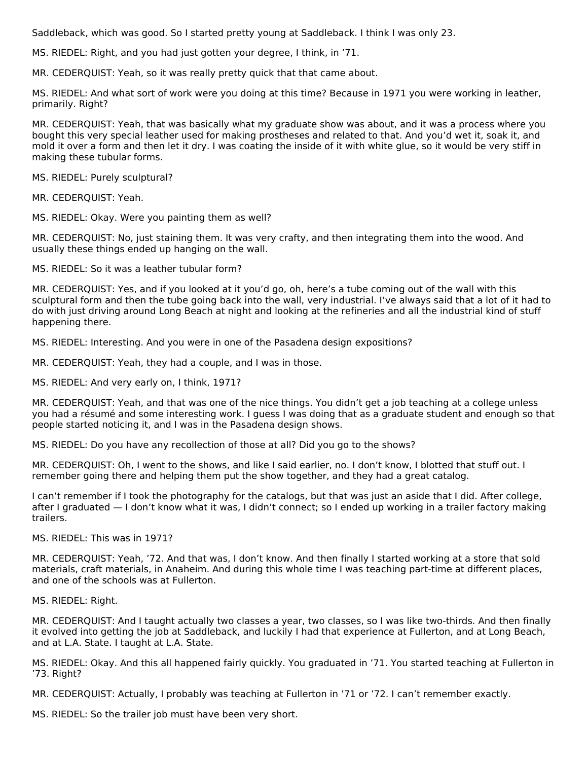Saddleback, which was good. So I started pretty young at Saddleback. I think I was only 23.

MS. RIEDEL: Right, and you had just gotten your degree, I think, in '71.

MR. CEDERQUIST: Yeah, so it was really pretty quick that that came about.

MS. RIEDEL: And what sort of work were you doing at this time? Because in 1971 you were working in leather, primarily. Right?

MR. CEDERQUIST: Yeah, that was basically what my graduate show was about, and it was a process where you bought this very special leather used for making prostheses and related to that. And you'd wet it, soak it, and mold it over a form and then let it dry. I was coating the inside of it with white glue, so it would be very stiff in making these tubular forms.

MS. RIEDEL: Purely sculptural?

MR. CEDERQUIST: Yeah.

MS. RIEDEL: Okay. Were you painting them as well?

MR. CEDERQUIST: No, just staining them. It was very crafty, and then integrating them into the wood. And usually these things ended up hanging on the wall.

MS. RIEDEL: So it was a leather tubular form?

MR. CEDERQUIST: Yes, and if you looked at it you'd go, oh, here's a tube coming out of the wall with this sculptural form and then the tube going back into the wall, very industrial. I've always said that a lot of it had to do with just driving around Long Beach at night and looking at the refineries and all the industrial kind of stuff happening there.

MS. RIEDEL: Interesting. And you were in one of the Pasadena design expositions?

MR. CEDERQUIST: Yeah, they had a couple, and I was in those.

MS. RIEDEL: And very early on, I think, 1971?

MR. CEDERQUIST: Yeah, and that was one of the nice things. You didn't get a job teaching at a college unless you had a résumé and some interesting work. I guess I was doing that as a graduate student and enough so that people started noticing it, and I was in the Pasadena design shows.

MS. RIEDEL: Do you have any recollection of those at all? Did you go to the shows?

MR. CEDERQUIST: Oh, I went to the shows, and like I said earlier, no. I don't know, I blotted that stuff out. I remember going there and helping them put the show together, and they had a great catalog.

I can't remember if I took the photography for the catalogs, but that was just an aside that I did. After college, after I graduated — I don't know what it was, I didn't connect; so I ended up working in a trailer factory making trailers.

MS. RIEDEL: This was in 1971?

MR. CEDERQUIST: Yeah, '72. And that was, I don't know. And then finally I started working at a store that sold materials, craft materials, in Anaheim. And during this whole time I was teaching part-time at different places, and one of the schools was at Fullerton.

MS. RIEDEL: Right.

MR. CEDERQUIST: And I taught actually two classes a year, two classes, so I was like two-thirds. And then finally it evolved into getting the job at Saddleback, and luckily I had that experience at Fullerton, and at Long Beach, and at L.A. State. I taught at L.A. State.

MS. RIEDEL: Okay. And this all happened fairly quickly. You graduated in '71. You started teaching at Fullerton in '73. Right?

MR. CEDERQUIST: Actually, I probably was teaching at Fullerton in '71 or '72. I can't remember exactly.

MS. RIEDEL: So the trailer job must have been very short.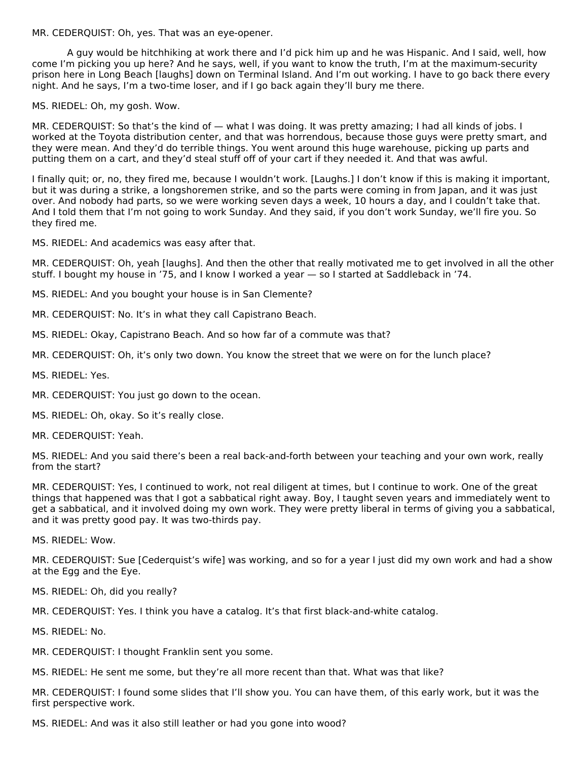MR. CEDERQUIST: Oh, yes. That was an eye-opener.

A guy would be hitchhiking at work there and I'd pick him up and he was Hispanic. And I said, well, how come I'm picking you up here? And he says, well, if you want to know the truth, I'm at the maximum-security prison here in Long Beach [laughs] down on Terminal Island. And I'm out working. I have to go back there every night. And he says, I'm a two-time loser, and if I go back again they'll bury me there.

MS. RIEDEL: Oh, my gosh. Wow.

MR. CEDERQUIST: So that's the kind of — what I was doing. It was pretty amazing; I had all kinds of jobs. I worked at the Toyota distribution center, and that was horrendous, because those guys were pretty smart, and they were mean. And they'd do terrible things. You went around this huge warehouse, picking up parts and putting them on a cart, and they'd steal stuff off of your cart if they needed it. And that was awful.

I finally quit; or, no, they fired me, because I wouldn't work. [Laughs.] I don't know if this is making it important, but it was during a strike, a longshoremen strike, and so the parts were coming in from Japan, and it was just over. And nobody had parts, so we were working seven days a week, 10 hours a day, and I couldn't take that. And I told them that I'm not going to work Sunday. And they said, if you don't work Sunday, we'll fire you. So they fired me.

MS. RIEDEL: And academics was easy after that.

MR. CEDERQUIST: Oh, yeah [laughs]. And then the other that really motivated me to get involved in all the other stuff. I bought my house in '75, and I know I worked a year — so I started at Saddleback in '74.

MS. RIEDEL: And you bought your house is in San Clemente?

MR. CEDERQUIST: No. It's in what they call Capistrano Beach.

MS. RIEDEL: Okay, Capistrano Beach. And so how far of a commute was that?

MR. CEDERQUIST: Oh, it's only two down. You know the street that we were on for the lunch place?

MS. RIEDEL: Yes.

MR. CEDERQUIST: You just go down to the ocean.

MS. RIEDEL: Oh, okay. So it's really close.

MR. CEDERQUIST: Yeah.

MS. RIEDEL: And you said there's been a real back-and-forth between your teaching and your own work, really from the start?

MR. CEDERQUIST: Yes, I continued to work, not real diligent at times, but I continue to work. One of the great things that happened was that I got a sabbatical right away. Boy, I taught seven years and immediately went to get a sabbatical, and it involved doing my own work. They were pretty liberal in terms of giving you a sabbatical, and it was pretty good pay. It was two-thirds pay.

MS. RIEDEL: Wow.

MR. CEDERQUIST: Sue [Cederquist's wife] was working, and so for a year I just did my own work and had a show at the Egg and the Eye.

MS. RIEDEL: Oh, did you really?

MR. CEDERQUIST: Yes. I think you have a catalog. It's that first black-and-white catalog.

MS. RIEDEL: No.

MR. CEDERQUIST: I thought Franklin sent you some.

MS. RIEDEL: He sent me some, but they're all more recent than that. What was that like?

MR. CEDERQUIST: I found some slides that I'll show you. You can have them, of this early work, but it was the first perspective work.

MS. RIEDEL: And was it also still leather or had you gone into wood?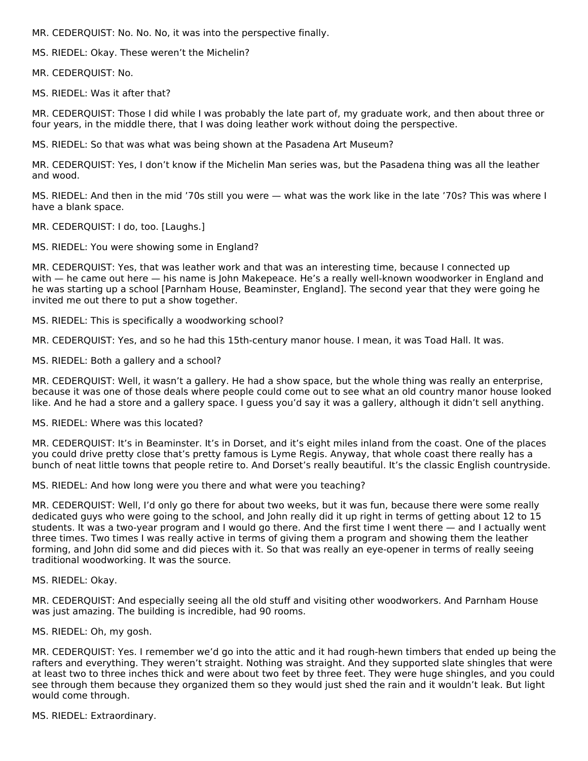MR. CEDERQUIST: No. No. No, it was into the perspective finally.

MS. RIEDEL: Okay. These weren't the Michelin?

MR. CEDERQUIST: No.

MS. RIEDEL: Was it after that?

MR. CEDERQUIST: Those I did while I was probably the late part of, my graduate work, and then about three or four years, in the middle there, that I was doing leather work without doing the perspective.

MS. RIEDEL: So that was what was being shown at the Pasadena Art Museum?

MR. CEDERQUIST: Yes, I don't know if the Michelin Man series was, but the Pasadena thing was all the leather and wood.

MS. RIEDEL: And then in the mid '70s still you were — what was the work like in the late '70s? This was where I have a blank space.

#### MR. CEDERQUIST: I do, too. [Laughs.]

MS. RIEDEL: You were showing some in England?

MR. CEDERQUIST: Yes, that was leather work and that was an interesting time, because I connected up with — he came out here — his name is John Makepeace. He's a really well-known woodworker in England and he was starting up a school [Parnham House, Beaminster, England]. The second year that they were going he invited me out there to put a show together.

MS. RIEDEL: This is specifically a woodworking school?

MR. CEDERQUIST: Yes, and so he had this 15th-century manor house. I mean, it was Toad Hall. It was.

MS. RIEDEL: Both a gallery and a school?

MR. CEDERQUIST: Well, it wasn't a gallery. He had a show space, but the whole thing was really an enterprise, because it was one of those deals where people could come out to see what an old country manor house looked like. And he had a store and a gallery space. I guess you'd say it was a gallery, although it didn't sell anything.

MS. RIEDEL: Where was this located?

MR. CEDERQUIST: It's in Beaminster. It's in Dorset, and it's eight miles inland from the coast. One of the places you could drive pretty close that's pretty famous is Lyme Regis. Anyway, that whole coast there really has a bunch of neat little towns that people retire to. And Dorset's really beautiful. It's the classic English countryside.

MS. RIEDEL: And how long were you there and what were you teaching?

MR. CEDERQUIST: Well, I'd only go there for about two weeks, but it was fun, because there were some really dedicated guys who were going to the school, and John really did it up right in terms of getting about 12 to 15 students. It was a two-year program and I would go there. And the first time I went there — and I actually went three times. Two times I was really active in terms of giving them a program and showing them the leather forming, and John did some and did pieces with it. So that was really an eye-opener in terms of really seeing traditional woodworking. It was the source.

MS. RIEDEL: Okay.

MR. CEDERQUIST: And especially seeing all the old stuff and visiting other woodworkers. And Parnham House was just amazing. The building is incredible, had 90 rooms.

MS. RIEDEL: Oh, my gosh.

MR. CEDERQUIST: Yes. I remember we'd go into the attic and it had rough-hewn timbers that ended up being the rafters and everything. They weren't straight. Nothing was straight. And they supported slate shingles that were at least two to three inches thick and were about two feet by three feet. They were huge shingles, and you could see through them because they organized them so they would just shed the rain and it wouldn't leak. But light would come through.

MS. RIEDEL: Extraordinary.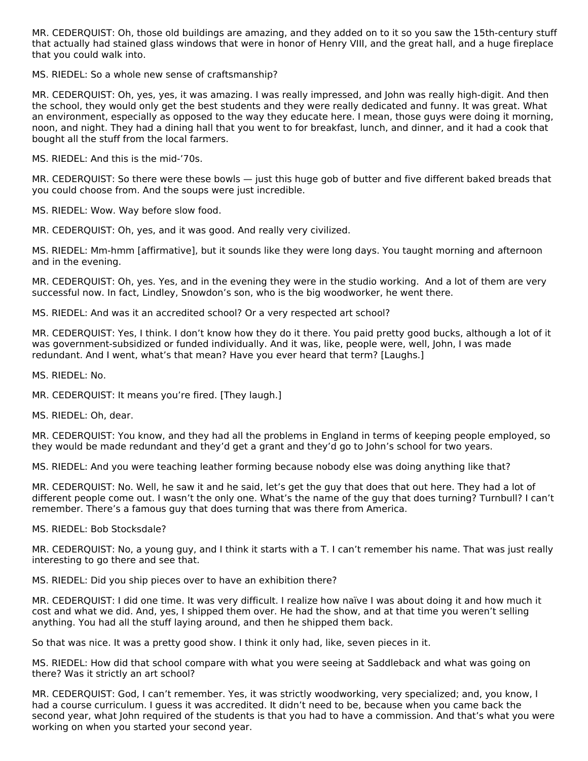MR. CEDERQUIST: Oh, those old buildings are amazing, and they added on to it so you saw the 15th-century stuff that actually had stained glass windows that were in honor of Henry VIII, and the great hall, and a huge fireplace that you could walk into.

MS. RIEDEL: So a whole new sense of craftsmanship?

MR. CEDERQUIST: Oh, yes, yes, it was amazing. I was really impressed, and John was really high-digit. And then the school, they would only get the best students and they were really dedicated and funny. It was great. What an environment, especially as opposed to the way they educate here. I mean, those guys were doing it morning, noon, and night. They had a dining hall that you went to for breakfast, lunch, and dinner, and it had a cook that bought all the stuff from the local farmers.

MS. RIEDEL: And this is the mid-'70s.

MR. CEDERQUIST: So there were these bowls — just this huge gob of butter and five different baked breads that you could choose from. And the soups were just incredible.

MS. RIEDEL: Wow. Way before slow food.

MR. CEDERQUIST: Oh, yes, and it was good. And really very civilized.

MS. RIEDEL: Mm‑hmm [affirmative], but it sounds like they were long days. You taught morning and afternoon and in the evening.

MR. CEDERQUIST: Oh, yes. Yes, and in the evening they were in the studio working. And a lot of them are very successful now. In fact, Lindley, Snowdon's son, who is the big woodworker, he went there.

MS. RIEDEL: And was it an accredited school? Or a very respected art school?

MR. CEDERQUIST: Yes, I think. I don't know how they do it there. You paid pretty good bucks, although a lot of it was government-subsidized or funded individually. And it was, like, people were, well, John, I was made redundant. And I went, what's that mean? Have you ever heard that term? [Laughs.]

MS. RIEDEL: No.

MR. CEDERQUIST: It means you're fired. [They laugh.]

MS. RIEDEL: Oh, dear.

MR. CEDERQUIST: You know, and they had all the problems in England in terms of keeping people employed, so they would be made redundant and they'd get a grant and they'd go to John's school for two years.

MS. RIEDEL: And you were teaching leather forming because nobody else was doing anything like that?

MR. CEDERQUIST: No. Well, he saw it and he said, let's get the guy that does that out here. They had a lot of different people come out. I wasn't the only one. What's the name of the guy that does turning? Turnbull? I can't remember. There's a famous guy that does turning that was there from America.

MS. RIEDEL: Bob Stocksdale?

MR. CEDERQUIST: No, a young guy, and I think it starts with a T. I can't remember his name. That was just really interesting to go there and see that.

MS. RIEDEL: Did you ship pieces over to have an exhibition there?

MR. CEDERQUIST: I did one time. It was very difficult. I realize how naïve I was about doing it and how much it cost and what we did. And, yes, I shipped them over. He had the show, and at that time you weren't selling anything. You had all the stuff laying around, and then he shipped them back.

So that was nice. It was a pretty good show. I think it only had, like, seven pieces in it.

MS. RIEDEL: How did that school compare with what you were seeing at Saddleback and what was going on there? Was it strictly an art school?

MR. CEDERQUIST: God, I can't remember. Yes, it was strictly woodworking, very specialized; and, you know, I had a course curriculum. I guess it was accredited. It didn't need to be, because when you came back the second year, what John required of the students is that you had to have a commission. And that's what you were working on when you started your second year.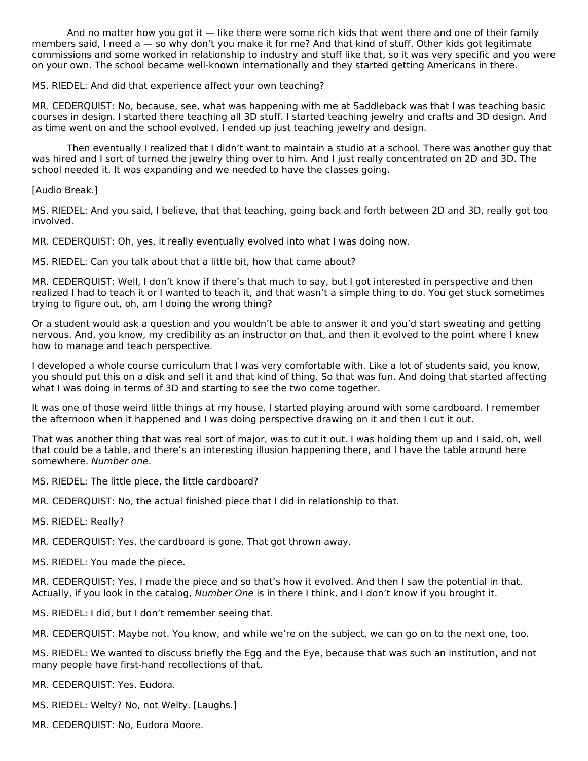And no matter how you got it  $-$  like there were some rich kids that went there and one of their family members said, I need a — so why don't you make it for me? And that kind of stuff. Other kids got legitimate commissions and some worked in relationship to industry and stuff like that, so it was very specific and you were on your own. The school became well‑known internationally and they started getting Americans in there.

MS. RIEDEL: And did that experience affect your own teaching?

MR. CEDERQUIST: No, because, see, what was happening with me at Saddleback was that I was teaching basic courses in design. I started there teaching all 3D stuff. I started teaching jewelry and crafts and 3D design. And as time went on and the school evolved, I ended up just teaching jewelry and design.

Then eventually I realized that I didn't want to maintain a studio at a school. There was another guy that was hired and I sort of turned the jewelry thing over to him. And I just really concentrated on 2D and 3D. The school needed it. It was expanding and we needed to have the classes going.

[Audio Break.]

MS. RIEDEL: And you said, I believe, that that teaching, going back and forth between 2D and 3D, really got too involved.

MR. CEDERQUIST: Oh, yes, it really eventually evolved into what I was doing now.

MS. RIEDEL: Can you talk about that a little bit, how that came about?

MR. CEDERQUIST: Well, I don't know if there's that much to say, but I got interested in perspective and then realized I had to teach it or I wanted to teach it, and that wasn't a simple thing to do. You get stuck sometimes trying to figure out, oh, am I doing the wrong thing?

Or a student would ask a question and you wouldn't be able to answer it and you'd start sweating and getting nervous. And, you know, my credibility as an instructor on that, and then it evolved to the point where I knew how to manage and teach perspective.

I developed a whole course curriculum that I was very comfortable with. Like a lot of students said, you know, you should put this on a disk and sell it and that kind of thing. So that was fun. And doing that started affecting what I was doing in terms of 3D and starting to see the two come together.

It was one of those weird little things at my house. I started playing around with some cardboard. I remember the afternoon when it happened and I was doing perspective drawing on it and then I cut it out.

That was another thing that was real sort of major, was to cut it out. I was holding them up and I said, oh, well that could be a table, and there's an interesting illusion happening there, and I have the table around here somewhere. Number one.

- MS. RIEDEL: The little piece, the little cardboard?
- MR. CEDERQUIST: No, the actual finished piece that I did in relationship to that.
- MS. RIEDEL: Really?

MR. CEDERQUIST: Yes, the cardboard is gone. That got thrown away.

MS. RIEDEL: You made the piece.

MR. CEDERQUIST: Yes, I made the piece and so that's how it evolved. And then I saw the potential in that. Actually, if you look in the catalog, Number One is in there I think, and I don't know if you brought it.

MS. RIEDEL: I did, but I don't remember seeing that.

MR. CEDERQUIST: Maybe not. You know, and while we're on the subject, we can go on to the next one, too.

MS. RIEDEL: We wanted to discuss briefly the Egg and the Eye, because that was such an institution, and not many people have first-hand recollections of that.

MR. CEDERQUIST: Yes. Eudora.

- MS. RIEDEL: Welty? No, not Welty. [Laughs.]
- MR. CEDERQUIST: No, Eudora Moore.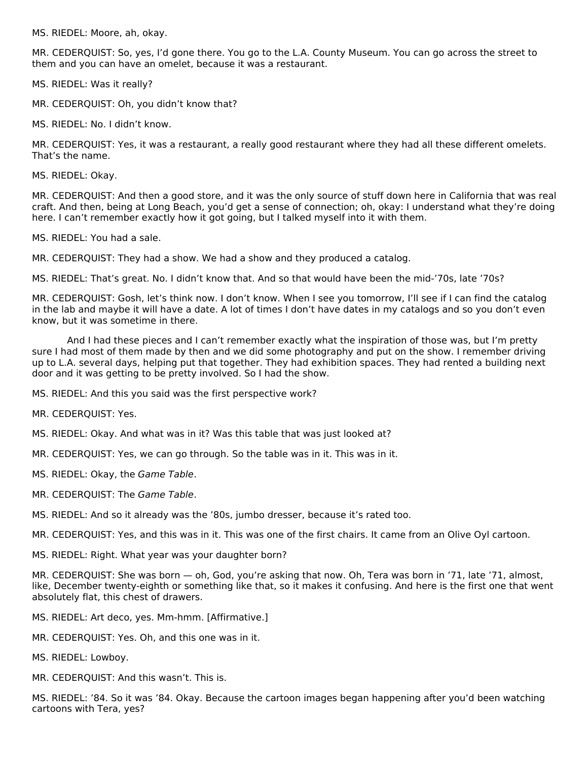MS. RIEDEL: Moore, ah, okay.

MR. CEDERQUIST: So, yes, I'd gone there. You go to the L.A. County Museum. You can go across the street to them and you can have an omelet, because it was a restaurant.

MS. RIEDEL: Was it really?

MR. CEDERQUIST: Oh, you didn't know that?

MS. RIEDEL: No. I didn't know.

MR. CEDERQUIST: Yes, it was a restaurant, a really good restaurant where they had all these different omelets. That's the name.

MS. RIEDEL: Okay.

MR. CEDERQUIST: And then a good store, and it was the only source of stuff down here in California that was real craft. And then, being at Long Beach, you'd get a sense of connection; oh, okay: I understand what they're doing here. I can't remember exactly how it got going, but I talked myself into it with them.

MS. RIEDEL: You had a sale.

MR. CEDERQUIST: They had a show. We had a show and they produced a catalog.

MS. RIEDEL: That's great. No. I didn't know that. And so that would have been the mid‑'70s, late '70s?

MR. CEDERQUIST: Gosh, let's think now. I don't know. When I see you tomorrow, I'll see if I can find the catalog in the lab and maybe it will have a date. A lot of times I don't have dates in my catalogs and so you don't even know, but it was sometime in there.

And I had these pieces and I can't remember exactly what the inspiration of those was, but I'm pretty sure I had most of them made by then and we did some photography and put on the show. I remember driving up to L.A. several days, helping put that together. They had exhibition spaces. They had rented a building next door and it was getting to be pretty involved. So I had the show.

MS. RIEDEL: And this you said was the first perspective work?

MR. CEDERQUIST: Yes.

MS. RIEDEL: Okay. And what was in it? Was this table that was just looked at?

MR. CEDERQUIST: Yes, we can go through. So the table was in it. This was in it.

MS. RIEDEL: Okay, the Game Table.

MR. CEDERQUIST: The Game Table.

MS. RIEDEL: And so it already was the '80s, jumbo dresser, because it's rated too.

MR. CEDERQUIST: Yes, and this was in it. This was one of the first chairs. It came from an Olive Oyl cartoon.

MS. RIEDEL: Right. What year was your daughter born?

MR. CEDERQUIST: She was born — oh, God, you're asking that now. Oh, Tera was born in '71, late '71, almost, like, December twenty-eighth or something like that, so it makes it confusing. And here is the first one that went absolutely flat, this chest of drawers.

MS. RIEDEL: Art deco, yes. Mm-hmm. [Affirmative.]

MR. CEDERQUIST: Yes. Oh, and this one was in it.

MS. RIEDEL: Lowboy.

MR. CEDERQUIST: And this wasn't. This is.

MS. RIEDEL: '84. So it was '84. Okay. Because the cartoon images began happening after you'd been watching cartoons with Tera, yes?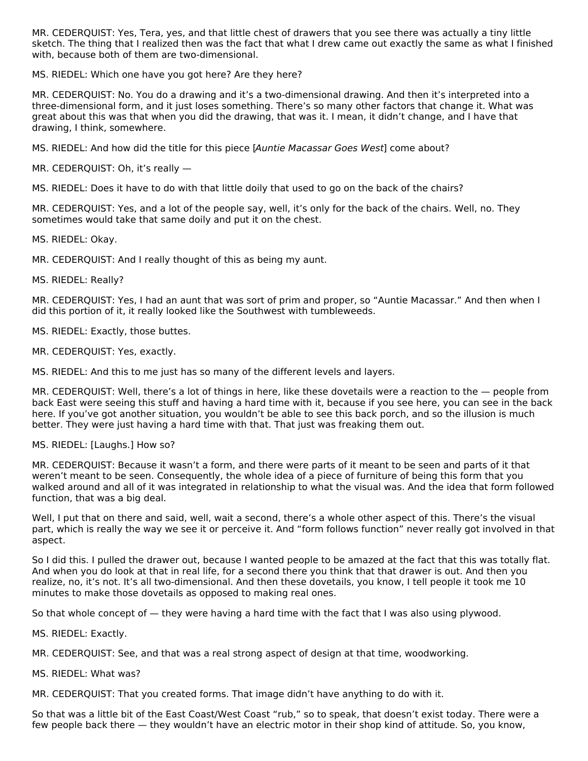MR. CEDERQUIST: Yes, Tera, yes, and that little chest of drawers that you see there was actually a tiny little sketch. The thing that I realized then was the fact that what I drew came out exactly the same as what I finished with, because both of them are two-dimensional.

MS. RIEDEL: Which one have you got here? Are they here?

MR. CEDERQUIST: No. You do a drawing and it's a two-dimensional drawing. And then it's interpreted into a three-dimensional form, and it just loses something. There's so many other factors that change it. What was great about this was that when you did the drawing, that was it. I mean, it didn't change, and I have that drawing, I think, somewhere.

MS. RIEDEL: And how did the title for this piece [Auntie Macassar Goes West] come about?

MR. CEDERQUIST: Oh, it's really —

MS. RIEDEL: Does it have to do with that little doily that used to go on the back of the chairs?

MR. CEDERQUIST: Yes, and a lot of the people say, well, it's only for the back of the chairs. Well, no. They sometimes would take that same doily and put it on the chest.

MS. RIEDEL: Okay.

MR. CEDERQUIST: And I really thought of this as being my aunt.

MS. RIEDEL: Really?

MR. CEDERQUIST: Yes, I had an aunt that was sort of prim and proper, so "Auntie Macassar." And then when I did this portion of it, it really looked like the Southwest with tumbleweeds.

MS. RIEDEL: Exactly, those buttes.

MR. CEDERQUIST: Yes, exactly.

MS. RIEDEL: And this to me just has so many of the different levels and layers.

MR. CEDERQUIST: Well, there's a lot of things in here, like these dovetails were a reaction to the — people from back East were seeing this stuff and having a hard time with it, because if you see here, you can see in the back here. If you've got another situation, you wouldn't be able to see this back porch, and so the illusion is much better. They were just having a hard time with that. That just was freaking them out.

MS. RIEDEL: [Laughs.] How so?

MR. CEDERQUIST: Because it wasn't a form, and there were parts of it meant to be seen and parts of it that weren't meant to be seen. Consequently, the whole idea of a piece of furniture of being this form that you walked around and all of it was integrated in relationship to what the visual was. And the idea that form followed function, that was a big deal.

Well, I put that on there and said, well, wait a second, there's a whole other aspect of this. There's the visual part, which is really the way we see it or perceive it. And "form follows function" never really got involved in that aspect.

So I did this. I pulled the drawer out, because I wanted people to be amazed at the fact that this was totally flat. And when you do look at that in real life, for a second there you think that that drawer is out. And then you realize, no, it's not. It's all two-dimensional. And then these dovetails, you know, I tell people it took me 10 minutes to make those dovetails as opposed to making real ones.

So that whole concept of — they were having a hard time with the fact that I was also using plywood.

MS. RIEDEL: Exactly.

MR. CEDERQUIST: See, and that was a real strong aspect of design at that time, woodworking.

MS. RIEDEL: What was?

MR. CEDERQUIST: That you created forms. That image didn't have anything to do with it.

So that was a little bit of the East Coast/West Coast "rub," so to speak, that doesn't exist today. There were a few people back there — they wouldn't have an electric motor in their shop kind of attitude. So, you know,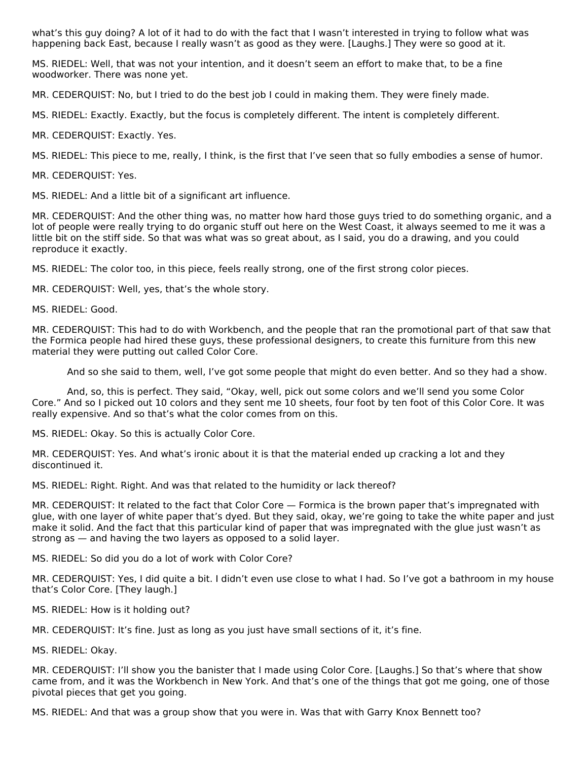what's this guy doing? A lot of it had to do with the fact that I wasn't interested in trying to follow what was happening back East, because I really wasn't as good as they were. [Laughs.] They were so good at it.

MS. RIEDEL: Well, that was not your intention, and it doesn't seem an effort to make that, to be a fine woodworker. There was none yet.

MR. CEDERQUIST: No, but I tried to do the best job I could in making them. They were finely made.

MS. RIEDEL: Exactly. Exactly, but the focus is completely different. The intent is completely different.

MR. CEDERQUIST: Exactly. Yes.

MS. RIEDEL: This piece to me, really, I think, is the first that I've seen that so fully embodies a sense of humor.

MR. CEDERQUIST: Yes.

MS. RIEDEL: And a little bit of a significant art influence.

MR. CEDERQUIST: And the other thing was, no matter how hard those guys tried to do something organic, and a lot of people were really trying to do organic stuff out here on the West Coast, it always seemed to me it was a little bit on the stiff side. So that was what was so great about, as I said, you do a drawing, and you could reproduce it exactly.

MS. RIEDEL: The color too, in this piece, feels really strong, one of the first strong color pieces.

MR. CEDERQUIST: Well, yes, that's the whole story.

MS. RIEDEL: Good.

MR. CEDERQUIST: This had to do with Workbench, and the people that ran the promotional part of that saw that the Formica people had hired these guys, these professional designers, to create this furniture from this new material they were putting out called Color Core.

And so she said to them, well, I've got some people that might do even better. And so they had a show.

And, so, this is perfect. They said, "Okay, well, pick out some colors and we'll send you some Color Core." And so I picked out 10 colors and they sent me 10 sheets, four foot by ten foot of this Color Core. It was really expensive. And so that's what the color comes from on this.

MS. RIEDEL: Okay. So this is actually Color Core.

MR. CEDERQUIST: Yes. And what's ironic about it is that the material ended up cracking a lot and they discontinued it.

MS. RIEDEL: Right. Right. And was that related to the humidity or lack thereof?

MR. CEDERQUIST: It related to the fact that Color Core — Formica is the brown paper that's impregnated with glue, with one layer of white paper that's dyed. But they said, okay, we're going to take the white paper and just make it solid. And the fact that this particular kind of paper that was impregnated with the glue just wasn't as strong as — and having the two layers as opposed to a solid layer.

MS. RIEDEL: So did you do a lot of work with Color Core?

MR. CEDERQUIST: Yes, I did quite a bit. I didn't even use close to what I had. So I've got a bathroom in my house that's Color Core. [They laugh.]

MS. RIEDEL: How is it holding out?

MR. CEDERQUIST: It's fine. Just as long as you just have small sections of it, it's fine.

MS. RIEDEL: Okay.

MR. CEDERQUIST: I'll show you the banister that I made using Color Core. [Laughs.] So that's where that show came from, and it was the Workbench in New York. And that's one of the things that got me going, one of those pivotal pieces that get you going.

MS. RIEDEL: And that was a group show that you were in. Was that with Garry Knox Bennett too?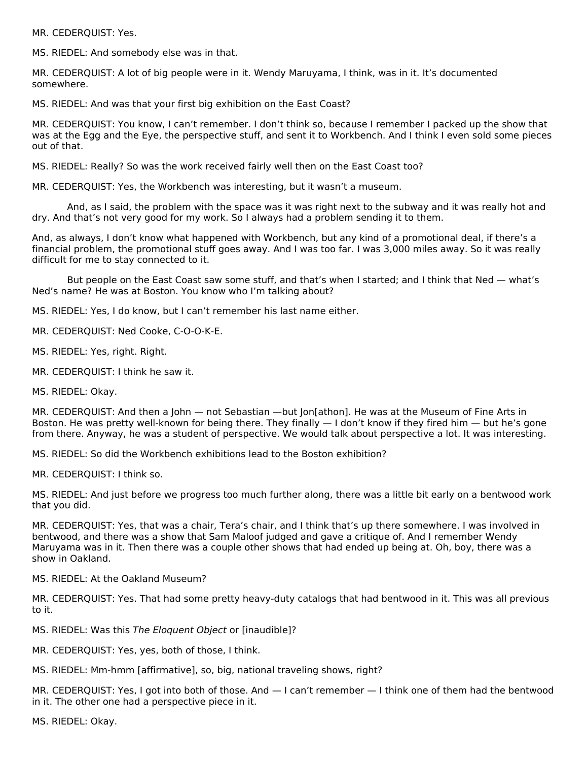MR. CEDERQUIST: Yes.

MS. RIEDEL: And somebody else was in that.

MR. CEDERQUIST: A lot of big people were in it. Wendy Maruyama, I think, was in it. It's documented somewhere.

MS. RIEDEL: And was that your first big exhibition on the East Coast?

MR. CEDERQUIST: You know, I can't remember. I don't think so, because I remember I packed up the show that was at the Egg and the Eye, the perspective stuff, and sent it to Workbench. And I think I even sold some pieces out of that.

MS. RIEDEL: Really? So was the work received fairly well then on the East Coast too?

MR. CEDERQUIST: Yes, the Workbench was interesting, but it wasn't a museum.

And, as I said, the problem with the space was it was right next to the subway and it was really hot and dry. And that's not very good for my work. So I always had a problem sending it to them.

And, as always, I don't know what happened with Workbench, but any kind of a promotional deal, if there's a financial problem, the promotional stuff goes away. And I was too far. I was 3,000 miles away. So it was really difficult for me to stay connected to it.

But people on the East Coast saw some stuff, and that's when I started; and I think that Ned — what's Ned's name? He was at Boston. You know who I'm talking about?

MS. RIEDEL: Yes, I do know, but I can't remember his last name either.

MR. CEDERQUIST: Ned Cooke, C‑O-O-K-E.

MS. RIEDEL: Yes, right. Right.

MR. CEDERQUIST: I think he saw it.

MS. RIEDEL: Okay.

MR. CEDERQUIST: And then a John — not Sebastian —but Jon[athon]. He was at the Museum of Fine Arts in Boston. He was pretty well-known for being there. They finally — I don't know if they fired him — but he's gone from there. Anyway, he was a student of perspective. We would talk about perspective a lot. It was interesting.

MS. RIEDEL: So did the Workbench exhibitions lead to the Boston exhibition?

MR. CEDERQUIST: I think so.

MS. RIEDEL: And just before we progress too much further along, there was a little bit early on a bentwood work that you did.

MR. CEDERQUIST: Yes, that was a chair, Tera's chair, and I think that's up there somewhere. I was involved in bentwood, and there was a show that Sam Maloof judged and gave a critique of. And I remember Wendy Maruyama was in it. Then there was a couple other shows that had ended up being at. Oh, boy, there was a show in Oakland.

MS. RIEDEL: At the Oakland Museum?

MR. CEDERQUIST: Yes. That had some pretty heavy-duty catalogs that had bentwood in it. This was all previous to it.

MS. RIEDEL: Was this The Eloquent Object or [inaudible]?

MR. CEDERQUIST: Yes, yes, both of those, I think.

MS. RIEDEL: Mm‑hmm [affirmative], so, big, national traveling shows, right?

MR. CEDERQUIST: Yes, I got into both of those. And — I can't remember — I think one of them had the bentwood in it. The other one had a perspective piece in it.

MS. RIEDEL: Okay.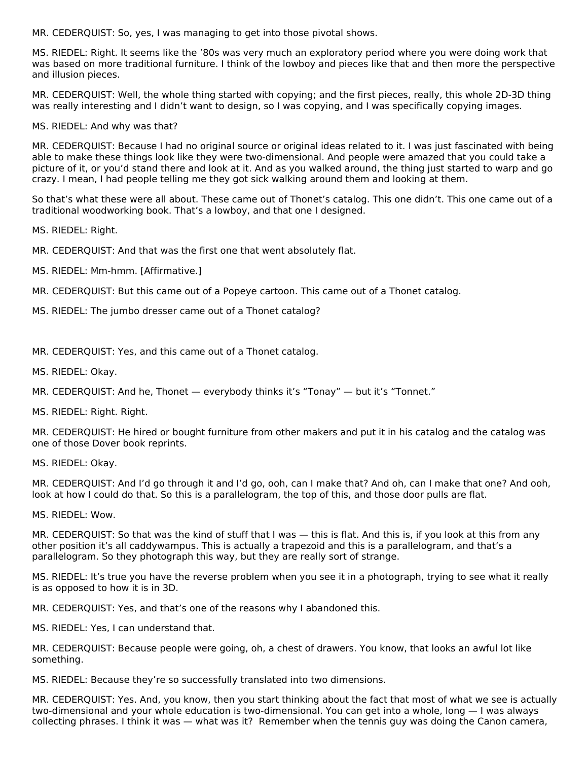MR. CEDERQUIST: So, yes, I was managing to get into those pivotal shows.

MS. RIEDEL: Right. It seems like the '80s was very much an exploratory period where you were doing work that was based on more traditional furniture. I think of the lowboy and pieces like that and then more the perspective and illusion pieces.

MR. CEDERQUIST: Well, the whole thing started with copying; and the first pieces, really, this whole 2D-3D thing was really interesting and I didn't want to design, so I was copying, and I was specifically copying images.

MS. RIEDEL: And why was that?

MR. CEDERQUIST: Because I had no original source or original ideas related to it. I was just fascinated with being able to make these things look like they were two-dimensional. And people were amazed that you could take a picture of it, or you'd stand there and look at it. And as you walked around, the thing just started to warp and go crazy. I mean, I had people telling me they got sick walking around them and looking at them.

So that's what these were all about. These came out of Thonet's catalog. This one didn't. This one came out of a traditional woodworking book. That's a lowboy, and that one I designed.

MS. RIEDEL: Right.

MR. CEDERQUIST: And that was the first one that went absolutely flat.

MS. RIEDEL: Mm‑hmm. [Affirmative.]

MR. CEDERQUIST: But this came out of a Popeye cartoon. This came out of a Thonet catalog.

MS. RIEDEL: The jumbo dresser came out of a Thonet catalog?

MR. CEDERQUIST: Yes, and this came out of a Thonet catalog.

MS. RIEDEL: Okay.

MR. CEDERQUIST: And he, Thonet — everybody thinks it's "Tonay" — but it's "Tonnet."

MS. RIEDEL: Right. Right.

MR. CEDERQUIST: He hired or bought furniture from other makers and put it in his catalog and the catalog was one of those Dover book reprints.

MS. RIEDEL: Okay.

MR. CEDERQUIST: And I'd go through it and I'd go, ooh, can I make that? And oh, can I make that one? And ooh, look at how I could do that. So this is a parallelogram, the top of this, and those door pulls are flat.

MS. RIEDEL: Wow.

MR. CEDERQUIST: So that was the kind of stuff that I was — this is flat. And this is, if you look at this from any other position it's all caddywampus. This is actually a trapezoid and this is a parallelogram, and that's a parallelogram. So they photograph this way, but they are really sort of strange.

MS. RIEDEL: It's true you have the reverse problem when you see it in a photograph, trying to see what it really is as opposed to how it is in 3D.

MR. CEDERQUIST: Yes, and that's one of the reasons why I abandoned this.

MS. RIEDEL: Yes, I can understand that.

MR. CEDERQUIST: Because people were going, oh, a chest of drawers. You know, that looks an awful lot like something.

MS. RIEDEL: Because they're so successfully translated into two dimensions.

MR. CEDERQUIST: Yes. And, you know, then you start thinking about the fact that most of what we see is actually two-dimensional and your whole education is two-dimensional. You can get into a whole, long - I was always collecting phrases. I think it was — what was it? Remember when the tennis guy was doing the Canon camera,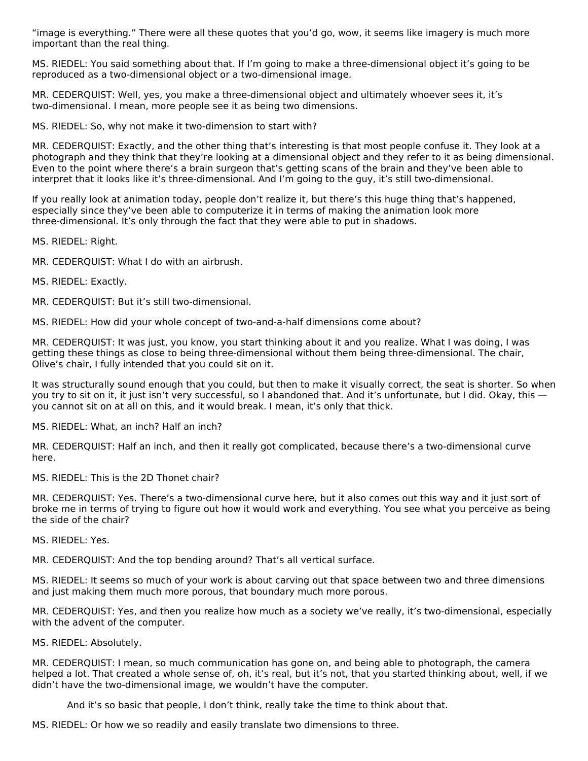"image is everything." There were all these quotes that you'd go, wow, it seems like imagery is much more important than the real thing.

MS. RIEDEL: You said something about that. If I'm going to make a three-dimensional object it's going to be reproduced as a two-dimensional object or a two-dimensional image.

MR. CEDERQUIST: Well, yes, you make a three‑dimensional object and ultimately whoever sees it, it's two-dimensional. I mean, more people see it as being two dimensions.

MS. RIEDEL: So, why not make it two-dimension to start with?

MR. CEDERQUIST: Exactly, and the other thing that's interesting is that most people confuse it. They look at a photograph and they think that they're looking at a dimensional object and they refer to it as being dimensional. Even to the point where there's a brain surgeon that's getting scans of the brain and they've been able to interpret that it looks like it's three-dimensional. And I'm going to the guy, it's still two-dimensional.

If you really look at animation today, people don't realize it, but there's this huge thing that's happened, especially since they've been able to computerize it in terms of making the animation look more three‑dimensional. It's only through the fact that they were able to put in shadows.

MS. RIEDEL: Right.

MR. CEDERQUIST: What I do with an airbrush.

MS. RIEDEL: Exactly.

MR. CEDERQUIST: But it's still two-dimensional.

MS. RIEDEL: How did your whole concept of two-and-a-half dimensions come about?

MR. CEDERQUIST: It was just, you know, you start thinking about it and you realize. What I was doing, I was getting these things as close to being three-dimensional without them being three-dimensional. The chair, Olive's chair, I fully intended that you could sit on it.

It was structurally sound enough that you could, but then to make it visually correct, the seat is shorter. So when you try to sit on it, it just isn't very successful, so I abandoned that. And it's unfortunate, but I did. Okay, this you cannot sit on at all on this, and it would break. I mean, it's only that thick.

MS. RIEDEL: What, an inch? Half an inch?

MR. CEDERQUIST: Half an inch, and then it really got complicated, because there's a two-dimensional curve here.

MS. RIEDEL: This is the 2D Thonet chair?

MR. CEDERQUIST: Yes. There's a two-dimensional curve here, but it also comes out this way and it just sort of broke me in terms of trying to figure out how it would work and everything. You see what you perceive as being the side of the chair?

MS. RIEDEL: Yes.

MR. CEDERQUIST: And the top bending around? That's all vertical surface.

MS. RIEDEL: It seems so much of your work is about carving out that space between two and three dimensions and just making them much more porous, that boundary much more porous.

MR. CEDERQUIST: Yes, and then you realize how much as a society we've really, it's two-dimensional, especially with the advent of the computer.

MS. RIEDEL: Absolutely.

MR. CEDERQUIST: I mean, so much communication has gone on, and being able to photograph, the camera helped a lot. That created a whole sense of, oh, it's real, but it's not, that you started thinking about, well, if we didn't have the two‑dimensional image, we wouldn't have the computer.

And it's so basic that people, I don't think, really take the time to think about that.

MS. RIEDEL: Or how we so readily and easily translate two dimensions to three.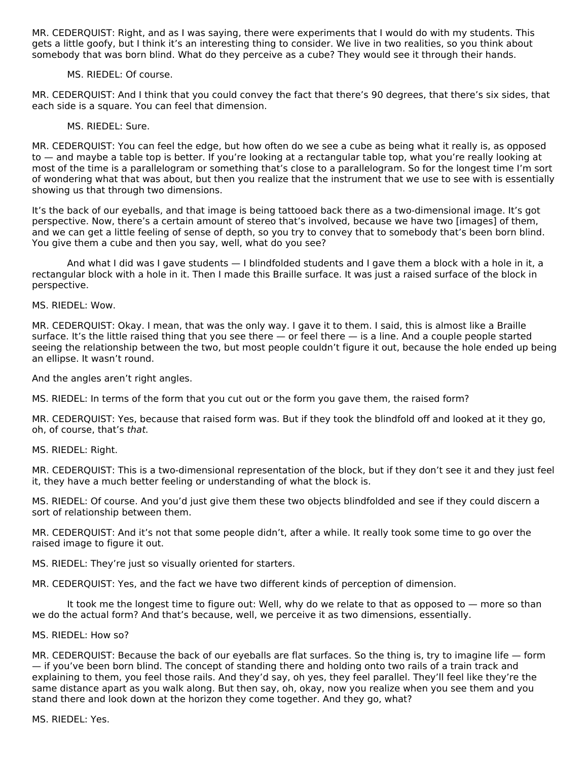MR. CEDERQUIST: Right, and as I was saying, there were experiments that I would do with my students. This gets a little goofy, but I think it's an interesting thing to consider. We live in two realities, so you think about somebody that was born blind. What do they perceive as a cube? They would see it through their hands.

#### MS. RIEDEL: Of course.

MR. CEDERQUIST: And I think that you could convey the fact that there's 90 degrees, that there's six sides, that each side is a square. You can feel that dimension.

#### MS. RIEDEL: Sure.

MR. CEDERQUIST: You can feel the edge, but how often do we see a cube as being what it really is, as opposed to — and maybe a table top is better. If you're looking at a rectangular table top, what you're really looking at most of the time is a parallelogram or something that's close to a parallelogram. So for the longest time I'm sort of wondering what that was about, but then you realize that the instrument that we use to see with is essentially showing us that through two dimensions.

It's the back of our eyeballs, and that image is being tattooed back there as a two-dimensional image. It's got perspective. Now, there's a certain amount of stereo that's involved, because we have two [images] of them, and we can get a little feeling of sense of depth, so you try to convey that to somebody that's been born blind. You give them a cube and then you say, well, what do you see?

And what I did was I gave students — I blindfolded students and I gave them a block with a hole in it, a rectangular block with a hole in it. Then I made this Braille surface. It was just a raised surface of the block in perspective.

MS. RIEDEL: Wow.

MR. CEDERQUIST: Okay. I mean, that was the only way. I gave it to them. I said, this is almost like a Braille surface. It's the little raised thing that you see there  $-$  or feel there  $-$  is a line. And a couple people started seeing the relationship between the two, but most people couldn't figure it out, because the hole ended up being an ellipse. It wasn't round.

And the angles aren't right angles.

MS. RIEDEL: In terms of the form that you cut out or the form you gave them, the raised form?

MR. CEDERQUIST: Yes, because that raised form was. But if they took the blindfold off and looked at it they go, oh, of course, that's that.

MS. RIEDEL: Right.

MR. CEDERQUIST: This is a two‑dimensional representation of the block, but if they don't see it and they just feel it, they have a much better feeling or understanding of what the block is.

MS. RIEDEL: Of course. And you'd just give them these two objects blindfolded and see if they could discern a sort of relationship between them.

MR. CEDERQUIST: And it's not that some people didn't, after a while. It really took some time to go over the raised image to figure it out.

MS. RIEDEL: They're just so visually oriented for starters.

MR. CEDERQUIST: Yes, and the fact we have two different kinds of perception of dimension.

It took me the longest time to figure out: Well, why do we relate to that as opposed to — more so than we do the actual form? And that's because, well, we perceive it as two dimensions, essentially.

#### MS. RIEDEL: How so?

MR. CEDERQUIST: Because the back of our eyeballs are flat surfaces. So the thing is, try to imagine life — form — if you've been born blind. The concept of standing there and holding onto two rails of a train track and explaining to them, you feel those rails. And they'd say, oh yes, they feel parallel. They'll feel like they're the same distance apart as you walk along. But then say, oh, okay, now you realize when you see them and you stand there and look down at the horizon they come together. And they go, what?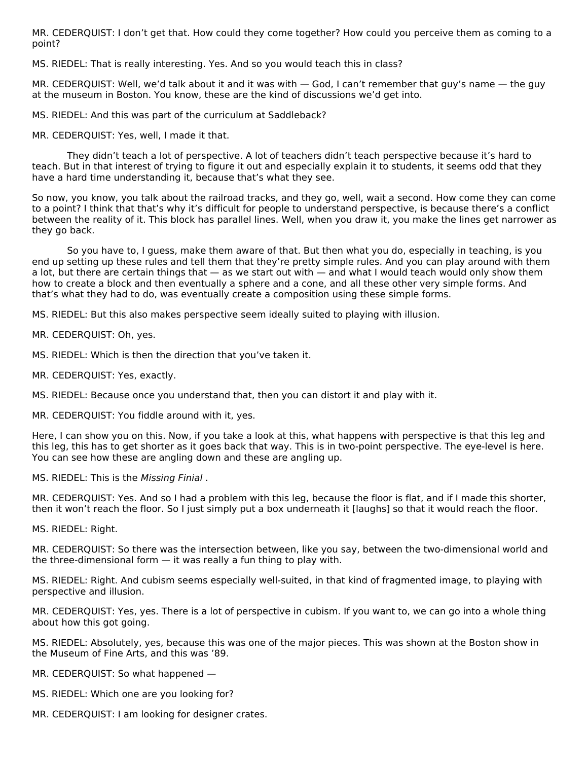MR. CEDERQUIST: I don't get that. How could they come together? How could you perceive them as coming to a point?

MS. RIEDEL: That is really interesting. Yes. And so you would teach this in class?

MR. CEDERQUIST: Well, we'd talk about it and it was with — God, I can't remember that guy's name — the guy at the museum in Boston. You know, these are the kind of discussions we'd get into.

MS. RIEDEL: And this was part of the curriculum at Saddleback?

MR. CEDERQUIST: Yes, well, I made it that.

They didn't teach a lot of perspective. A lot of teachers didn't teach perspective because it's hard to teach. But in that interest of trying to figure it out and especially explain it to students, it seems odd that they have a hard time understanding it, because that's what they see.

So now, you know, you talk about the railroad tracks, and they go, well, wait a second. How come they can come to a point? I think that that's why it's difficult for people to understand perspective, is because there's a conflict between the reality of it. This block has parallel lines. Well, when you draw it, you make the lines get narrower as they go back.

So you have to, I guess, make them aware of that. But then what you do, especially in teaching, is you end up setting up these rules and tell them that they're pretty simple rules. And you can play around with them a lot, but there are certain things that — as we start out with — and what I would teach would only show them how to create a block and then eventually a sphere and a cone, and all these other very simple forms. And that's what they had to do, was eventually create a composition using these simple forms.

MS. RIEDEL: But this also makes perspective seem ideally suited to playing with illusion.

MR. CEDERQUIST: Oh, yes.

MS. RIEDEL: Which is then the direction that you've taken it.

MR. CEDERQUIST: Yes, exactly.

MS. RIEDEL: Because once you understand that, then you can distort it and play with it.

MR. CEDERQUIST: You fiddle around with it, yes.

Here, I can show you on this. Now, if you take a look at this, what happens with perspective is that this leg and this leg, this has to get shorter as it goes back that way. This is in two‑point perspective. The eye-level is here. You can see how these are angling down and these are angling up.

MS. RIEDEL: This is the Missing Finial .

MR. CEDERQUIST: Yes. And so I had a problem with this leg, because the floor is flat, and if I made this shorter, then it won't reach the floor. So I just simply put a box underneath it [laughs] so that it would reach the floor.

MS. RIEDEL: Right.

MR. CEDERQUIST: So there was the intersection between, like you say, between the two-dimensional world and the three-dimensional form  $-$  it was really a fun thing to play with.

MS. RIEDEL: Right. And cubism seems especially well‑suited, in that kind of fragmented image, to playing with perspective and illusion.

MR. CEDERQUIST: Yes, yes. There is a lot of perspective in cubism. If you want to, we can go into a whole thing about how this got going.

MS. RIEDEL: Absolutely, yes, because this was one of the major pieces. This was shown at the Boston show in the Museum of Fine Arts, and this was '89.

MR. CEDERQUIST: So what happened —

MS. RIEDEL: Which one are you looking for?

MR. CEDERQUIST: I am looking for designer crates.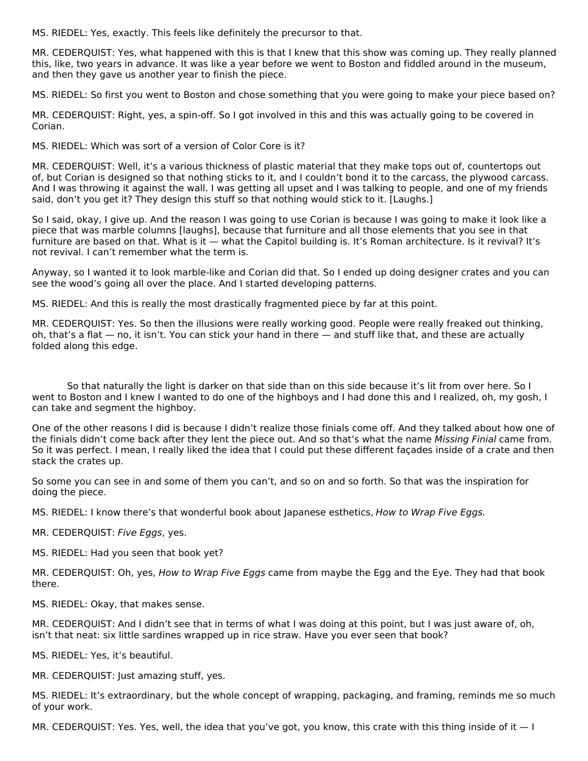MS. RIEDEL: Yes, exactly. This feels like definitely the precursor to that.

MR. CEDERQUIST: Yes, what happened with this is that I knew that this show was coming up. They really planned this, like, two years in advance. It was like a year before we went to Boston and fiddled around in the museum, and then they gave us another year to finish the piece.

MS. RIEDEL: So first you went to Boston and chose something that you were going to make your piece based on?

MR. CEDERQUIST: Right, yes, a spin‑off. So I got involved in this and this was actually going to be covered in Corian.

MS. RIEDEL: Which was sort of a version of Color Core is it?

MR. CEDERQUIST: Well, it's a various thickness of plastic material that they make tops out of, countertops out of, but Corian is designed so that nothing sticks to it, and I couldn't bond it to the carcass, the plywood carcass. And I was throwing it against the wall. I was getting all upset and I was talking to people, and one of my friends said, don't you get it? They design this stuff so that nothing would stick to it. [Laughs.]

So I said, okay, I give up. And the reason I was going to use Corian is because I was going to make it look like a piece that was marble columns [laughs], because that furniture and all those elements that you see in that furniture are based on that. What is it — what the Capitol building is. It's Roman architecture. Is it revival? It's not revival. I can't remember what the term is.

Anyway, so I wanted it to look marble‑like and Corian did that. So I ended up doing designer crates and you can see the wood's going all over the place. And I started developing patterns.

MS. RIEDEL: And this is really the most drastically fragmented piece by far at this point.

MR. CEDERQUIST: Yes. So then the illusions were really working good. People were really freaked out thinking, oh, that's a flat — no, it isn't. You can stick your hand in there — and stuff like that, and these are actually folded along this edge.

So that naturally the light is darker on that side than on this side because it's lit from over here. So I went to Boston and I knew I wanted to do one of the highboys and I had done this and I realized, oh, my gosh, I can take and segment the highboy.

One of the other reasons I did is because I didn't realize those finials come off. And they talked about how one of the finials didn't come back after they lent the piece out. And so that's what the name Missing Finial came from. So it was perfect. I mean, I really liked the idea that I could put these different façades inside of a crate and then stack the crates up.

So some you can see in and some of them you can't, and so on and so forth. So that was the inspiration for doing the piece.

MS. RIEDEL: I know there's that wonderful book about Japanese esthetics, How to Wrap Five Eggs.

MR. CEDERQUIST: Five Eggs, yes.

MS. RIEDEL: Had you seen that book yet?

MR. CEDERQUIST: Oh, yes, *How to Wrap Five Eggs* came from maybe the Egg and the Eye. They had that book there.

MS. RIEDEL: Okay, that makes sense.

MR. CEDERQUIST: And I didn't see that in terms of what I was doing at this point, but I was just aware of, oh, isn't that neat: six little sardines wrapped up in rice straw. Have you ever seen that book?

MS. RIEDEL: Yes, it's beautiful.

MR. CEDERQUIST: Just amazing stuff, yes.

MS. RIEDEL: It's extraordinary, but the whole concept of wrapping, packaging, and framing, reminds me so much of your work.

MR. CEDERQUIST: Yes. Yes, well, the idea that you've got, you know, this crate with this thing inside of it  $-1$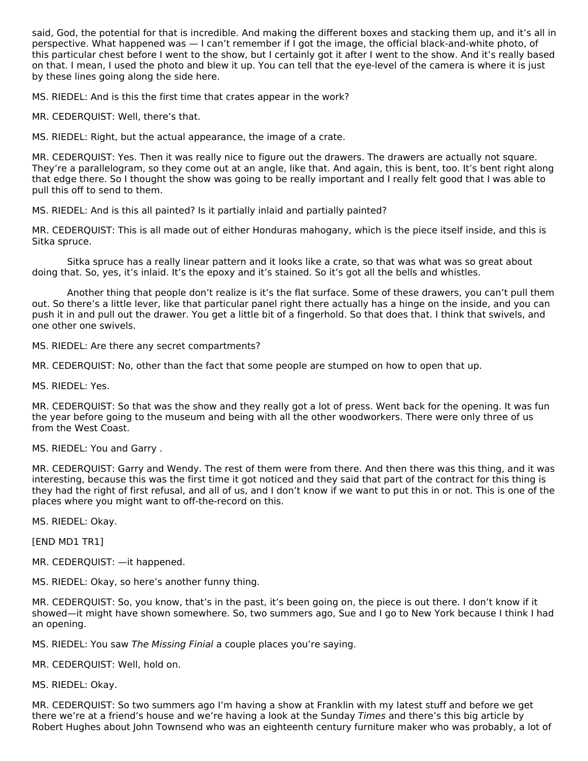said, God, the potential for that is incredible. And making the different boxes and stacking them up, and it's all in perspective. What happened was — I can't remember if I got the image, the official black-and-white photo, of this particular chest before I went to the show, but I certainly got it after I went to the show. And it's really based on that. I mean, I used the photo and blew it up. You can tell that the eye-level of the camera is where it is just by these lines going along the side here.

MS. RIEDEL: And is this the first time that crates appear in the work?

MR. CEDERQUIST: Well, there's that.

MS. RIEDEL: Right, but the actual appearance, the image of a crate.

MR. CEDERQUIST: Yes. Then it was really nice to figure out the drawers. The drawers are actually not square. They're a parallelogram, so they come out at an angle, like that. And again, this is bent, too. It's bent right along that edge there. So I thought the show was going to be really important and I really felt good that I was able to pull this off to send to them.

MS. RIEDEL: And is this all painted? Is it partially inlaid and partially painted?

MR. CEDERQUIST: This is all made out of either Honduras mahogany, which is the piece itself inside, and this is Sitka spruce.

Sitka spruce has a really linear pattern and it looks like a crate, so that was what was so great about doing that. So, yes, it's inlaid. It's the epoxy and it's stained. So it's got all the bells and whistles.

Another thing that people don't realize is it's the flat surface. Some of these drawers, you can't pull them out. So there's a little lever, like that particular panel right there actually has a hinge on the inside, and you can push it in and pull out the drawer. You get a little bit of a fingerhold. So that does that. I think that swivels, and one other one swivels.

MS. RIEDEL: Are there any secret compartments?

MR. CEDERQUIST: No, other than the fact that some people are stumped on how to open that up.

MS. RIEDEL: Yes.

MR. CEDERQUIST: So that was the show and they really got a lot of press. Went back for the opening. It was fun the year before going to the museum and being with all the other woodworkers. There were only three of us from the West Coast.

MS. RIEDEL: You and Garry .

MR. CEDERQUIST: Garry and Wendy. The rest of them were from there. And then there was this thing, and it was interesting, because this was the first time it got noticed and they said that part of the contract for this thing is they had the right of first refusal, and all of us, and I don't know if we want to put this in or not. This is one of the places where you might want to off-the-record on this.

MS. RIEDEL: Okay.

[END MD1 TR1]

MR. CEDERQUIST: —it happened.

MS. RIEDEL: Okay, so here's another funny thing.

MR. CEDERQUIST: So, you know, that's in the past, it's been going on, the piece is out there. I don't know if it showed—it might have shown somewhere. So, two summers ago, Sue and I go to New York because I think I had an opening.

MS. RIEDEL: You saw The Missing Finial a couple places you're saying.

MR. CEDERQUIST: Well, hold on.

MS. RIEDEL: Okay.

MR. CEDERQUIST: So two summers ago I'm having a show at Franklin with my latest stuff and before we get there we're at a friend's house and we're having a look at the Sunday Times and there's this big article by Robert Hughes about John Townsend who was an eighteenth century furniture maker who was probably, a lot of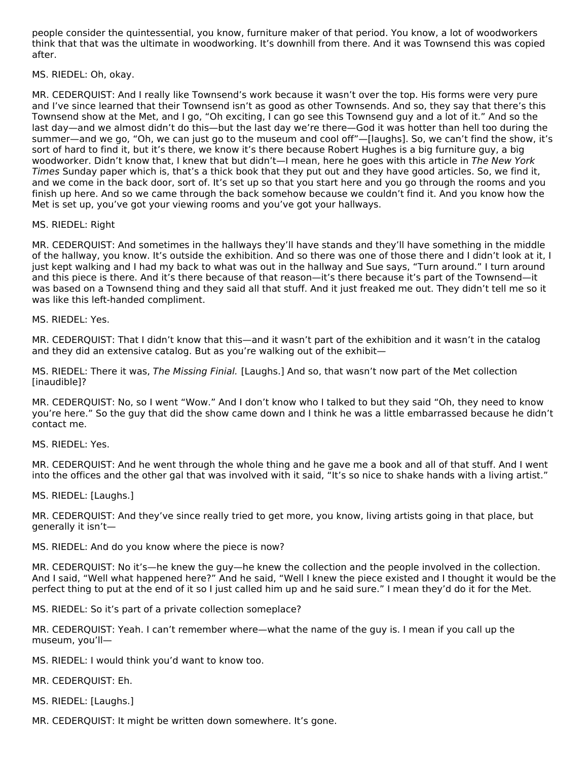people consider the quintessential, you know, furniture maker of that period. You know, a lot of woodworkers think that that was the ultimate in woodworking. It's downhill from there. And it was Townsend this was copied after.

MS. RIEDEL: Oh, okay.

MR. CEDERQUIST: And I really like Townsend's work because it wasn't over the top. His forms were very pure and I've since learned that their Townsend isn't as good as other Townsends. And so, they say that there's this Townsend show at the Met, and I go, "Oh exciting, I can go see this Townsend guy and a lot of it." And so the last day—and we almost didn't do this—but the last day we're there—God it was hotter than hell too during the summer—and we go, "Oh, we can just go to the museum and cool off"—[laughs]. So, we can't find the show, it's sort of hard to find it, but it's there, we know it's there because Robert Hughes is a big furniture guy, a big woodworker. Didn't know that, I knew that but didn't—I mean, here he goes with this article in The New York Times Sunday paper which is, that's a thick book that they put out and they have good articles. So, we find it, and we come in the back door, sort of. It's set up so that you start here and you go through the rooms and you finish up here. And so we came through the back somehow because we couldn't find it. And you know how the Met is set up, you've got your viewing rooms and you've got your hallways.

#### MS. RIEDEL: Right

MR. CEDERQUIST: And sometimes in the hallways they'll have stands and they'll have something in the middle of the hallway, you know. It's outside the exhibition. And so there was one of those there and I didn't look at it, I just kept walking and I had my back to what was out in the hallway and Sue says, "Turn around." I turn around and this piece is there. And it's there because of that reason—it's there because it's part of the Townsend—it was based on a Townsend thing and they said all that stuff. And it just freaked me out. They didn't tell me so it was like this left-handed compliment.

MS. RIEDEL: Yes.

MR. CEDERQUIST: That I didn't know that this—and it wasn't part of the exhibition and it wasn't in the catalog and they did an extensive catalog. But as you're walking out of the exhibit—

MS. RIEDEL: There it was, The Missing Finial. [Laughs.] And so, that wasn't now part of the Met collection [inaudible]?

MR. CEDERQUIST: No, so I went "Wow." And I don't know who I talked to but they said "Oh, they need to know you're here." So the guy that did the show came down and I think he was a little embarrassed because he didn't contact me.

MS. RIEDEL: Yes.

MR. CEDERQUIST: And he went through the whole thing and he gave me a book and all of that stuff. And I went into the offices and the other gal that was involved with it said, "It's so nice to shake hands with a living artist."

MS. RIEDEL: [Laughs.]

MR. CEDERQUIST: And they've since really tried to get more, you know, living artists going in that place, but generally it isn't—

MS. RIEDEL: And do you know where the piece is now?

MR. CEDERQUIST: No it's—he knew the guy—he knew the collection and the people involved in the collection. And I said, "Well what happened here?" And he said, "Well I knew the piece existed and I thought it would be the perfect thing to put at the end of it so I just called him up and he said sure." I mean they'd do it for the Met.

MS. RIEDEL: So it's part of a private collection someplace?

MR. CEDERQUIST: Yeah. I can't remember where—what the name of the guy is. I mean if you call up the museum, you'll—

MS. RIEDEL: I would think you'd want to know too.

MR. CEDERQUIST: Eh.

MS. RIEDEL: [Laughs.]

MR. CEDERQUIST: It might be written down somewhere. It's gone.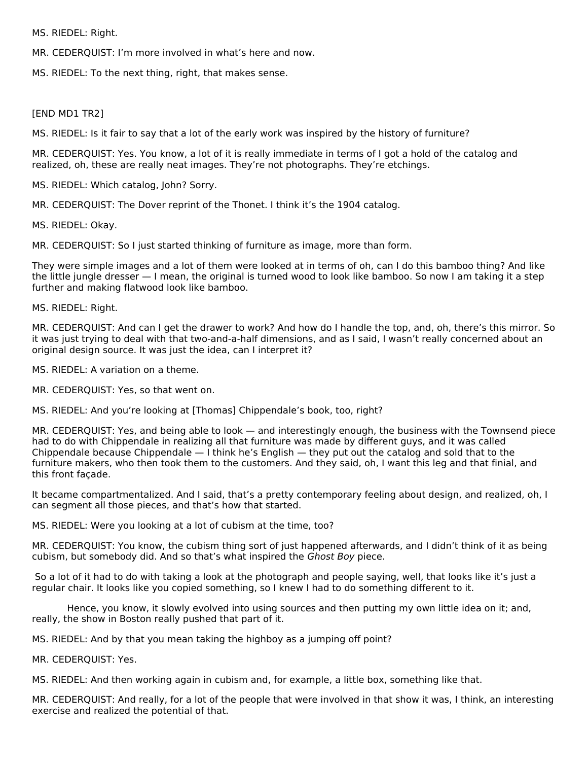MS. RIEDEL: Right.

MR. CEDERQUIST: I'm more involved in what's here and now.

MS. RIEDEL: To the next thing, right, that makes sense.

#### [END MD1 TR2]

MS. RIEDEL: Is it fair to say that a lot of the early work was inspired by the history of furniture?

MR. CEDERQUIST: Yes. You know, a lot of it is really immediate in terms of I got a hold of the catalog and realized, oh, these are really neat images. They're not photographs. They're etchings.

MS. RIEDEL: Which catalog, John? Sorry.

MR. CEDERQUIST: The Dover reprint of the Thonet. I think it's the 1904 catalog.

MS. RIEDEL: Okay.

MR. CEDERQUIST: So I just started thinking of furniture as image, more than form.

They were simple images and a lot of them were looked at in terms of oh, can I do this bamboo thing? And like the little jungle dresser — I mean, the original is turned wood to look like bamboo. So now I am taking it a step further and making flatwood look like bamboo.

MS. RIEDEL: Right.

MR. CEDERQUIST: And can I get the drawer to work? And how do I handle the top, and, oh, there's this mirror. So it was just trying to deal with that two-and-a-half dimensions, and as I said, I wasn't really concerned about an original design source. It was just the idea, can I interpret it?

MS. RIEDEL: A variation on a theme.

MR. CEDERQUIST: Yes, so that went on.

MS. RIEDEL: And you're looking at [Thomas] Chippendale's book, too, right?

MR. CEDERQUIST: Yes, and being able to look — and interestingly enough, the business with the Townsend piece had to do with Chippendale in realizing all that furniture was made by different guys, and it was called Chippendale because Chippendale — I think he's English — they put out the catalog and sold that to the furniture makers, who then took them to the customers. And they said, oh, I want this leg and that finial, and this front façade.

It became compartmentalized. And I said, that's a pretty contemporary feeling about design, and realized, oh, I can segment all those pieces, and that's how that started.

MS. RIEDEL: Were you looking at a lot of cubism at the time, too?

MR. CEDERQUIST: You know, the cubism thing sort of just happened afterwards, and I didn't think of it as being cubism, but somebody did. And so that's what inspired the Ghost Boy piece.

So a lot of it had to do with taking a look at the photograph and people saying, well, that looks like it's just a regular chair. It looks like you copied something, so I knew I had to do something different to it.

Hence, you know, it slowly evolved into using sources and then putting my own little idea on it; and, really, the show in Boston really pushed that part of it.

MS. RIEDEL: And by that you mean taking the highboy as a jumping off point?

MR. CEDERQUIST: Yes.

MS. RIEDEL: And then working again in cubism and, for example, a little box, something like that.

MR. CEDERQUIST: And really, for a lot of the people that were involved in that show it was, I think, an interesting exercise and realized the potential of that.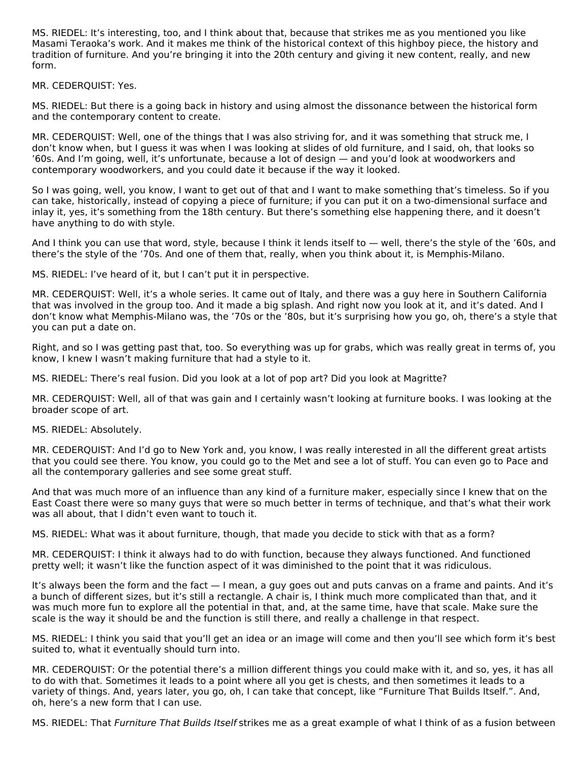MS. RIEDEL: It's interesting, too, and I think about that, because that strikes me as you mentioned you like Masami Teraoka's work. And it makes me think of the historical context of this highboy piece, the history and tradition of furniture. And you're bringing it into the 20th century and giving it new content, really, and new form.

MR. CEDERQUIST: Yes.

MS. RIEDEL: But there is a going back in history and using almost the dissonance between the historical form and the contemporary content to create.

MR. CEDERQUIST: Well, one of the things that I was also striving for, and it was something that struck me, I don't know when, but I guess it was when I was looking at slides of old furniture, and I said, oh, that looks so '60s. And I'm going, well, it's unfortunate, because a lot of design — and you'd look at woodworkers and contemporary woodworkers, and you could date it because if the way it looked.

So I was going, well, you know, I want to get out of that and I want to make something that's timeless. So if you can take, historically, instead of copying a piece of furniture; if you can put it on a two-dimensional surface and inlay it, yes, it's something from the 18th century. But there's something else happening there, and it doesn't have anything to do with style.

And I think you can use that word, style, because I think it lends itself to — well, there's the style of the '60s, and there's the style of the '70s. And one of them that, really, when you think about it, is Memphis-Milano.

MS. RIEDEL: I've heard of it, but I can't put it in perspective.

MR. CEDERQUIST: Well, it's a whole series. It came out of Italy, and there was a guy here in Southern California that was involved in the group too. And it made a big splash. And right now you look at it, and it's dated. And I don't know what Memphis-Milano was, the '70s or the '80s, but it's surprising how you go, oh, there's a style that you can put a date on.

Right, and so I was getting past that, too. So everything was up for grabs, which was really great in terms of, you know, I knew I wasn't making furniture that had a style to it.

MS. RIEDEL: There's real fusion. Did you look at a lot of pop art? Did you look at Magritte?

MR. CEDERQUIST: Well, all of that was gain and I certainly wasn't looking at furniture books. I was looking at the broader scope of art.

MS. RIEDEL: Absolutely.

MR. CEDERQUIST: And I'd go to New York and, you know, I was really interested in all the different great artists that you could see there. You know, you could go to the Met and see a lot of stuff. You can even go to Pace and all the contemporary galleries and see some great stuff.

And that was much more of an influence than any kind of a furniture maker, especially since I knew that on the East Coast there were so many guys that were so much better in terms of technique, and that's what their work was all about, that I didn't even want to touch it.

MS. RIEDEL: What was it about furniture, though, that made you decide to stick with that as a form?

MR. CEDERQUIST: I think it always had to do with function, because they always functioned. And functioned pretty well; it wasn't like the function aspect of it was diminished to the point that it was ridiculous.

It's always been the form and the fact — I mean, a guy goes out and puts canvas on a frame and paints. And it's a bunch of different sizes, but it's still a rectangle. A chair is, I think much more complicated than that, and it was much more fun to explore all the potential in that, and, at the same time, have that scale. Make sure the scale is the way it should be and the function is still there, and really a challenge in that respect.

MS. RIEDEL: I think you said that you'll get an idea or an image will come and then you'll see which form it's best suited to, what it eventually should turn into.

MR. CEDERQUIST: Or the potential there's a million different things you could make with it, and so, yes, it has all to do with that. Sometimes it leads to a point where all you get is chests, and then sometimes it leads to a variety of things. And, years later, you go, oh, I can take that concept, like "Furniture That Builds Itself.". And, oh, here's a new form that I can use.

MS. RIEDEL: That Furniture That Builds Itself strikes me as a great example of what I think of as a fusion between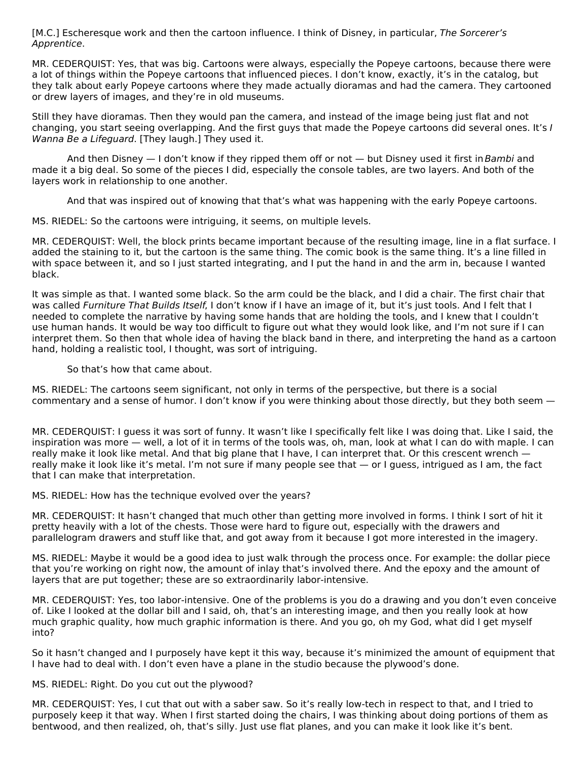[M.C.] Escheresque work and then the cartoon influence. I think of Disney, in particular, The Sorcerer's Apprentice.

MR. CEDERQUIST: Yes, that was big. Cartoons were always, especially the Popeye cartoons, because there were a lot of things within the Popeye cartoons that influenced pieces. I don't know, exactly, it's in the catalog, but they talk about early Popeye cartoons where they made actually dioramas and had the camera. They cartooned or drew layers of images, and they're in old museums.

Still they have dioramas. Then they would pan the camera, and instead of the image being just flat and not changing, you start seeing overlapping. And the first guys that made the Popeye cartoons did several ones. It's I Wanna Be a Lifeguard. [They laugh.] They used it.

And then Disney — I don't know if they ripped them off or not — but Disney used it first in Bambi and made it a big deal. So some of the pieces I did, especially the console tables, are two layers. And both of the layers work in relationship to one another.

And that was inspired out of knowing that that's what was happening with the early Popeye cartoons.

MS. RIEDEL: So the cartoons were intriguing, it seems, on multiple levels.

MR. CEDERQUIST: Well, the block prints became important because of the resulting image, line in a flat surface. I added the staining to it, but the cartoon is the same thing. The comic book is the same thing. It's a line filled in with space between it, and so I just started integrating, and I put the hand in and the arm in, because I wanted black.

It was simple as that. I wanted some black. So the arm could be the black, and I did a chair. The first chair that was called Furniture That Builds Itself, I don't know if I have an image of it, but it's just tools. And I felt that I needed to complete the narrative by having some hands that are holding the tools, and I knew that I couldn't use human hands. It would be way too difficult to figure out what they would look like, and I'm not sure if I can interpret them. So then that whole idea of having the black band in there, and interpreting the hand as a cartoon hand, holding a realistic tool, I thought, was sort of intriguing.

So that's how that came about.

MS. RIEDEL: The cartoons seem significant, not only in terms of the perspective, but there is a social commentary and a sense of humor. I don't know if you were thinking about those directly, but they both seem —

MR. CEDERQUIST: I guess it was sort of funny. It wasn't like I specifically felt like I was doing that. Like I said, the inspiration was more — well, a lot of it in terms of the tools was, oh, man, look at what I can do with maple. I can really make it look like metal. And that big plane that I have, I can interpret that. Or this crescent wrench really make it look like it's metal. I'm not sure if many people see that — or I guess, intrigued as I am, the fact that I can make that interpretation.

MS. RIEDEL: How has the technique evolved over the years?

MR. CEDERQUIST: It hasn't changed that much other than getting more involved in forms. I think I sort of hit it pretty heavily with a lot of the chests. Those were hard to figure out, especially with the drawers and parallelogram drawers and stuff like that, and got away from it because I got more interested in the imagery.

MS. RIEDEL: Maybe it would be a good idea to just walk through the process once. For example: the dollar piece that you're working on right now, the amount of inlay that's involved there. And the epoxy and the amount of layers that are put together; these are so extraordinarily labor-intensive.

MR. CEDERQUIST: Yes, too labor-intensive. One of the problems is you do a drawing and you don't even conceive of. Like I looked at the dollar bill and I said, oh, that's an interesting image, and then you really look at how much graphic quality, how much graphic information is there. And you go, oh my God, what did I get myself into?

So it hasn't changed and I purposely have kept it this way, because it's minimized the amount of equipment that I have had to deal with. I don't even have a plane in the studio because the plywood's done.

MS. RIEDEL: Right. Do you cut out the plywood?

MR. CEDERQUIST: Yes, I cut that out with a saber saw. So it's really low-tech in respect to that, and I tried to purposely keep it that way. When I first started doing the chairs, I was thinking about doing portions of them as bentwood, and then realized, oh, that's silly. Just use flat planes, and you can make it look like it's bent.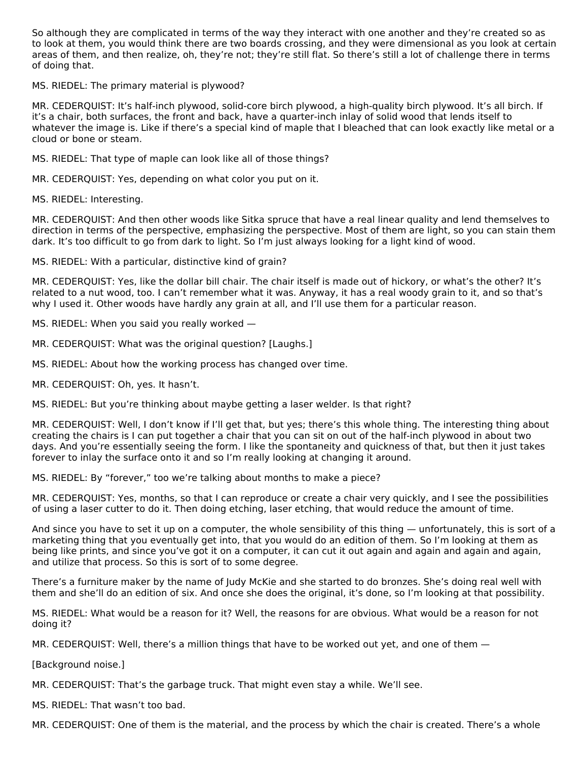So although they are complicated in terms of the way they interact with one another and they're created so as to look at them, you would think there are two boards crossing, and they were dimensional as you look at certain areas of them, and then realize, oh, they're not; they're still flat. So there's still a lot of challenge there in terms of doing that.

MS. RIEDEL: The primary material is plywood?

MR. CEDERQUIST: It's half-inch plywood, solid-core birch plywood, a high-quality birch plywood. It's all birch. If it's a chair, both surfaces, the front and back, have a quarter‑inch inlay of solid wood that lends itself to whatever the image is. Like if there's a special kind of maple that I bleached that can look exactly like metal or a cloud or bone or steam.

MS. RIEDEL: That type of maple can look like all of those things?

MR. CEDERQUIST: Yes, depending on what color you put on it.

MS. RIEDEL: Interesting.

MR. CEDERQUIST: And then other woods like Sitka spruce that have a real linear quality and lend themselves to direction in terms of the perspective, emphasizing the perspective. Most of them are light, so you can stain them dark. It's too difficult to go from dark to light. So I'm just always looking for a light kind of wood.

MS. RIEDEL: With a particular, distinctive kind of grain?

MR. CEDERQUIST: Yes, like the dollar bill chair. The chair itself is made out of hickory, or what's the other? It's related to a nut wood, too. I can't remember what it was. Anyway, it has a real woody grain to it, and so that's why I used it. Other woods have hardly any grain at all, and I'll use them for a particular reason.

MS. RIEDEL: When you said you really worked —

MR. CEDERQUIST: What was the original question? [Laughs.]

MS. RIEDEL: About how the working process has changed over time.

MR. CEDERQUIST: Oh, yes. It hasn't.

MS. RIEDEL: But you're thinking about maybe getting a laser welder. Is that right?

MR. CEDERQUIST: Well, I don't know if I'll get that, but yes; there's this whole thing. The interesting thing about creating the chairs is I can put together a chair that you can sit on out of the half‑inch plywood in about two days. And you're essentially seeing the form. I like the spontaneity and quickness of that, but then it just takes forever to inlay the surface onto it and so I'm really looking at changing it around.

MS. RIEDEL: By "forever," too we're talking about months to make a piece?

MR. CEDERQUIST: Yes, months, so that I can reproduce or create a chair very quickly, and I see the possibilities of using a laser cutter to do it. Then doing etching, laser etching, that would reduce the amount of time.

And since you have to set it up on a computer, the whole sensibility of this thing — unfortunately, this is sort of a marketing thing that you eventually get into, that you would do an edition of them. So I'm looking at them as being like prints, and since you've got it on a computer, it can cut it out again and again and again and again, and utilize that process. So this is sort of to some degree.

There's a furniture maker by the name of Judy McKie and she started to do bronzes. She's doing real well with them and she'll do an edition of six. And once she does the original, it's done, so I'm looking at that possibility.

MS. RIEDEL: What would be a reason for it? Well, the reasons for are obvious. What would be a reason for not doing it?

MR. CEDERQUIST: Well, there's a million things that have to be worked out yet, and one of them —

[Background noise.]

MR. CEDERQUIST: That's the garbage truck. That might even stay a while. We'll see.

MS. RIEDEL: That wasn't too bad.

MR. CEDERQUIST: One of them is the material, and the process by which the chair is created. There's a whole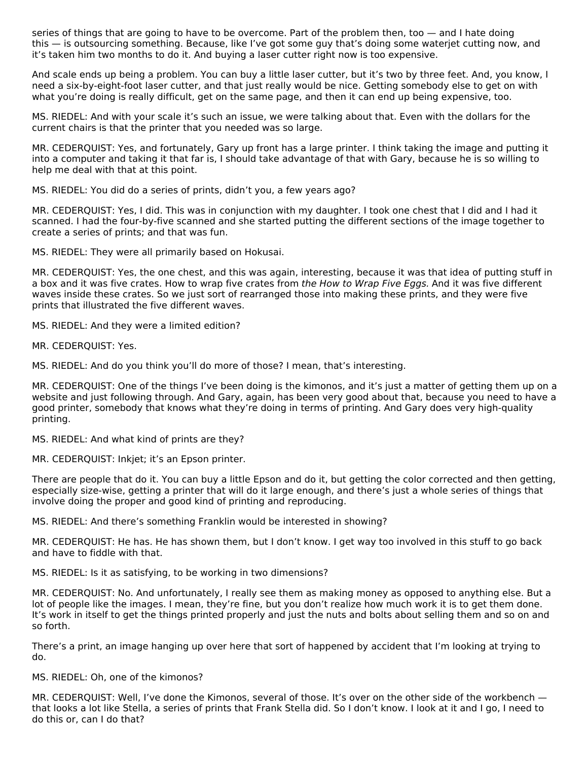series of things that are going to have to be overcome. Part of the problem then, too — and I hate doing this — is outsourcing something. Because, like I've got some guy that's doing some waterjet cutting now, and it's taken him two months to do it. And buying a laser cutter right now is too expensive.

And scale ends up being a problem. You can buy a little laser cutter, but it's two by three feet. And, you know, I need a six-by-eight-foot laser cutter, and that just really would be nice. Getting somebody else to get on with what you're doing is really difficult, get on the same page, and then it can end up being expensive, too.

MS. RIEDEL: And with your scale it's such an issue, we were talking about that. Even with the dollars for the current chairs is that the printer that you needed was so large.

MR. CEDERQUIST: Yes, and fortunately, Gary up front has a large printer. I think taking the image and putting it into a computer and taking it that far is, I should take advantage of that with Gary, because he is so willing to help me deal with that at this point.

MS. RIEDEL: You did do a series of prints, didn't you, a few years ago?

MR. CEDERQUIST: Yes, I did. This was in conjunction with my daughter. I took one chest that I did and I had it scanned. I had the four-by-five scanned and she started putting the different sections of the image together to create a series of prints; and that was fun.

MS. RIEDEL: They were all primarily based on Hokusai.

MR. CEDERQUIST: Yes, the one chest, and this was again, interesting, because it was that idea of putting stuff in a box and it was five crates. How to wrap five crates from the How to Wrap Five Eggs. And it was five different waves inside these crates. So we just sort of rearranged those into making these prints, and they were five prints that illustrated the five different waves.

MS. RIEDEL: And they were a limited edition?

MR. CEDERQUIST: Yes.

MS. RIEDEL: And do you think you'll do more of those? I mean, that's interesting.

MR. CEDERQUIST: One of the things I've been doing is the kimonos, and it's just a matter of getting them up on a website and just following through. And Gary, again, has been very good about that, because you need to have a good printer, somebody that knows what they're doing in terms of printing. And Gary does very high-quality printing.

MS. RIEDEL: And what kind of prints are they?

MR. CEDERQUIST: Inkjet; it's an Epson printer.

There are people that do it. You can buy a little Epson and do it, but getting the color corrected and then getting, especially size-wise, getting a printer that will do it large enough, and there's just a whole series of things that involve doing the proper and good kind of printing and reproducing.

MS. RIEDEL: And there's something Franklin would be interested in showing?

MR. CEDERQUIST: He has. He has shown them, but I don't know. I get way too involved in this stuff to go back and have to fiddle with that.

MS. RIEDEL: Is it as satisfying, to be working in two dimensions?

MR. CEDERQUIST: No. And unfortunately, I really see them as making money as opposed to anything else. But a lot of people like the images. I mean, they're fine, but you don't realize how much work it is to get them done. It's work in itself to get the things printed properly and just the nuts and bolts about selling them and so on and so forth.

There's a print, an image hanging up over here that sort of happened by accident that I'm looking at trying to do.

MS. RIEDEL: Oh, one of the kimonos?

MR. CEDERQUIST: Well, I've done the Kimonos, several of those. It's over on the other side of the workbench that looks a lot like Stella, a series of prints that Frank Stella did. So I don't know. I look at it and I go, I need to do this or, can I do that?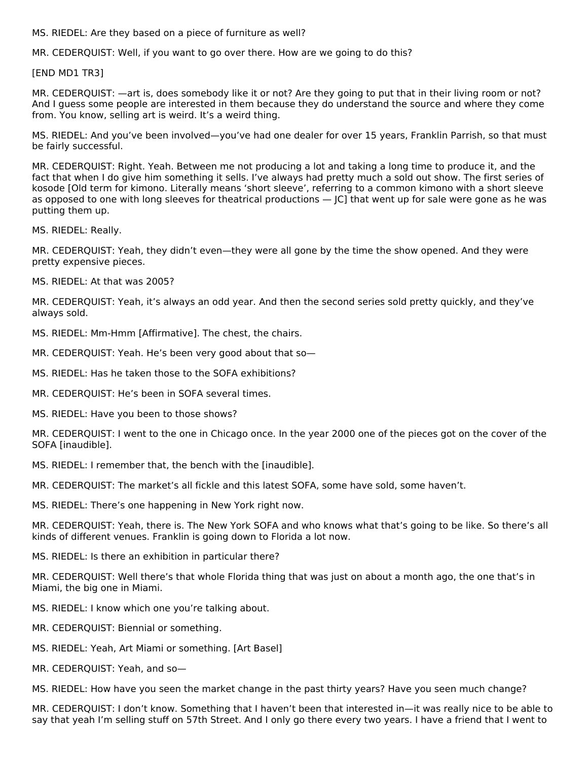MS. RIEDEL: Are they based on a piece of furniture as well?

MR. CEDERQUIST: Well, if you want to go over there. How are we going to do this?

[END MD1 TR3]

MR. CEDERQUIST: —art is, does somebody like it or not? Are they going to put that in their living room or not? And I guess some people are interested in them because they do understand the source and where they come from. You know, selling art is weird. It's a weird thing.

MS. RIEDEL: And you've been involved—you've had one dealer for over 15 years, Franklin Parrish, so that must be fairly successful.

MR. CEDERQUIST: Right. Yeah. Between me not producing a lot and taking a long time to produce it, and the fact that when I do give him something it sells. I've always had pretty much a sold out show. The first series of kosode [Old term for kimono. Literally means 'short sleeve', referring to a common kimono with a short sleeve as opposed to one with long sleeves for theatrical productions — JC] that went up for sale were gone as he was putting them up.

MS. RIEDEL: Really.

MR. CEDERQUIST: Yeah, they didn't even—they were all gone by the time the show opened. And they were pretty expensive pieces.

MS. RIEDEL: At that was 2005?

MR. CEDERQUIST: Yeah, it's always an odd year. And then the second series sold pretty quickly, and they've always sold.

MS. RIEDEL: Mm-Hmm [Affirmative]. The chest, the chairs.

MR. CEDERQUIST: Yeah. He's been very good about that so—

MS. RIEDEL: Has he taken those to the SOFA exhibitions?

MR. CEDERQUIST: He's been in SOFA several times.

MS. RIEDEL: Have you been to those shows?

MR. CEDERQUIST: I went to the one in Chicago once. In the year 2000 one of the pieces got on the cover of the SOFA [inaudible].

MS. RIEDEL: I remember that, the bench with the [inaudible].

MR. CEDERQUIST: The market's all fickle and this latest SOFA, some have sold, some haven't.

MS. RIEDEL: There's one happening in New York right now.

MR. CEDERQUIST: Yeah, there is. The New York SOFA and who knows what that's going to be like. So there's all kinds of different venues. Franklin is going down to Florida a lot now.

MS. RIEDEL: Is there an exhibition in particular there?

MR. CEDERQUIST: Well there's that whole Florida thing that was just on about a month ago, the one that's in Miami, the big one in Miami.

MS. RIEDEL: I know which one you're talking about.

- MR. CEDERQUIST: Biennial or something.
- MS. RIEDEL: Yeah, Art Miami or something. [Art Basel]

MR. CEDERQUIST: Yeah, and so—

MS. RIEDEL: How have you seen the market change in the past thirty years? Have you seen much change?

MR. CEDERQUIST: I don't know. Something that I haven't been that interested in—it was really nice to be able to say that yeah I'm selling stuff on 57th Street. And I only go there every two years. I have a friend that I went to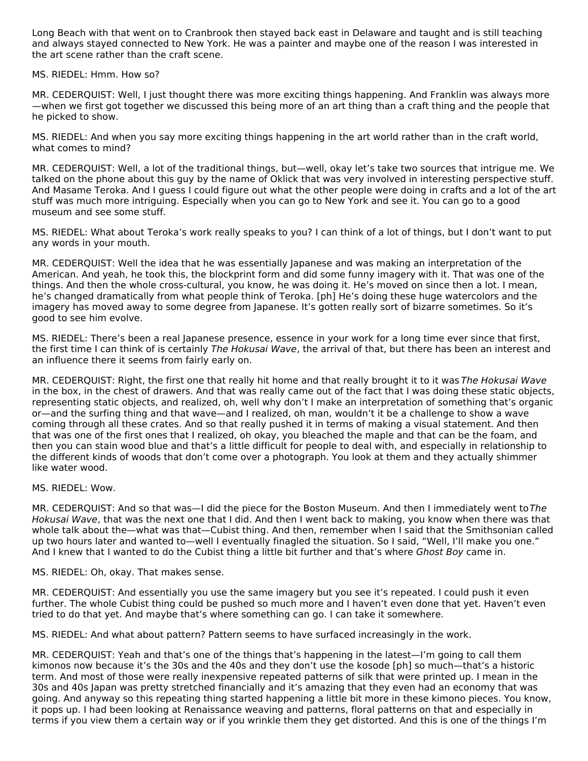Long Beach with that went on to Cranbrook then stayed back east in Delaware and taught and is still teaching and always stayed connected to New York. He was a painter and maybe one of the reason I was interested in the art scene rather than the craft scene.

#### MS. RIEDEL: Hmm. How so?

MR. CEDERQUIST: Well, I just thought there was more exciting things happening. And Franklin was always more —when we first got together we discussed this being more of an art thing than a craft thing and the people that he picked to show.

MS. RIEDEL: And when you say more exciting things happening in the art world rather than in the craft world, what comes to mind?

MR. CEDERQUIST: Well, a lot of the traditional things, but—well, okay let's take two sources that intrigue me. We talked on the phone about this guy by the name of Oklick that was very involved in interesting perspective stuff. And Masame Teroka. And I guess I could figure out what the other people were doing in crafts and a lot of the art stuff was much more intriguing. Especially when you can go to New York and see it. You can go to a good museum and see some stuff.

MS. RIEDEL: What about Teroka's work really speaks to you? I can think of a lot of things, but I don't want to put any words in your mouth.

MR. CEDERQUIST: Well the idea that he was essentially Japanese and was making an interpretation of the American. And yeah, he took this, the blockprint form and did some funny imagery with it. That was one of the things. And then the whole cross-cultural, you know, he was doing it. He's moved on since then a lot. I mean, he's changed dramatically from what people think of Teroka. [ph] He's doing these huge watercolors and the imagery has moved away to some degree from Japanese. It's gotten really sort of bizarre sometimes. So it's good to see him evolve.

MS. RIEDEL: There's been a real Japanese presence, essence in your work for a long time ever since that first, the first time I can think of is certainly The Hokusai Wave, the arrival of that, but there has been an interest and an influence there it seems from fairly early on.

MR. CEDERQUIST: Right, the first one that really hit home and that really brought it to it was The Hokusai Wave in the box, in the chest of drawers. And that was really came out of the fact that I was doing these static objects, representing static objects, and realized, oh, well why don't I make an interpretation of something that's organic or—and the surfing thing and that wave—and I realized, oh man, wouldn't it be a challenge to show a wave coming through all these crates. And so that really pushed it in terms of making a visual statement. And then that was one of the first ones that I realized, oh okay, you bleached the maple and that can be the foam, and then you can stain wood blue and that's a little difficult for people to deal with, and especially in relationship to the different kinds of woods that don't come over a photograph. You look at them and they actually shimmer like water wood.

#### MS. RIEDEL: Wow.

MR. CEDERQUIST: And so that was—I did the piece for the Boston Museum. And then I immediately went to The Hokusai Wave, that was the next one that I did. And then I went back to making, you know when there was that whole talk about the—what was that—Cubist thing. And then, remember when I said that the Smithsonian called up two hours later and wanted to—well I eventually finagled the situation. So I said, "Well, I'll make you one." And I knew that I wanted to do the Cubist thing a little bit further and that's where Ghost Boy came in.

MS. RIEDEL: Oh, okay. That makes sense.

MR. CEDERQUIST: And essentially you use the same imagery but you see it's repeated. I could push it even further. The whole Cubist thing could be pushed so much more and I haven't even done that yet. Haven't even tried to do that yet. And maybe that's where something can go. I can take it somewhere.

MS. RIEDEL: And what about pattern? Pattern seems to have surfaced increasingly in the work.

MR. CEDERQUIST: Yeah and that's one of the things that's happening in the latest—I'm going to call them kimonos now because it's the 30s and the 40s and they don't use the kosode [ph] so much—that's a historic term. And most of those were really inexpensive repeated patterns of silk that were printed up. I mean in the 30s and 40s Japan was pretty stretched financially and it's amazing that they even had an economy that was going. And anyway so this repeating thing started happening a little bit more in these kimono pieces. You know, it pops up. I had been looking at Renaissance weaving and patterns, floral patterns on that and especially in terms if you view them a certain way or if you wrinkle them they get distorted. And this is one of the things I'm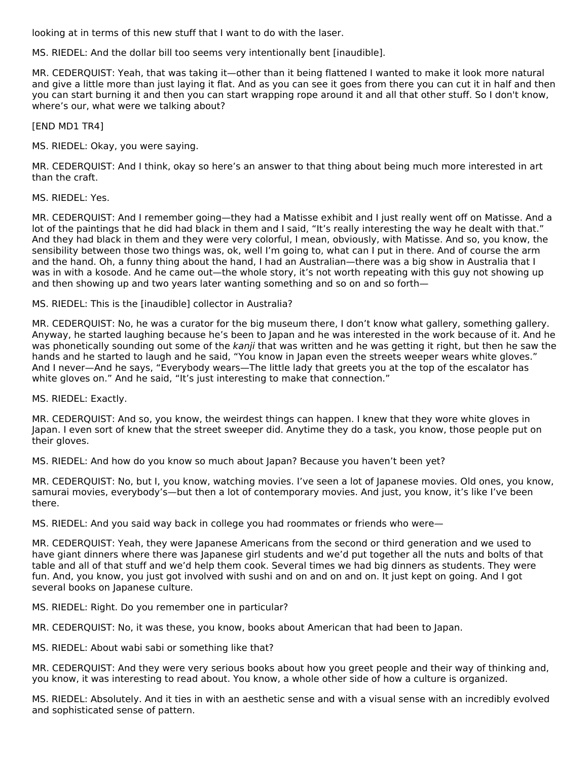looking at in terms of this new stuff that I want to do with the laser.

MS. RIEDEL: And the dollar bill too seems very intentionally bent [inaudible].

MR. CEDERQUIST: Yeah, that was taking it—other than it being flattened I wanted to make it look more natural and give a little more than just laying it flat. And as you can see it goes from there you can cut it in half and then you can start burning it and then you can start wrapping rope around it and all that other stuff. So I don't know, where's our, what were we talking about?

[END MD1 TR4]

MS. RIEDEL: Okay, you were saying.

MR. CEDERQUIST: And I think, okay so here's an answer to that thing about being much more interested in art than the craft.

MS. RIEDEL: Yes.

MR. CEDERQUIST: And I remember going—they had a Matisse exhibit and I just really went off on Matisse. And a lot of the paintings that he did had black in them and I said, "It's really interesting the way he dealt with that." And they had black in them and they were very colorful, I mean, obviously, with Matisse. And so, you know, the sensibility between those two things was, ok, well I'm going to, what can I put in there. And of course the arm and the hand. Oh, a funny thing about the hand, I had an Australian—there was a big show in Australia that I was in with a kosode. And he came out—the whole story, it's not worth repeating with this guy not showing up and then showing up and two years later wanting something and so on and so forth—

MS. RIEDEL: This is the [inaudible] collector in Australia?

MR. CEDERQUIST: No, he was a curator for the big museum there, I don't know what gallery, something gallery. Anyway, he started laughing because he's been to Japan and he was interested in the work because of it. And he was phonetically sounding out some of the kanji that was written and he was getting it right, but then he saw the hands and he started to laugh and he said, "You know in Japan even the streets weeper wears white gloves." And I never—And he says, "Everybody wears—The little lady that greets you at the top of the escalator has white gloves on." And he said, "It's just interesting to make that connection."

MS. RIEDEL: Exactly.

MR. CEDERQUIST: And so, you know, the weirdest things can happen. I knew that they wore white gloves in Japan. I even sort of knew that the street sweeper did. Anytime they do a task, you know, those people put on their gloves.

MS. RIEDEL: And how do you know so much about Japan? Because you haven't been yet?

MR. CEDERQUIST: No, but I, you know, watching movies. I've seen a lot of Japanese movies. Old ones, you know, samurai movies, everybody's—but then a lot of contemporary movies. And just, you know, it's like I've been there.

MS. RIEDEL: And you said way back in college you had roommates or friends who were—

MR. CEDERQUIST: Yeah, they were Japanese Americans from the second or third generation and we used to have giant dinners where there was Japanese girl students and we'd put together all the nuts and bolts of that table and all of that stuff and we'd help them cook. Several times we had big dinners as students. They were fun. And, you know, you just got involved with sushi and on and on and on. It just kept on going. And I got several books on Japanese culture.

MS. RIEDEL: Right. Do you remember one in particular?

MR. CEDERQUIST: No, it was these, you know, books about American that had been to Japan.

MS. RIEDEL: About wabi sabi or something like that?

MR. CEDERQUIST: And they were very serious books about how you greet people and their way of thinking and, you know, it was interesting to read about. You know, a whole other side of how a culture is organized.

MS. RIEDEL: Absolutely. And it ties in with an aesthetic sense and with a visual sense with an incredibly evolved and sophisticated sense of pattern.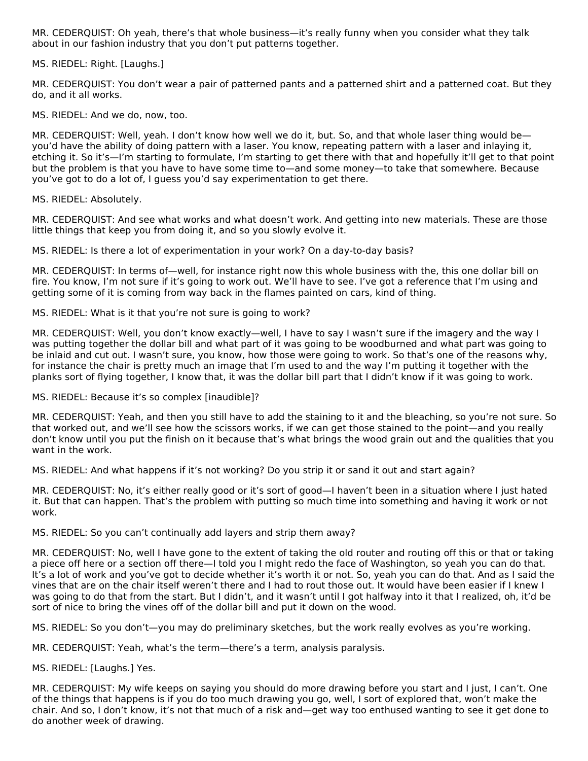MR. CEDERQUIST: Oh yeah, there's that whole business—it's really funny when you consider what they talk about in our fashion industry that you don't put patterns together.

MS. RIEDEL: Right. [Laughs.]

MR. CEDERQUIST: You don't wear a pair of patterned pants and a patterned shirt and a patterned coat. But they do, and it all works.

MS. RIEDEL: And we do, now, too.

MR. CEDERQUIST: Well, yeah. I don't know how well we do it, but. So, and that whole laser thing would be you'd have the ability of doing pattern with a laser. You know, repeating pattern with a laser and inlaying it, etching it. So it's—I'm starting to formulate, I'm starting to get there with that and hopefully it'll get to that point but the problem is that you have to have some time to—and some money—to take that somewhere. Because you've got to do a lot of, I guess you'd say experimentation to get there.

MS. RIEDEL: Absolutely.

MR. CEDERQUIST: And see what works and what doesn't work. And getting into new materials. These are those little things that keep you from doing it, and so you slowly evolve it.

MS. RIEDEL: Is there a lot of experimentation in your work? On a day-to-day basis?

MR. CEDERQUIST: In terms of—well, for instance right now this whole business with the, this one dollar bill on fire. You know, I'm not sure if it's going to work out. We'll have to see. I've got a reference that I'm using and getting some of it is coming from way back in the flames painted on cars, kind of thing.

MS. RIEDEL: What is it that you're not sure is going to work?

MR. CEDERQUIST: Well, you don't know exactly—well, I have to say I wasn't sure if the imagery and the way I was putting together the dollar bill and what part of it was going to be woodburned and what part was going to be inlaid and cut out. I wasn't sure, you know, how those were going to work. So that's one of the reasons why, for instance the chair is pretty much an image that I'm used to and the way I'm putting it together with the planks sort of flying together, I know that, it was the dollar bill part that I didn't know if it was going to work.

MS. RIEDEL: Because it's so complex [inaudible]?

MR. CEDERQUIST: Yeah, and then you still have to add the staining to it and the bleaching, so you're not sure. So that worked out, and we'll see how the scissors works, if we can get those stained to the point—and you really don't know until you put the finish on it because that's what brings the wood grain out and the qualities that you want in the work.

MS. RIEDEL: And what happens if it's not working? Do you strip it or sand it out and start again?

MR. CEDERQUIST: No, it's either really good or it's sort of good—I haven't been in a situation where I just hated it. But that can happen. That's the problem with putting so much time into something and having it work or not work.

MS. RIEDEL: So you can't continually add layers and strip them away?

MR. CEDERQUIST: No, well I have gone to the extent of taking the old router and routing off this or that or taking a piece off here or a section off there—I told you I might redo the face of Washington, so yeah you can do that. It's a lot of work and you've got to decide whether it's worth it or not. So, yeah you can do that. And as I said the vines that are on the chair itself weren't there and I had to rout those out. It would have been easier if I knew I was going to do that from the start. But I didn't, and it wasn't until I got halfway into it that I realized, oh, it'd be sort of nice to bring the vines off of the dollar bill and put it down on the wood.

MS. RIEDEL: So you don't—you may do preliminary sketches, but the work really evolves as you're working.

MR. CEDERQUIST: Yeah, what's the term—there's a term, analysis paralysis.

MS. RIEDEL: [Laughs.] Yes.

MR. CEDERQUIST: My wife keeps on saying you should do more drawing before you start and I just, I can't. One of the things that happens is if you do too much drawing you go, well, I sort of explored that, won't make the chair. And so, I don't know, it's not that much of a risk and—get way too enthused wanting to see it get done to do another week of drawing.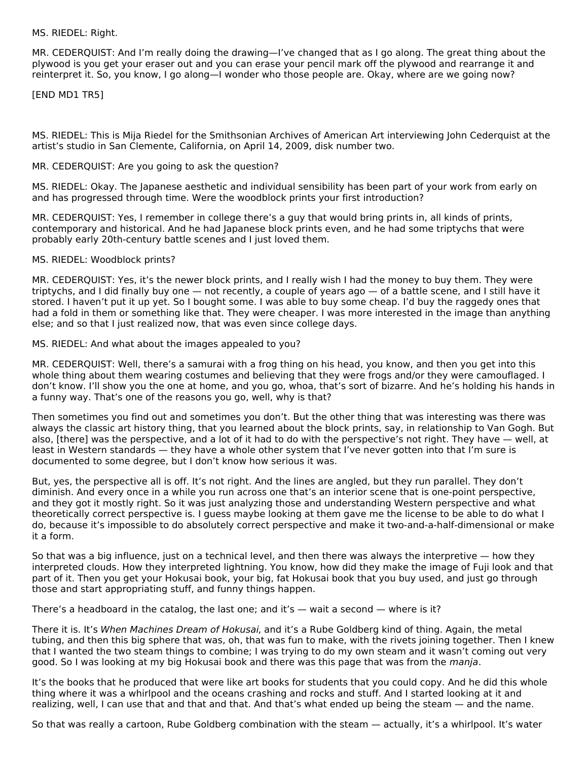#### MS. RIEDEL: Right.

MR. CEDERQUIST: And I'm really doing the drawing—I've changed that as I go along. The great thing about the plywood is you get your eraser out and you can erase your pencil mark off the plywood and rearrange it and reinterpret it. So, you know, I go along—I wonder who those people are. Okay, where are we going now?

[END MD1 TR5]

MS. RIEDEL: This is Mija Riedel for the Smithsonian Archives of American Art interviewing John Cederquist at the artist's studio in San Clemente, California, on April 14, 2009, disk number two.

#### MR. CEDERQUIST: Are you going to ask the question?

MS. RIEDEL: Okay. The Japanese aesthetic and individual sensibility has been part of your work from early on and has progressed through time. Were the woodblock prints your first introduction?

MR. CEDERQUIST: Yes, I remember in college there's a guy that would bring prints in, all kinds of prints, contemporary and historical. And he had Japanese block prints even, and he had some triptychs that were probably early 20th-century battle scenes and I just loved them.

#### MS. RIEDEL: Woodblock prints?

MR. CEDERQUIST: Yes, it's the newer block prints, and I really wish I had the money to buy them. They were triptychs, and I did finally buy one — not recently, a couple of years ago — of a battle scene, and I still have it stored. I haven't put it up yet. So I bought some. I was able to buy some cheap. I'd buy the raggedy ones that had a fold in them or something like that. They were cheaper. I was more interested in the image than anything else; and so that I just realized now, that was even since college days.

#### MS. RIEDEL: And what about the images appealed to you?

MR. CEDERQUIST: Well, there's a samurai with a frog thing on his head, you know, and then you get into this whole thing about them wearing costumes and believing that they were frogs and/or they were camouflaged. I don't know. I'll show you the one at home, and you go, whoa, that's sort of bizarre. And he's holding his hands in a funny way. That's one of the reasons you go, well, why is that?

Then sometimes you find out and sometimes you don't. But the other thing that was interesting was there was always the classic art history thing, that you learned about the block prints, say, in relationship to Van Gogh. But also, [there] was the perspective, and a lot of it had to do with the perspective's not right. They have — well, at least in Western standards — they have a whole other system that I've never gotten into that I'm sure is documented to some degree, but I don't know how serious it was.

But, yes, the perspective all is off. It's not right. And the lines are angled, but they run parallel. They don't diminish. And every once in a while you run across one that's an interior scene that is one-point perspective, and they got it mostly right. So it was just analyzing those and understanding Western perspective and what theoretically correct perspective is. I guess maybe looking at them gave me the license to be able to do what I do, because it's impossible to do absolutely correct perspective and make it two-and-a-half-dimensional or make it a form.

So that was a big influence, just on a technical level, and then there was always the interpretive — how they interpreted clouds. How they interpreted lightning. You know, how did they make the image of Fuji look and that part of it. Then you get your Hokusai book, your big, fat Hokusai book that you buy used, and just go through those and start appropriating stuff, and funny things happen.

There's a headboard in the catalog, the last one; and it's  $-$  wait a second  $-$  where is it?

There it is. It's When Machines Dream of Hokusai, and it's a Rube Goldberg kind of thing. Again, the metal tubing, and then this big sphere that was, oh, that was fun to make, with the rivets joining together. Then I knew that I wanted the two steam things to combine; I was trying to do my own steam and it wasn't coming out very good. So I was looking at my big Hokusai book and there was this page that was from the manja.

It's the books that he produced that were like art books for students that you could copy. And he did this whole thing where it was a whirlpool and the oceans crashing and rocks and stuff. And I started looking at it and realizing, well, I can use that and that and that. And that's what ended up being the steam — and the name.

So that was really a cartoon, Rube Goldberg combination with the steam — actually, it's a whirlpool. It's water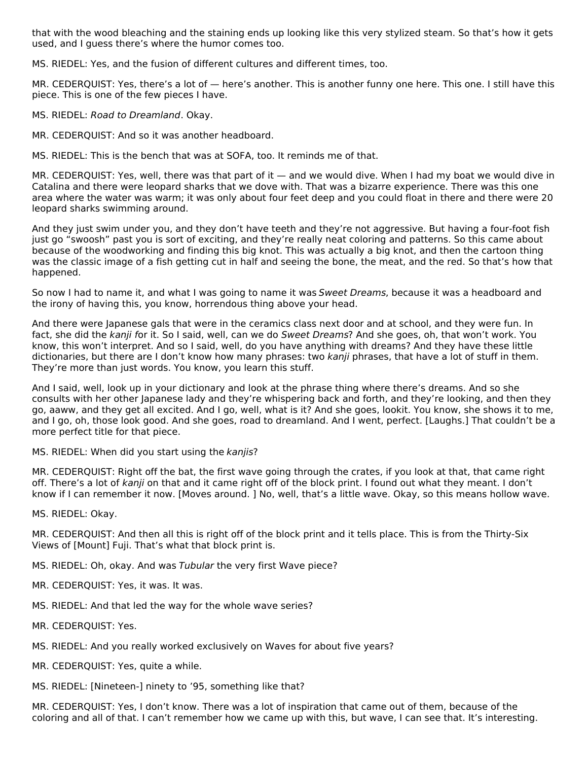that with the wood bleaching and the staining ends up looking like this very stylized steam. So that's how it gets used, and I guess there's where the humor comes too.

MS. RIEDEL: Yes, and the fusion of different cultures and different times, too.

MR. CEDERQUIST: Yes, there's a lot of — here's another. This is another funny one here. This one. I still have this piece. This is one of the few pieces I have.

MS. RIEDEL: Road to Dreamland. Okay.

MR. CEDERQUIST: And so it was another headboard.

MS. RIEDEL: This is the bench that was at SOFA, too. It reminds me of that.

MR. CEDERQUIST: Yes, well, there was that part of it — and we would dive. When I had my boat we would dive in Catalina and there were leopard sharks that we dove with. That was a bizarre experience. There was this one area where the water was warm; it was only about four feet deep and you could float in there and there were 20 leopard sharks swimming around.

And they just swim under you, and they don't have teeth and they're not aggressive. But having a four‑foot fish just go "swoosh" past you is sort of exciting, and they're really neat coloring and patterns. So this came about because of the woodworking and finding this big knot. This was actually a big knot, and then the cartoon thing was the classic image of a fish getting cut in half and seeing the bone, the meat, and the red. So that's how that happened.

So now I had to name it, and what I was going to name it was Sweet Dreams, because it was a headboard and the irony of having this, you know, horrendous thing above your head.

And there were Japanese gals that were in the ceramics class next door and at school, and they were fun. In fact, she did the kanji for it. So I said, well, can we do Sweet Dreams? And she goes, oh, that won't work. You know, this won't interpret. And so I said, well, do you have anything with dreams? And they have these little dictionaries, but there are I don't know how many phrases: two kanji phrases, that have a lot of stuff in them. They're more than just words. You know, you learn this stuff.

And I said, well, look up in your dictionary and look at the phrase thing where there's dreams. And so she consults with her other Japanese lady and they're whispering back and forth, and they're looking, and then they go, aaww, and they get all excited. And I go, well, what is it? And she goes, lookit. You know, she shows it to me, and I go, oh, those look good. And she goes, road to dreamland. And I went, perfect. [Laughs.] That couldn't be a more perfect title for that piece.

MS. RIEDEL: When did you start using the kanjis?

MR. CEDERQUIST: Right off the bat, the first wave going through the crates, if you look at that, that came right off. There's a lot of kanji on that and it came right off of the block print. I found out what they meant. I don't know if I can remember it now. [Moves around. ] No, well, that's a little wave. Okay, so this means hollow wave.

MS. RIEDEL: Okay.

MR. CEDERQUIST: And then all this is right off of the block print and it tells place. This is from the Thirty-Six Views of [Mount] Fuji. That's what that block print is.

MS. RIEDEL: Oh, okay. And was Tubular the very first Wave piece?

- MR. CEDERQUIST: Yes, it was. It was.
- MS. RIEDEL: And that led the way for the whole wave series?
- MR. CEDERQUIST: Yes.
- MS. RIEDEL: And you really worked exclusively on Waves for about five years?
- MR. CEDERQUIST: Yes, quite a while.
- MS. RIEDEL: [Nineteen-] ninety to '95, something like that?

MR. CEDERQUIST: Yes, I don't know. There was a lot of inspiration that came out of them, because of the coloring and all of that. I can't remember how we came up with this, but wave, I can see that. It's interesting.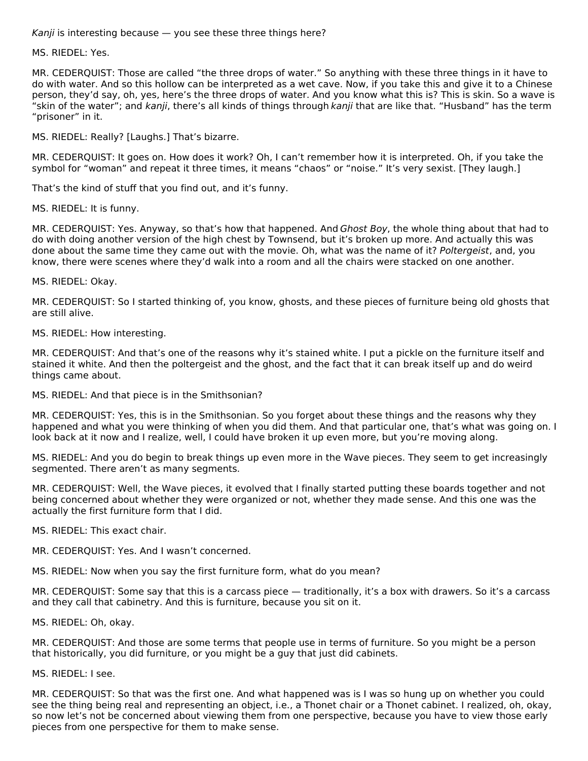Kanji is interesting because  $-$  you see these three things here?

MS. RIEDEL: Yes.

MR. CEDERQUIST: Those are called "the three drops of water." So anything with these three things in it have to do with water. And so this hollow can be interpreted as a wet cave. Now, if you take this and give it to a Chinese person, they'd say, oh, yes, here's the three drops of water. And you know what this is? This is skin. So a wave is "skin of the water"; and kanji, there's all kinds of things through kanji that are like that. "Husband" has the term "prisoner" in it.

MS. RIEDEL: Really? [Laughs.] That's bizarre.

MR. CEDERQUIST: It goes on. How does it work? Oh, I can't remember how it is interpreted. Oh, if you take the symbol for "woman" and repeat it three times, it means "chaos" or "noise." It's very sexist. [They laugh.]

That's the kind of stuff that you find out, and it's funny.

MS. RIEDEL: It is funny.

MR. CEDERQUIST: Yes. Anyway, so that's how that happened. And Ghost Boy, the whole thing about that had to do with doing another version of the high chest by Townsend, but it's broken up more. And actually this was done about the same time they came out with the movie. Oh, what was the name of it? Poltergeist, and, you know, there were scenes where they'd walk into a room and all the chairs were stacked on one another.

MS. RIEDEL: Okay.

MR. CEDERQUIST: So I started thinking of, you know, ghosts, and these pieces of furniture being old ghosts that are still alive.

MS. RIEDEL: How interesting.

MR. CEDERQUIST: And that's one of the reasons why it's stained white. I put a pickle on the furniture itself and stained it white. And then the poltergeist and the ghost, and the fact that it can break itself up and do weird things came about.

MS. RIEDEL: And that piece is in the Smithsonian?

MR. CEDERQUIST: Yes, this is in the Smithsonian. So you forget about these things and the reasons why they happened and what you were thinking of when you did them. And that particular one, that's what was going on. I look back at it now and I realize, well, I could have broken it up even more, but you're moving along.

MS. RIEDEL: And you do begin to break things up even more in the Wave pieces. They seem to get increasingly segmented. There aren't as many segments.

MR. CEDERQUIST: Well, the Wave pieces, it evolved that I finally started putting these boards together and not being concerned about whether they were organized or not, whether they made sense. And this one was the actually the first furniture form that I did.

MS. RIEDEL: This exact chair.

MR. CEDERQUIST: Yes. And I wasn't concerned.

MS. RIEDEL: Now when you say the first furniture form, what do you mean?

MR. CEDERQUIST: Some say that this is a carcass piece — traditionally, it's a box with drawers. So it's a carcass and they call that cabinetry. And this is furniture, because you sit on it.

MS. RIEDEL: Oh, okay.

MR. CEDERQUIST: And those are some terms that people use in terms of furniture. So you might be a person that historically, you did furniture, or you might be a guy that just did cabinets.

MS. RIEDEL: I see.

MR. CEDERQUIST: So that was the first one. And what happened was is I was so hung up on whether you could see the thing being real and representing an object, i.e., a Thonet chair or a Thonet cabinet. I realized, oh, okay, so now let's not be concerned about viewing them from one perspective, because you have to view those early pieces from one perspective for them to make sense.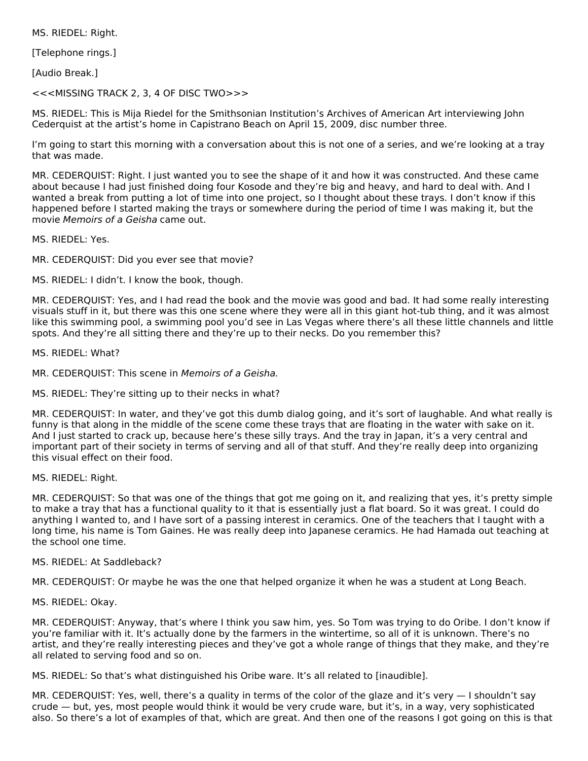MS. RIEDEL: Right.

[Telephone rings.]

[Audio Break.]

<<<MISSING TRACK 2, 3, 4 OF DISC TWO>>>

MS. RIEDEL: This is Mija Riedel for the Smithsonian Institution's Archives of American Art interviewing John Cederquist at the artist's home in Capistrano Beach on April 15, 2009, disc number three.

I'm going to start this morning with a conversation about this is not one of a series, and we're looking at a tray that was made.

MR. CEDERQUIST: Right. I just wanted you to see the shape of it and how it was constructed. And these came about because I had just finished doing four Kosode and they're big and heavy, and hard to deal with. And I wanted a break from putting a lot of time into one project, so I thought about these trays. I don't know if this happened before I started making the trays or somewhere during the period of time I was making it, but the movie Memoirs of a Geisha came out.

MS. RIEDEL: Yes.

MR. CEDERQUIST: Did you ever see that movie?

MS. RIEDEL: I didn't. I know the book, though.

MR. CEDERQUIST: Yes, and I had read the book and the movie was good and bad. It had some really interesting visuals stuff in it, but there was this one scene where they were all in this giant hot-tub thing, and it was almost like this swimming pool, a swimming pool you'd see in Las Vegas where there's all these little channels and little spots. And they're all sitting there and they're up to their necks. Do you remember this?

MS. RIEDEL: What?

MR. CEDERQUIST: This scene in Memoirs of a Geisha.

MS. RIEDEL: They're sitting up to their necks in what?

MR. CEDERQUIST: In water, and they've got this dumb dialog going, and it's sort of laughable. And what really is funny is that along in the middle of the scene come these trays that are floating in the water with sake on it. And I just started to crack up, because here's these silly trays. And the tray in Japan, it's a very central and important part of their society in terms of serving and all of that stuff. And they're really deep into organizing this visual effect on their food.

MS. RIEDEL: Right.

MR. CEDERQUIST: So that was one of the things that got me going on it, and realizing that yes, it's pretty simple to make a tray that has a functional quality to it that is essentially just a flat board. So it was great. I could do anything I wanted to, and I have sort of a passing interest in ceramics. One of the teachers that I taught with a long time, his name is Tom Gaines. He was really deep into Japanese ceramics. He had Hamada out teaching at the school one time.

#### MS. RIEDEL: At Saddleback?

MR. CEDERQUIST: Or maybe he was the one that helped organize it when he was a student at Long Beach.

MS. RIEDEL: Okay.

MR. CEDERQUIST: Anyway, that's where I think you saw him, yes. So Tom was trying to do Oribe. I don't know if you're familiar with it. It's actually done by the farmers in the wintertime, so all of it is unknown. There's no artist, and they're really interesting pieces and they've got a whole range of things that they make, and they're all related to serving food and so on.

MS. RIEDEL: So that's what distinguished his Oribe ware. It's all related to [inaudible].

MR. CEDERQUIST: Yes, well, there's a quality in terms of the color of the glaze and it's very — I shouldn't say crude — but, yes, most people would think it would be very crude ware, but it's, in a way, very sophisticated also. So there's a lot of examples of that, which are great. And then one of the reasons I got going on this is that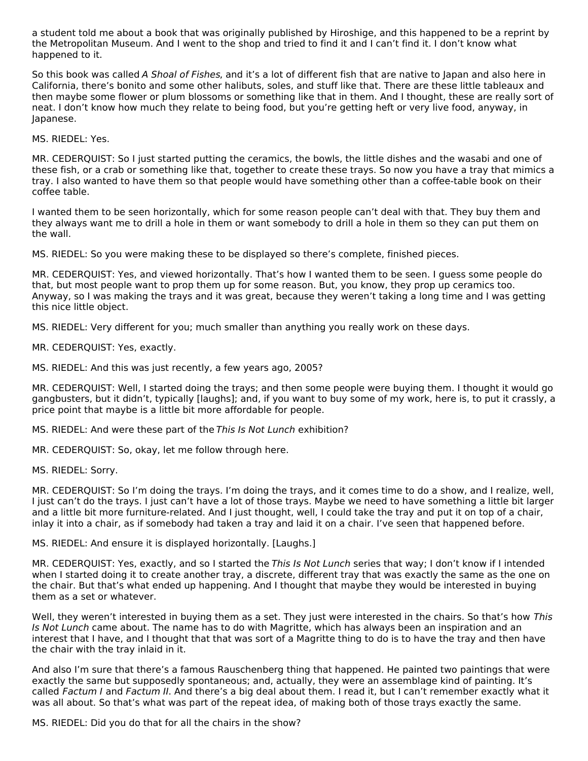a student told me about a book that was originally published by Hiroshige, and this happened to be a reprint by the Metropolitan Museum. And I went to the shop and tried to find it and I can't find it. I don't know what happened to it.

So this book was called A Shoal of Fishes, and it's a lot of different fish that are native to Japan and also here in California, there's bonito and some other halibuts, soles, and stuff like that. There are these little tableaux and then maybe some flower or plum blossoms or something like that in them. And I thought, these are really sort of neat. I don't know how much they relate to being food, but you're getting heft or very live food, anyway, in Japanese.

MS. RIEDEL: Yes.

MR. CEDERQUIST: So I just started putting the ceramics, the bowls, the little dishes and the wasabi and one of these fish, or a crab or something like that, together to create these trays. So now you have a tray that mimics a tray. I also wanted to have them so that people would have something other than a coffee-table book on their coffee table.

I wanted them to be seen horizontally, which for some reason people can't deal with that. They buy them and they always want me to drill a hole in them or want somebody to drill a hole in them so they can put them on the wall.

MS. RIEDEL: So you were making these to be displayed so there's complete, finished pieces.

MR. CEDERQUIST: Yes, and viewed horizontally. That's how I wanted them to be seen. I guess some people do that, but most people want to prop them up for some reason. But, you know, they prop up ceramics too. Anyway, so I was making the trays and it was great, because they weren't taking a long time and I was getting this nice little object.

MS. RIEDEL: Very different for you; much smaller than anything you really work on these days.

MR. CEDERQUIST: Yes, exactly.

MS. RIEDEL: And this was just recently, a few years ago, 2005?

MR. CEDERQUIST: Well, I started doing the trays; and then some people were buying them. I thought it would go gangbusters, but it didn't, typically [laughs]; and, if you want to buy some of my work, here is, to put it crassly, a price point that maybe is a little bit more affordable for people.

MS. RIEDEL: And were these part of the This Is Not Lunch exhibition?

MR. CEDERQUIST: So, okay, let me follow through here.

MS. RIEDEL: Sorry.

MR. CEDERQUIST: So I'm doing the trays. I'm doing the trays, and it comes time to do a show, and I realize, well, I just can't do the trays. I just can't have a lot of those trays. Maybe we need to have something a little bit larger and a little bit more furniture-related. And I just thought, well, I could take the tray and put it on top of a chair, inlay it into a chair, as if somebody had taken a tray and laid it on a chair. I've seen that happened before.

MS. RIEDEL: And ensure it is displayed horizontally. [Laughs.]

MR. CEDERQUIST: Yes, exactly, and so I started the This Is Not Lunch series that way; I don't know if I intended when I started doing it to create another tray, a discrete, different tray that was exactly the same as the one on the chair. But that's what ended up happening. And I thought that maybe they would be interested in buying them as a set or whatever.

Well, they weren't interested in buying them as a set. They just were interested in the chairs. So that's how This Is Not Lunch came about. The name has to do with Magritte, which has always been an inspiration and an interest that I have, and I thought that that was sort of a Magritte thing to do is to have the tray and then have the chair with the tray inlaid in it.

And also I'm sure that there's a famous Rauschenberg thing that happened. He painted two paintings that were exactly the same but supposedly spontaneous; and, actually, they were an assemblage kind of painting. It's called Factum I and Factum II. And there's a big deal about them. I read it, but I can't remember exactly what it was all about. So that's what was part of the repeat idea, of making both of those trays exactly the same.

MS. RIEDEL: Did you do that for all the chairs in the show?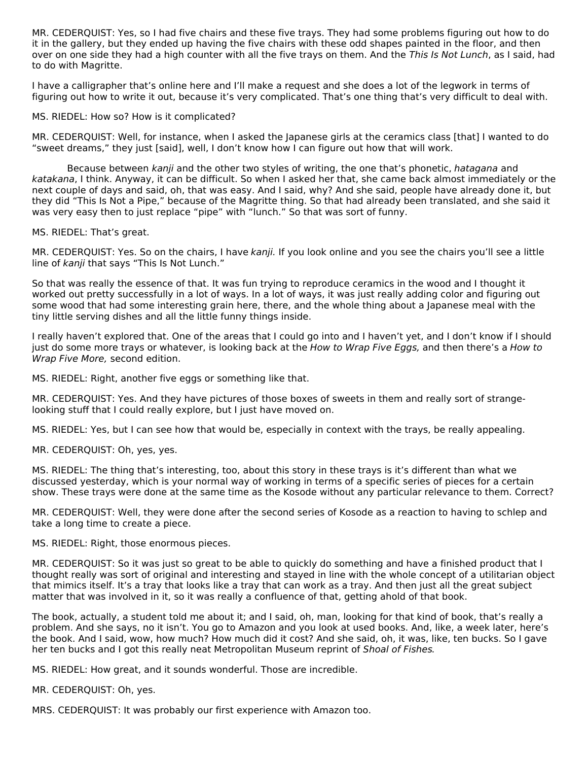MR. CEDERQUIST: Yes, so I had five chairs and these five trays. They had some problems figuring out how to do it in the gallery, but they ended up having the five chairs with these odd shapes painted in the floor, and then over on one side they had a high counter with all the five trays on them. And the This Is Not Lunch, as I said, had to do with Magritte.

I have a calligrapher that's online here and I'll make a request and she does a lot of the legwork in terms of figuring out how to write it out, because it's very complicated. That's one thing that's very difficult to deal with.

MS. RIEDEL: How so? How is it complicated?

MR. CEDERQUIST: Well, for instance, when I asked the Japanese girls at the ceramics class [that] I wanted to do "sweet dreams," they just [said], well, I don't know how I can figure out how that will work.

Because between kanji and the other two styles of writing, the one that's phonetic, hatagana and katakana, I think. Anyway, it can be difficult. So when I asked her that, she came back almost immediately or the next couple of days and said, oh, that was easy. And I said, why? And she said, people have already done it, but they did "This Is Not a Pipe," because of the Magritte thing. So that had already been translated, and she said it was very easy then to just replace "pipe" with "lunch." So that was sort of funny.

MS. RIEDEL: That's great.

MR. CEDERQUIST: Yes. So on the chairs, I have kanji. If you look online and you see the chairs you'll see a little line of kanji that says "This Is Not Lunch."

So that was really the essence of that. It was fun trying to reproduce ceramics in the wood and I thought it worked out pretty successfully in a lot of ways. In a lot of ways, it was just really adding color and figuring out some wood that had some interesting grain here, there, and the whole thing about a Japanese meal with the tiny little serving dishes and all the little funny things inside.

I really haven't explored that. One of the areas that I could go into and I haven't yet, and I don't know if I should just do some more trays or whatever, is looking back at the How to Wrap Five Eggs, and then there's a How to Wrap Five More, second edition.

MS. RIEDEL: Right, another five eggs or something like that.

MR. CEDERQUIST: Yes. And they have pictures of those boxes of sweets in them and really sort of strangelooking stuff that I could really explore, but I just have moved on.

MS. RIEDEL: Yes, but I can see how that would be, especially in context with the trays, be really appealing.

MR. CEDERQUIST: Oh, yes, yes.

MS. RIEDEL: The thing that's interesting, too, about this story in these trays is it's different than what we discussed yesterday, which is your normal way of working in terms of a specific series of pieces for a certain show. These trays were done at the same time as the Kosode without any particular relevance to them. Correct?

MR. CEDERQUIST: Well, they were done after the second series of Kosode as a reaction to having to schlep and take a long time to create a piece.

MS. RIEDEL: Right, those enormous pieces.

MR. CEDERQUIST: So it was just so great to be able to quickly do something and have a finished product that I thought really was sort of original and interesting and stayed in line with the whole concept of a utilitarian object that mimics itself. It's a tray that looks like a tray that can work as a tray. And then just all the great subject matter that was involved in it, so it was really a confluence of that, getting ahold of that book.

The book, actually, a student told me about it; and I said, oh, man, looking for that kind of book, that's really a problem. And she says, no it isn't. You go to Amazon and you look at used books. And, like, a week later, here's the book. And I said, wow, how much? How much did it cost? And she said, oh, it was, like, ten bucks. So I gave her ten bucks and I got this really neat Metropolitan Museum reprint of Shoal of Fishes.

MS. RIEDEL: How great, and it sounds wonderful. Those are incredible.

MR. CEDERQUIST: Oh, yes.

MRS. CEDERQUIST: It was probably our first experience with Amazon too.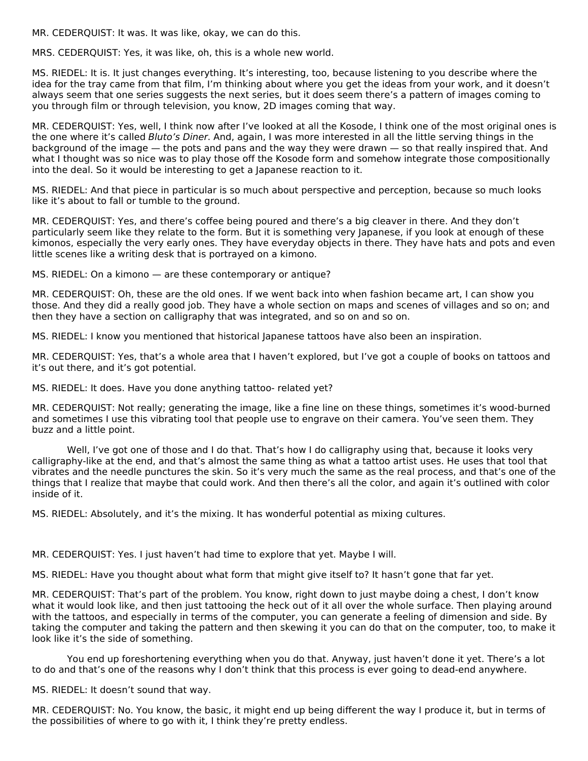MR. CEDERQUIST: It was. It was like, okay, we can do this.

MRS. CEDERQUIST: Yes, it was like, oh, this is a whole new world.

MS. RIEDEL: It is. It just changes everything. It's interesting, too, because listening to you describe where the idea for the tray came from that film, I'm thinking about where you get the ideas from your work, and it doesn't always seem that one series suggests the next series, but it does seem there's a pattern of images coming to you through film or through television, you know, 2D images coming that way.

MR. CEDERQUIST: Yes, well, I think now after I've looked at all the Kosode, I think one of the most original ones is the one where it's called Bluto's Diner. And, again, I was more interested in all the little serving things in the background of the image — the pots and pans and the way they were drawn — so that really inspired that. And what I thought was so nice was to play those off the Kosode form and somehow integrate those compositionally into the deal. So it would be interesting to get a Japanese reaction to it.

MS. RIEDEL: And that piece in particular is so much about perspective and perception, because so much looks like it's about to fall or tumble to the ground.

MR. CEDERQUIST: Yes, and there's coffee being poured and there's a big cleaver in there. And they don't particularly seem like they relate to the form. But it is something very Japanese, if you look at enough of these kimonos, especially the very early ones. They have everyday objects in there. They have hats and pots and even little scenes like a writing desk that is portrayed on a kimono.

MS. RIEDEL: On a kimono — are these contemporary or antique?

MR. CEDERQUIST: Oh, these are the old ones. If we went back into when fashion became art, I can show you those. And they did a really good job. They have a whole section on maps and scenes of villages and so on; and then they have a section on calligraphy that was integrated, and so on and so on.

MS. RIEDEL: I know you mentioned that historical Japanese tattoos have also been an inspiration.

MR. CEDERQUIST: Yes, that's a whole area that I haven't explored, but I've got a couple of books on tattoos and it's out there, and it's got potential.

MS. RIEDEL: It does. Have you done anything tattoo- related yet?

MR. CEDERQUIST: Not really; generating the image, like a fine line on these things, sometimes it's wood-burned and sometimes I use this vibrating tool that people use to engrave on their camera. You've seen them. They buzz and a little point.

Well, I've got one of those and I do that. That's how I do calligraphy using that, because it looks very calligraphy‑like at the end, and that's almost the same thing as what a tattoo artist uses. He uses that tool that vibrates and the needle punctures the skin. So it's very much the same as the real process, and that's one of the things that I realize that maybe that could work. And then there's all the color, and again it's outlined with color inside of it.

MS. RIEDEL: Absolutely, and it's the mixing. It has wonderful potential as mixing cultures.

MR. CEDERQUIST: Yes. I just haven't had time to explore that yet. Maybe I will.

MS. RIEDEL: Have you thought about what form that might give itself to? It hasn't gone that far yet.

MR. CEDERQUIST: That's part of the problem. You know, right down to just maybe doing a chest, I don't know what it would look like, and then just tattooing the heck out of it all over the whole surface. Then playing around with the tattoos, and especially in terms of the computer, you can generate a feeling of dimension and side. By taking the computer and taking the pattern and then skewing it you can do that on the computer, too, to make it look like it's the side of something.

You end up foreshortening everything when you do that. Anyway, just haven't done it yet. There's a lot to do and that's one of the reasons why I don't think that this process is ever going to dead‑end anywhere.

MS. RIEDEL: It doesn't sound that way.

MR. CEDERQUIST: No. You know, the basic, it might end up being different the way I produce it, but in terms of the possibilities of where to go with it, I think they're pretty endless.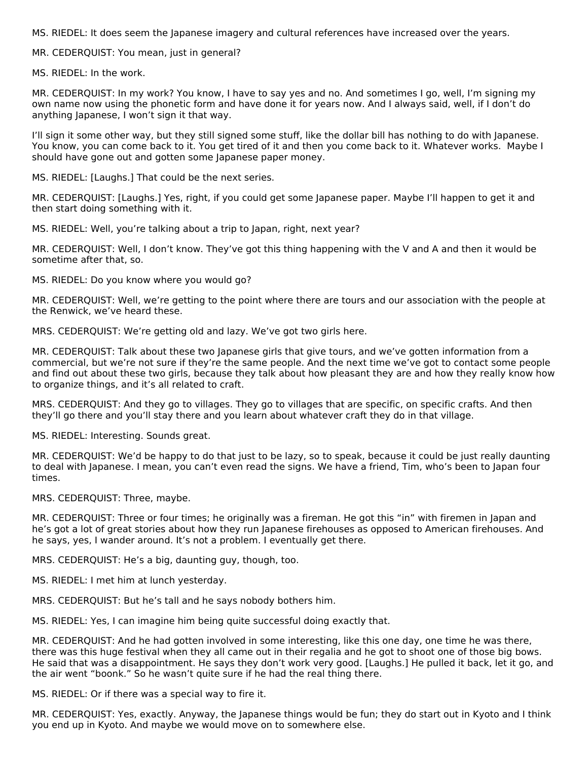MS. RIEDEL: It does seem the Japanese imagery and cultural references have increased over the years.

MR. CEDERQUIST: You mean, just in general?

MS. RIEDEL: In the work.

MR. CEDERQUIST: In my work? You know, I have to say yes and no. And sometimes I go, well, I'm signing my own name now using the phonetic form and have done it for years now. And I always said, well, if I don't do anything Japanese, I won't sign it that way.

I'll sign it some other way, but they still signed some stuff, like the dollar bill has nothing to do with Japanese. You know, you can come back to it. You get tired of it and then you come back to it. Whatever works. Maybe I should have gone out and gotten some Japanese paper money.

MS. RIEDEL: [Laughs.] That could be the next series.

MR. CEDERQUIST: [Laughs.] Yes, right, if you could get some Japanese paper. Maybe I'll happen to get it and then start doing something with it.

MS. RIEDEL: Well, you're talking about a trip to Japan, right, next year?

MR. CEDERQUIST: Well, I don't know. They've got this thing happening with the V and A and then it would be sometime after that, so.

MS. RIEDEL: Do you know where you would go?

MR. CEDERQUIST: Well, we're getting to the point where there are tours and our association with the people at the Renwick, we've heard these.

MRS. CEDERQUIST: We're getting old and lazy. We've got two girls here.

MR. CEDERQUIST: Talk about these two Japanese girls that give tours, and we've gotten information from a commercial, but we're not sure if they're the same people. And the next time we've got to contact some people and find out about these two girls, because they talk about how pleasant they are and how they really know how to organize things, and it's all related to craft.

MRS. CEDERQUIST: And they go to villages. They go to villages that are specific, on specific crafts. And then they'll go there and you'll stay there and you learn about whatever craft they do in that village.

MS. RIEDEL: Interesting. Sounds great.

MR. CEDERQUIST: We'd be happy to do that just to be lazy, so to speak, because it could be just really daunting to deal with Japanese. I mean, you can't even read the signs. We have a friend, Tim, who's been to Japan four times.

MRS. CEDERQUIST: Three, maybe.

MR. CEDERQUIST: Three or four times; he originally was a fireman. He got this "in" with firemen in Japan and he's got a lot of great stories about how they run Japanese firehouses as opposed to American firehouses. And he says, yes, I wander around. It's not a problem. I eventually get there.

MRS. CEDERQUIST: He's a big, daunting guy, though, too.

MS. RIEDEL: I met him at lunch yesterday.

MRS. CEDERQUIST: But he's tall and he says nobody bothers him.

MS. RIEDEL: Yes, I can imagine him being quite successful doing exactly that.

MR. CEDERQUIST: And he had gotten involved in some interesting, like this one day, one time he was there, there was this huge festival when they all came out in their regalia and he got to shoot one of those big bows. He said that was a disappointment. He says they don't work very good. [Laughs.] He pulled it back, let it go, and the air went "boonk." So he wasn't quite sure if he had the real thing there.

MS. RIEDEL: Or if there was a special way to fire it.

MR. CEDERQUIST: Yes, exactly. Anyway, the Japanese things would be fun; they do start out in Kyoto and I think you end up in Kyoto. And maybe we would move on to somewhere else.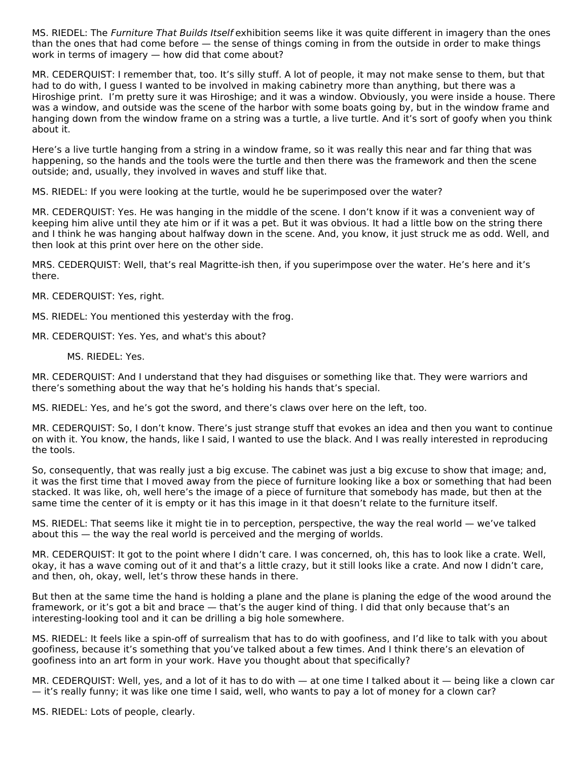MS. RIEDEL: The Furniture That Builds Itself exhibition seems like it was quite different in imagery than the ones than the ones that had come before — the sense of things coming in from the outside in order to make things work in terms of imagery — how did that come about?

MR. CEDERQUIST: I remember that, too. It's silly stuff. A lot of people, it may not make sense to them, but that had to do with, I guess I wanted to be involved in making cabinetry more than anything, but there was a Hiroshige print. I'm pretty sure it was Hiroshige; and it was a window. Obviously, you were inside a house. There was a window, and outside was the scene of the harbor with some boats going by, but in the window frame and hanging down from the window frame on a string was a turtle, a live turtle. And it's sort of goofy when you think about it.

Here's a live turtle hanging from a string in a window frame, so it was really this near and far thing that was happening, so the hands and the tools were the turtle and then there was the framework and then the scene outside; and, usually, they involved in waves and stuff like that.

MS. RIEDEL: If you were looking at the turtle, would he be superimposed over the water?

MR. CEDERQUIST: Yes. He was hanging in the middle of the scene. I don't know if it was a convenient way of keeping him alive until they ate him or if it was a pet. But it was obvious. It had a little bow on the string there and I think he was hanging about halfway down in the scene. And, you know, it just struck me as odd. Well, and then look at this print over here on the other side.

MRS. CEDERQUIST: Well, that's real Magritte-ish then, if you superimpose over the water. He's here and it's there.

MR. CEDERQUIST: Yes, right.

MS. RIEDEL: You mentioned this yesterday with the frog.

MR. CEDERQUIST: Yes. Yes, and what's this about?

MS. RIEDEL: Yes.

MR. CEDERQUIST: And I understand that they had disguises or something like that. They were warriors and there's something about the way that he's holding his hands that's special.

MS. RIEDEL: Yes, and he's got the sword, and there's claws over here on the left, too.

MR. CEDERQUIST: So, I don't know. There's just strange stuff that evokes an idea and then you want to continue on with it. You know, the hands, like I said, I wanted to use the black. And I was really interested in reproducing the tools.

So, consequently, that was really just a big excuse. The cabinet was just a big excuse to show that image; and, it was the first time that I moved away from the piece of furniture looking like a box or something that had been stacked. It was like, oh, well here's the image of a piece of furniture that somebody has made, but then at the same time the center of it is empty or it has this image in it that doesn't relate to the furniture itself.

MS. RIEDEL: That seems like it might tie in to perception, perspective, the way the real world — we've talked about this — the way the real world is perceived and the merging of worlds.

MR. CEDERQUIST: It got to the point where I didn't care. I was concerned, oh, this has to look like a crate. Well, okay, it has a wave coming out of it and that's a little crazy, but it still looks like a crate. And now I didn't care, and then, oh, okay, well, let's throw these hands in there.

But then at the same time the hand is holding a plane and the plane is planing the edge of the wood around the framework, or it's got a bit and brace — that's the auger kind of thing. I did that only because that's an interesting-looking tool and it can be drilling a big hole somewhere.

MS. RIEDEL: It feels like a spin‑off of surrealism that has to do with goofiness, and I'd like to talk with you about goofiness, because it's something that you've talked about a few times. And I think there's an elevation of goofiness into an art form in your work. Have you thought about that specifically?

MR. CEDERQUIST: Well, yes, and a lot of it has to do with — at one time I talked about it — being like a clown car — it's really funny; it was like one time I said, well, who wants to pay a lot of money for a clown car?

MS. RIEDEL: Lots of people, clearly.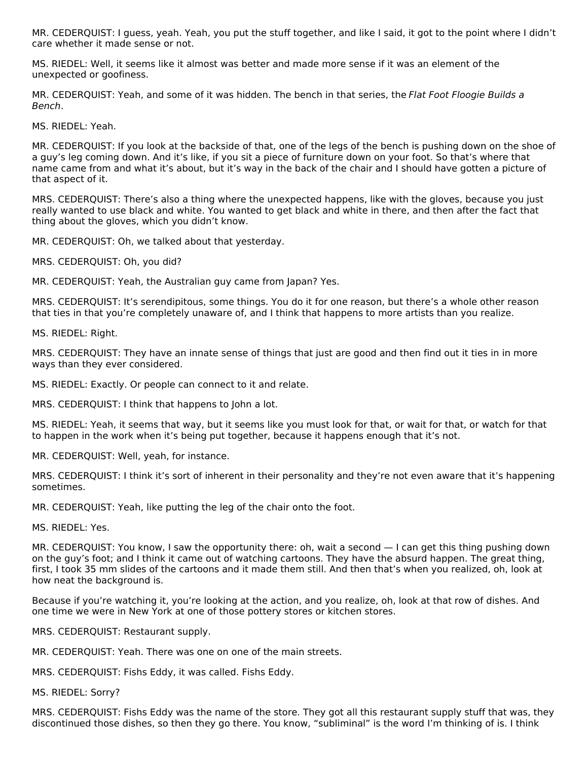MR. CEDERQUIST: I guess, yeah. Yeah, you put the stuff together, and like I said, it got to the point where I didn't care whether it made sense or not.

MS. RIEDEL: Well, it seems like it almost was better and made more sense if it was an element of the unexpected or goofiness.

MR. CEDERQUIST: Yeah, and some of it was hidden. The bench in that series, the Flat Foot Floogie Builds a Bench.

MS. RIEDEL: Yeah.

MR. CEDERQUIST: If you look at the backside of that, one of the legs of the bench is pushing down on the shoe of a guy's leg coming down. And it's like, if you sit a piece of furniture down on your foot. So that's where that name came from and what it's about, but it's way in the back of the chair and I should have gotten a picture of that aspect of it.

MRS. CEDERQUIST: There's also a thing where the unexpected happens, like with the gloves, because you just really wanted to use black and white. You wanted to get black and white in there, and then after the fact that thing about the gloves, which you didn't know.

MR. CEDERQUIST: Oh, we talked about that yesterday.

MRS. CEDERQUIST: Oh, you did?

MR. CEDERQUIST: Yeah, the Australian guy came from Japan? Yes.

MRS. CEDERQUIST: It's serendipitous, some things. You do it for one reason, but there's a whole other reason that ties in that you're completely unaware of, and I think that happens to more artists than you realize.

MS. RIEDEL: Right.

MRS. CEDERQUIST: They have an innate sense of things that just are good and then find out it ties in in more ways than they ever considered.

MS. RIEDEL: Exactly. Or people can connect to it and relate.

MRS. CEDERQUIST: I think that happens to John a lot.

MS. RIEDEL: Yeah, it seems that way, but it seems like you must look for that, or wait for that, or watch for that to happen in the work when it's being put together, because it happens enough that it's not.

MR. CEDERQUIST: Well, yeah, for instance.

MRS. CEDERQUIST: I think it's sort of inherent in their personality and they're not even aware that it's happening sometimes.

MR. CEDERQUIST: Yeah, like putting the leg of the chair onto the foot.

MS. RIEDEL: Yes.

MR. CEDERQUIST: You know, I saw the opportunity there: oh, wait a second — I can get this thing pushing down on the guy's foot; and I think it came out of watching cartoons. They have the absurd happen. The great thing, first, I took 35 mm slides of the cartoons and it made them still. And then that's when you realized, oh, look at how neat the background is.

Because if you're watching it, you're looking at the action, and you realize, oh, look at that row of dishes. And one time we were in New York at one of those pottery stores or kitchen stores.

MRS. CEDERQUIST: Restaurant supply.

MR. CEDERQUIST: Yeah. There was one on one of the main streets.

MRS. CEDERQUIST: Fishs Eddy, it was called. Fishs Eddy.

MS. RIEDEL: Sorry?

MRS. CEDERQUIST: Fishs Eddy was the name of the store. They got all this restaurant supply stuff that was, they discontinued those dishes, so then they go there. You know, "subliminal" is the word I'm thinking of is. I think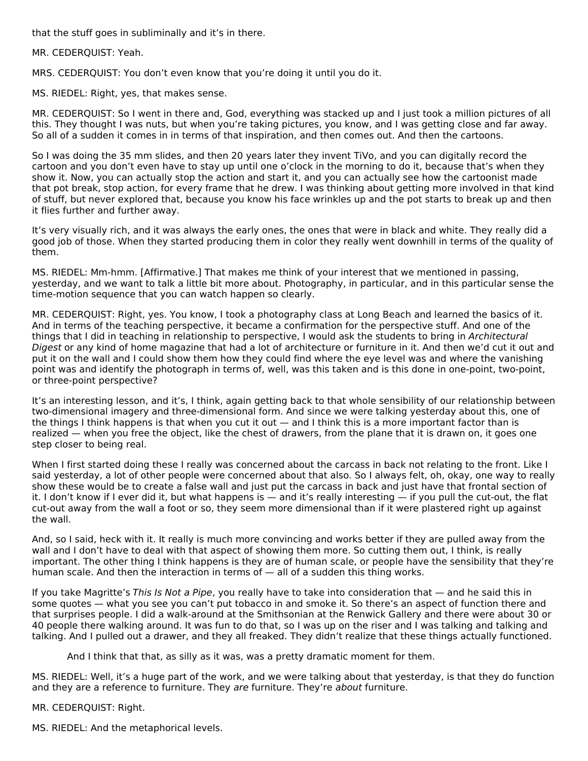that the stuff goes in subliminally and it's in there.

MR. CEDERQUIST: Yeah.

MRS. CEDERQUIST: You don't even know that you're doing it until you do it.

MS. RIEDEL: Right, yes, that makes sense.

MR. CEDERQUIST: So I went in there and, God, everything was stacked up and I just took a million pictures of all this. They thought I was nuts, but when you're taking pictures, you know, and I was getting close and far away. So all of a sudden it comes in in terms of that inspiration, and then comes out. And then the cartoons.

So I was doing the 35 mm slides, and then 20 years later they invent TiVo, and you can digitally record the cartoon and you don't even have to stay up until one o'clock in the morning to do it, because that's when they show it. Now, you can actually stop the action and start it, and you can actually see how the cartoonist made that pot break, stop action, for every frame that he drew. I was thinking about getting more involved in that kind of stuff, but never explored that, because you know his face wrinkles up and the pot starts to break up and then it flies further and further away.

It's very visually rich, and it was always the early ones, the ones that were in black and white. They really did a good job of those. When they started producing them in color they really went downhill in terms of the quality of them.

MS. RIEDEL: Mm‑hmm. [Affirmative.] That makes me think of your interest that we mentioned in passing, yesterday, and we want to talk a little bit more about. Photography, in particular, and in this particular sense the time‑motion sequence that you can watch happen so clearly.

MR. CEDERQUIST: Right, yes. You know, I took a photography class at Long Beach and learned the basics of it. And in terms of the teaching perspective, it became a confirmation for the perspective stuff. And one of the things that I did in teaching in relationship to perspective, I would ask the students to bring in Architectural Digest or any kind of home magazine that had a lot of architecture or furniture in it. And then we'd cut it out and put it on the wall and I could show them how they could find where the eye level was and where the vanishing point was and identify the photograph in terms of, well, was this taken and is this done in one-point, two-point, or three-point perspective?

It's an interesting lesson, and it's, I think, again getting back to that whole sensibility of our relationship between two-dimensional imagery and three-dimensional form. And since we were talking yesterday about this, one of the things I think happens is that when you cut it out — and I think this is a more important factor than is realized — when you free the object, like the chest of drawers, from the plane that it is drawn on, it goes one step closer to being real.

When I first started doing these I really was concerned about the carcass in back not relating to the front. Like I said yesterday, a lot of other people were concerned about that also. So I always felt, oh, okay, one way to really show these would be to create a false wall and just put the carcass in back and just have that frontal section of it. I don't know if I ever did it, but what happens is — and it's really interesting — if you pull the cut-out, the flat cut‑out away from the wall a foot or so, they seem more dimensional than if it were plastered right up against the wall.

And, so I said, heck with it. It really is much more convincing and works better if they are pulled away from the wall and I don't have to deal with that aspect of showing them more. So cutting them out, I think, is really important. The other thing I think happens is they are of human scale, or people have the sensibility that they're human scale. And then the interaction in terms of — all of a sudden this thing works.

If you take Magritte's This Is Not a Pipe, you really have to take into consideration that — and he said this in some quotes — what you see you can't put tobacco in and smoke it. So there's an aspect of function there and that surprises people. I did a walk‑around at the Smithsonian at the Renwick Gallery and there were about 30 or 40 people there walking around. It was fun to do that, so I was up on the riser and I was talking and talking and talking. And I pulled out a drawer, and they all freaked. They didn't realize that these things actually functioned.

And I think that that, as silly as it was, was a pretty dramatic moment for them.

MS. RIEDEL: Well, it's a huge part of the work, and we were talking about that yesterday, is that they do function and they are a reference to furniture. They are furniture. They're about furniture.

MR. CEDERQUIST: Right.

MS. RIEDEL: And the metaphorical levels.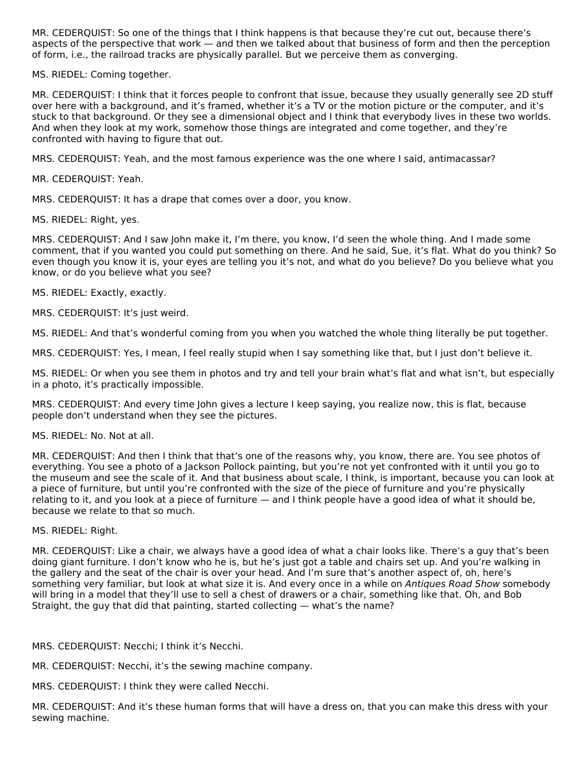MR. CEDERQUIST: So one of the things that I think happens is that because they're cut out, because there's aspects of the perspective that work — and then we talked about that business of form and then the perception of form, i.e., the railroad tracks are physically parallel. But we perceive them as converging.

MS. RIEDEL: Coming together.

MR. CEDERQUIST: I think that it forces people to confront that issue, because they usually generally see 2D stuff over here with a background, and it's framed, whether it's a TV or the motion picture or the computer, and it's stuck to that background. Or they see a dimensional object and I think that everybody lives in these two worlds. And when they look at my work, somehow those things are integrated and come together, and they're confronted with having to figure that out.

MRS. CEDERQUIST: Yeah, and the most famous experience was the one where I said, antimacassar?

MR. CEDERQUIST: Yeah.

MRS. CEDERQUIST: It has a drape that comes over a door, you know.

MS. RIEDEL: Right, yes.

MRS. CEDERQUIST: And I saw John make it, I'm there, you know, I'd seen the whole thing. And I made some comment, that if you wanted you could put something on there. And he said, Sue, it's flat. What do you think? So even though you know it is, your eyes are telling you it's not, and what do you believe? Do you believe what you know, or do you believe what you see?

MS. RIEDEL: Exactly, exactly.

MRS. CEDERQUIST: It's just weird.

MS. RIEDEL: And that's wonderful coming from you when you watched the whole thing literally be put together.

MRS. CEDERQUIST: Yes, I mean, I feel really stupid when I say something like that, but I just don't believe it.

MS. RIEDEL: Or when you see them in photos and try and tell your brain what's flat and what isn't, but especially in a photo, it's practically impossible.

MRS. CEDERQUIST: And every time John gives a lecture I keep saying, you realize now, this is flat, because people don't understand when they see the pictures.

MS. RIEDEL: No. Not at all.

MR. CEDERQUIST: And then I think that that's one of the reasons why, you know, there are. You see photos of everything. You see a photo of a Jackson Pollock painting, but you're not yet confronted with it until you go to the museum and see the scale of it. And that business about scale, I think, is important, because you can look at a piece of furniture, but until you're confronted with the size of the piece of furniture and you're physically relating to it, and you look at a piece of furniture — and I think people have a good idea of what it should be, because we relate to that so much.

#### MS. RIEDEL: Right.

MR. CEDERQUIST: Like a chair, we always have a good idea of what a chair looks like. There's a guy that's been doing giant furniture. I don't know who he is, but he's just got a table and chairs set up. And you're walking in the gallery and the seat of the chair is over your head. And I'm sure that's another aspect of, oh, here's something very familiar, but look at what size it is. And every once in a while on Antiques Road Show somebody will bring in a model that they'll use to sell a chest of drawers or a chair, something like that. Oh, and Bob Straight, the guy that did that painting, started collecting — what's the name?

MRS. CEDERQUIST: Necchi; I think it's Necchi.

MR. CEDERQUIST: Necchi, it's the sewing machine company.

MRS. CEDERQUIST: I think they were called Necchi.

MR. CEDERQUIST: And it's these human forms that will have a dress on, that you can make this dress with your sewing machine.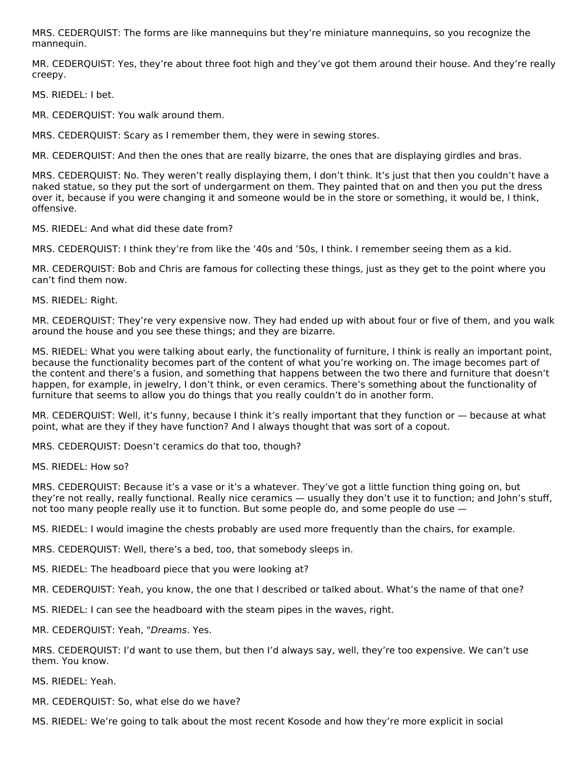MRS. CEDERQUIST: The forms are like mannequins but they're miniature mannequins, so you recognize the mannequin.

MR. CEDERQUIST: Yes, they're about three foot high and they've got them around their house. And they're really creepy.

MS. RIEDEL: I bet.

MR. CEDERQUIST: You walk around them.

MRS. CEDERQUIST: Scary as I remember them, they were in sewing stores.

MR. CEDERQUIST: And then the ones that are really bizarre, the ones that are displaying girdles and bras.

MRS. CEDERQUIST: No. They weren't really displaying them, I don't think. It's just that then you couldn't have a naked statue, so they put the sort of undergarment on them. They painted that on and then you put the dress over it, because if you were changing it and someone would be in the store or something, it would be, I think, offensive.

MS. RIEDEL: And what did these date from?

MRS. CEDERQUIST: I think they're from like the '40s and '50s, I think. I remember seeing them as a kid.

MR. CEDERQUIST: Bob and Chris are famous for collecting these things, just as they get to the point where you can't find them now.

MS. RIEDEL: Right.

MR. CEDERQUIST: They're very expensive now. They had ended up with about four or five of them, and you walk around the house and you see these things; and they are bizarre.

MS. RIEDEL: What you were talking about early, the functionality of furniture, I think is really an important point, because the functionality becomes part of the content of what you're working on. The image becomes part of the content and there's a fusion, and something that happens between the two there and furniture that doesn't happen, for example, in jewelry, I don't think, or even ceramics. There's something about the functionality of furniture that seems to allow you do things that you really couldn't do in another form.

MR. CEDERQUIST: Well, it's funny, because I think it's really important that they function or — because at what point, what are they if they have function? And I always thought that was sort of a copout.

MRS. CEDERQUIST: Doesn't ceramics do that too, though?

MS. RIEDEL: How so?

MRS. CEDERQUIST: Because it's a vase or it's a whatever. They've got a little function thing going on, but they're not really, really functional. Really nice ceramics — usually they don't use it to function; and John's stuff, not too many people really use it to function. But some people do, and some people do use —

MS. RIEDEL: I would imagine the chests probably are used more frequently than the chairs, for example.

MRS. CEDERQUIST: Well, there's a bed, too, that somebody sleeps in.

MS. RIEDEL: The headboard piece that you were looking at?

MR. CEDERQUIST: Yeah, you know, the one that I described or talked about. What's the name of that one?

MS. RIEDEL: I can see the headboard with the steam pipes in the waves, right.

MR. CEDERQUIST: Yeah, "Dreams. Yes.

MRS. CEDERQUIST: I'd want to use them, but then I'd always say, well, they're too expensive. We can't use them. You know.

MS. RIEDEL: Yeah.

MR. CEDERQUIST: So, what else do we have?

MS. RIEDEL: We're going to talk about the most recent Kosode and how they're more explicit in social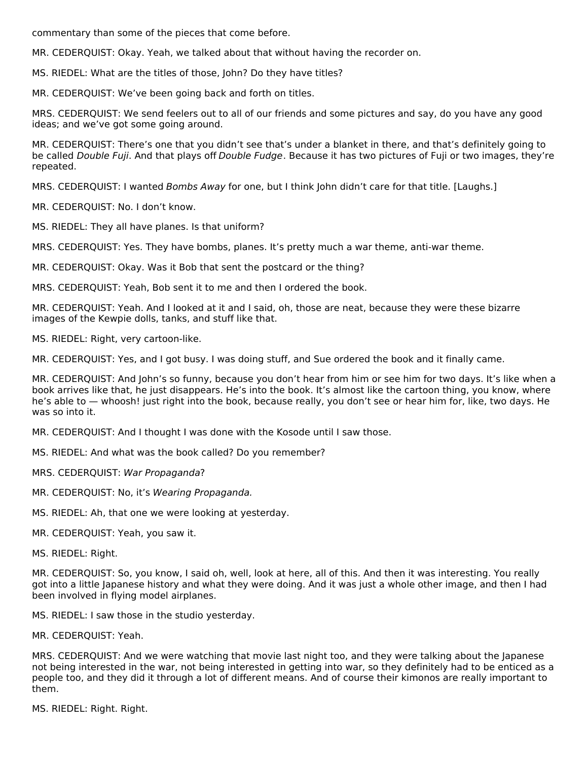commentary than some of the pieces that come before.

MR. CEDERQUIST: Okay. Yeah, we talked about that without having the recorder on.

MS. RIEDEL: What are the titles of those, John? Do they have titles?

MR. CEDERQUIST: We've been going back and forth on titles.

MRS. CEDERQUIST: We send feelers out to all of our friends and some pictures and say, do you have any good ideas; and we've got some going around.

MR. CEDERQUIST: There's one that you didn't see that's under a blanket in there, and that's definitely going to be called Double Fuji. And that plays off Double Fudge. Because it has two pictures of Fuji or two images, they're repeated.

MRS. CEDERQUIST: I wanted Bombs Away for one, but I think John didn't care for that title. [Laughs.]

MR. CEDERQUIST: No. I don't know.

MS. RIEDEL: They all have planes. Is that uniform?

MRS. CEDERQUIST: Yes. They have bombs, planes. It's pretty much a war theme, anti-war theme.

MR. CEDERQUIST: Okay. Was it Bob that sent the postcard or the thing?

MRS. CEDERQUIST: Yeah, Bob sent it to me and then I ordered the book.

MR. CEDERQUIST: Yeah. And I looked at it and I said, oh, those are neat, because they were these bizarre images of the Kewpie dolls, tanks, and stuff like that.

MS. RIEDEL: Right, very cartoon-like.

MR. CEDERQUIST: Yes, and I got busy. I was doing stuff, and Sue ordered the book and it finally came.

MR. CEDERQUIST: And John's so funny, because you don't hear from him or see him for two days. It's like when a book arrives like that, he just disappears. He's into the book. It's almost like the cartoon thing, you know, where he's able to — whoosh! just right into the book, because really, you don't see or hear him for, like, two days. He was so into it.

MR. CEDERQUIST: And I thought I was done with the Kosode until I saw those.

MS. RIEDEL: And what was the book called? Do you remember?

MRS. CEDERQUIST: War Propaganda?

MR. CEDERQUIST: No, it's Wearing Propaganda.

MS. RIEDEL: Ah, that one we were looking at yesterday.

MR. CEDERQUIST: Yeah, you saw it.

MS. RIEDEL: Right.

MR. CEDERQUIST: So, you know, I said oh, well, look at here, all of this. And then it was interesting. You really got into a little Japanese history and what they were doing. And it was just a whole other image, and then I had been involved in flying model airplanes.

MS. RIEDEL: I saw those in the studio yesterday.

MR. CEDERQUIST: Yeah.

MRS. CEDERQUIST: And we were watching that movie last night too, and they were talking about the Japanese not being interested in the war, not being interested in getting into war, so they definitely had to be enticed as a people too, and they did it through a lot of different means. And of course their kimonos are really important to them.

MS. RIEDEL: Right. Right.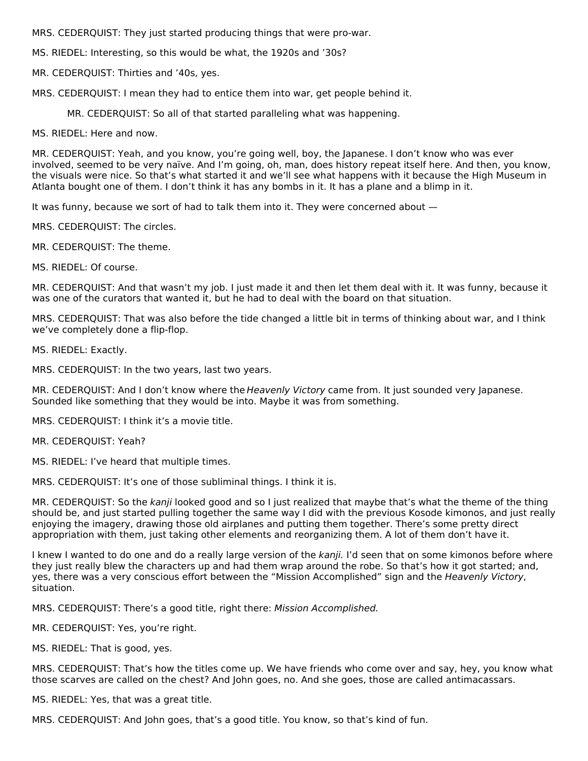MRS. CEDERQUIST: They just started producing things that were pro‑war.

MS. RIEDEL: Interesting, so this would be what, the 1920s and '30s?

MR. CEDERQUIST: Thirties and '40s, yes.

MRS. CEDERQUIST: I mean they had to entice them into war, get people behind it.

MR. CEDERQUIST: So all of that started paralleling what was happening.

MS. RIEDEL: Here and now.

MR. CEDERQUIST: Yeah, and you know, you're going well, boy, the Japanese. I don't know who was ever involved, seemed to be very naïve. And I'm going, oh, man, does history repeat itself here. And then, you know, the visuals were nice. So that's what started it and we'll see what happens with it because the High Museum in Atlanta bought one of them. I don't think it has any bombs in it. It has a plane and a blimp in it.

It was funny, because we sort of had to talk them into it. They were concerned about —

MRS. CEDERQUIST: The circles.

MR. CEDERQUIST: The theme.

MS. RIEDEL: Of course.

MR. CEDERQUIST: And that wasn't my job. I just made it and then let them deal with it. It was funny, because it was one of the curators that wanted it, but he had to deal with the board on that situation.

MRS. CEDERQUIST: That was also before the tide changed a little bit in terms of thinking about war, and I think we've completely done a flip-flop.

MS. RIEDEL: Exactly.

MRS. CEDERQUIST: In the two years, last two years.

MR. CEDERQUIST: And I don't know where the Heavenly Victory came from. It just sounded very Japanese. Sounded like something that they would be into. Maybe it was from something.

MRS. CEDERQUIST: I think it's a movie title.

MR. CEDERQUIST: Yeah?

MS. RIEDEL: I've heard that multiple times.

MRS. CEDERQUIST: It's one of those subliminal things. I think it is.

MR. CEDERQUIST: So the kanji looked good and so I just realized that maybe that's what the theme of the thing should be, and just started pulling together the same way I did with the previous Kosode kimonos, and just really enjoying the imagery, drawing those old airplanes and putting them together. There's some pretty direct appropriation with them, just taking other elements and reorganizing them. A lot of them don't have it.

I knew I wanted to do one and do a really large version of the kanji. I'd seen that on some kimonos before where they just really blew the characters up and had them wrap around the robe. So that's how it got started; and, yes, there was a very conscious effort between the "Mission Accomplished" sign and the Heavenly Victory, situation.

MRS. CEDERQUIST: There's a good title, right there: Mission Accomplished.

MR. CEDERQUIST: Yes, you're right.

MS. RIEDEL: That is good, yes.

MRS. CEDERQUIST: That's how the titles come up. We have friends who come over and say, hey, you know what those scarves are called on the chest? And John goes, no. And she goes, those are called antimacassars.

MS. RIEDEL: Yes, that was a great title.

MRS. CEDERQUIST: And John goes, that's a good title. You know, so that's kind of fun.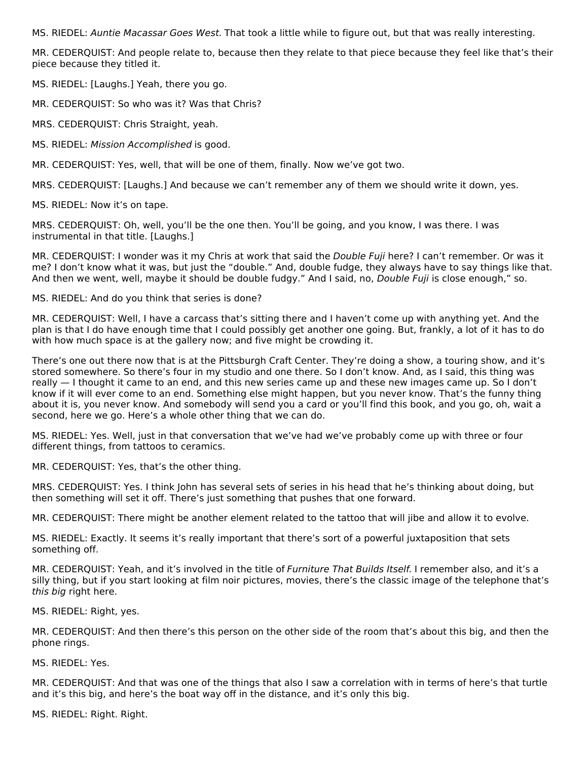MS. RIEDEL: Auntie Macassar Goes West. That took a little while to figure out, but that was really interesting.

MR. CEDERQUIST: And people relate to, because then they relate to that piece because they feel like that's their piece because they titled it.

MS. RIEDEL: [Laughs.] Yeah, there you go.

MR. CEDERQUIST: So who was it? Was that Chris?

MRS. CEDERQUIST: Chris Straight, yeah.

MS. RIEDEL: Mission Accomplished is good.

MR. CEDERQUIST: Yes, well, that will be one of them, finally. Now we've got two.

MRS. CEDERQUIST: [Laughs.] And because we can't remember any of them we should write it down, yes.

MS. RIEDEL: Now it's on tape.

MRS. CEDERQUIST: Oh, well, you'll be the one then. You'll be going, and you know, I was there. I was instrumental in that title. [Laughs.]

MR. CEDERQUIST: I wonder was it my Chris at work that said the *Double Fuji* here? I can't remember. Or was it me? I don't know what it was, but just the "double." And, double fudge, they always have to say things like that. And then we went, well, maybe it should be double fudgy." And I said, no, Double Fuji is close enough," so.

MS. RIEDEL: And do you think that series is done?

MR. CEDERQUIST: Well, I have a carcass that's sitting there and I haven't come up with anything yet. And the plan is that I do have enough time that I could possibly get another one going. But, frankly, a lot of it has to do with how much space is at the gallery now; and five might be crowding it.

There's one out there now that is at the Pittsburgh Craft Center. They're doing a show, a touring show, and it's stored somewhere. So there's four in my studio and one there. So I don't know. And, as I said, this thing was really — I thought it came to an end, and this new series came up and these new images came up. So I don't know if it will ever come to an end. Something else might happen, but you never know. That's the funny thing about it is, you never know. And somebody will send you a card or you'll find this book, and you go, oh, wait a second, here we go. Here's a whole other thing that we can do.

MS. RIEDEL: Yes. Well, just in that conversation that we've had we've probably come up with three or four different things, from tattoos to ceramics.

MR. CEDERQUIST: Yes, that's the other thing.

MRS. CEDERQUIST: Yes. I think John has several sets of series in his head that he's thinking about doing, but then something will set it off. There's just something that pushes that one forward.

MR. CEDERQUIST: There might be another element related to the tattoo that will jibe and allow it to evolve.

MS. RIEDEL: Exactly. It seems it's really important that there's sort of a powerful juxtaposition that sets something off.

MR. CEDERQUIST: Yeah, and it's involved in the title of Furniture That Builds Itself. I remember also, and it's a silly thing, but if you start looking at film noir pictures, movies, there's the classic image of the telephone that's this big right here.

MS. RIEDEL: Right, yes.

MR. CEDERQUIST: And then there's this person on the other side of the room that's about this big, and then the phone rings.

MS. RIEDEL: Yes.

MR. CEDERQUIST: And that was one of the things that also I saw a correlation with in terms of here's that turtle and it's this big, and here's the boat way off in the distance, and it's only this big.

MS. RIEDEL: Right. Right.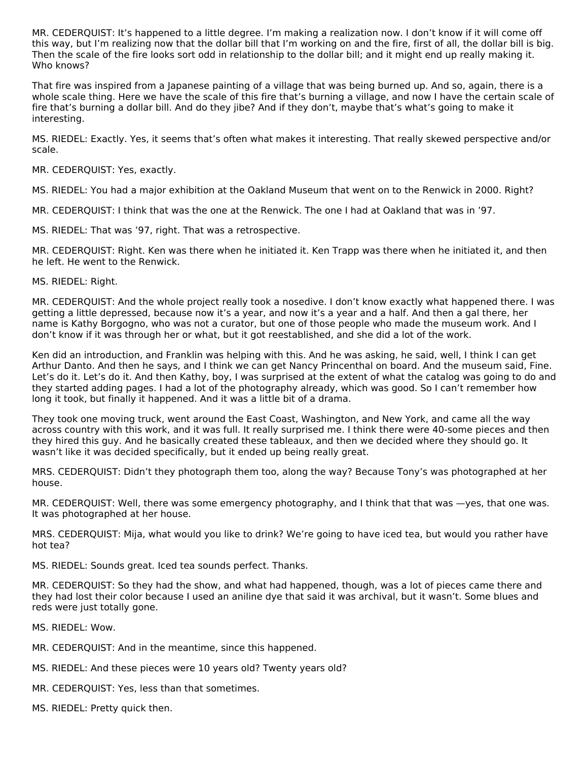MR. CEDERQUIST: It's happened to a little degree. I'm making a realization now. I don't know if it will come off this way, but I'm realizing now that the dollar bill that I'm working on and the fire, first of all, the dollar bill is big. Then the scale of the fire looks sort odd in relationship to the dollar bill; and it might end up really making it. Who knows?

That fire was inspired from a Japanese painting of a village that was being burned up. And so, again, there is a whole scale thing. Here we have the scale of this fire that's burning a village, and now I have the certain scale of fire that's burning a dollar bill. And do they jibe? And if they don't, maybe that's what's going to make it interesting.

MS. RIEDEL: Exactly. Yes, it seems that's often what makes it interesting. That really skewed perspective and/or scale.

MR. CEDERQUIST: Yes, exactly.

MS. RIEDEL: You had a major exhibition at the Oakland Museum that went on to the Renwick in 2000. Right?

MR. CEDERQUIST: I think that was the one at the Renwick. The one I had at Oakland that was in '97.

MS. RIEDEL: That was '97, right. That was a retrospective.

MR. CEDERQUIST: Right. Ken was there when he initiated it. Ken Trapp was there when he initiated it, and then he left. He went to the Renwick.

MS. RIEDEL: Right.

MR. CEDERQUIST: And the whole project really took a nosedive. I don't know exactly what happened there. I was getting a little depressed, because now it's a year, and now it's a year and a half. And then a gal there, her name is Kathy Borgogno, who was not a curator, but one of those people who made the museum work. And I don't know if it was through her or what, but it got reestablished, and she did a lot of the work.

Ken did an introduction, and Franklin was helping with this. And he was asking, he said, well, I think I can get Arthur Danto. And then he says, and I think we can get Nancy Princenthal on board. And the museum said, Fine. Let's do it. Let's do it. And then Kathy, boy, I was surprised at the extent of what the catalog was going to do and they started adding pages. I had a lot of the photography already, which was good. So I can't remember how long it took, but finally it happened. And it was a little bit of a drama.

They took one moving truck, went around the East Coast, Washington, and New York, and came all the way across country with this work, and it was full. It really surprised me. I think there were 40-some pieces and then they hired this guy. And he basically created these tableaux, and then we decided where they should go. It wasn't like it was decided specifically, but it ended up being really great.

MRS. CEDERQUIST: Didn't they photograph them too, along the way? Because Tony's was photographed at her house.

MR. CEDERQUIST: Well, there was some emergency photography, and I think that that was —yes, that one was. It was photographed at her house.

MRS. CEDERQUIST: Mija, what would you like to drink? We're going to have iced tea, but would you rather have hot tea?

MS. RIEDEL: Sounds great. Iced tea sounds perfect. Thanks.

MR. CEDERQUIST: So they had the show, and what had happened, though, was a lot of pieces came there and they had lost their color because I used an aniline dye that said it was archival, but it wasn't. Some blues and reds were just totally gone.

MS. RIEDEL: Wow.

MR. CEDERQUIST: And in the meantime, since this happened.

- MS. RIEDEL: And these pieces were 10 years old? Twenty years old?
- MR. CEDERQUIST: Yes, less than that sometimes.
- MS. RIEDEL: Pretty quick then.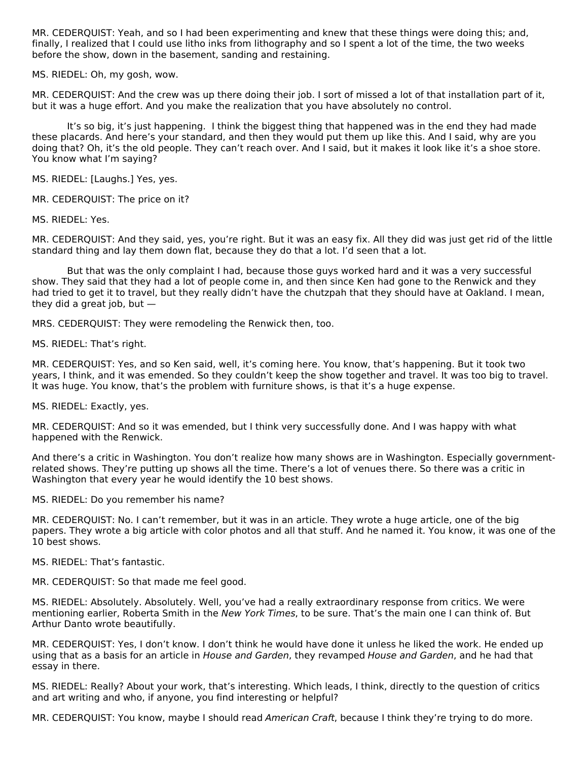MR. CEDERQUIST: Yeah, and so I had been experimenting and knew that these things were doing this; and, finally, I realized that I could use litho inks from lithography and so I spent a lot of the time, the two weeks before the show, down in the basement, sanding and restaining.

MS. RIEDEL: Oh, my gosh, wow.

MR. CEDERQUIST: And the crew was up there doing their job. I sort of missed a lot of that installation part of it, but it was a huge effort. And you make the realization that you have absolutely no control.

It's so big, it's just happening. I think the biggest thing that happened was in the end they had made these placards. And here's your standard, and then they would put them up like this. And I said, why are you doing that? Oh, it's the old people. They can't reach over. And I said, but it makes it look like it's a shoe store. You know what I'm saying?

MS. RIEDEL: [Laughs.] Yes, yes.

MR. CEDERQUIST: The price on it?

MS. RIEDEL: Yes.

MR. CEDERQUIST: And they said, yes, you're right. But it was an easy fix. All they did was just get rid of the little standard thing and lay them down flat, because they do that a lot. I'd seen that a lot.

But that was the only complaint I had, because those guys worked hard and it was a very successful show. They said that they had a lot of people come in, and then since Ken had gone to the Renwick and they had tried to get it to travel, but they really didn't have the chutzpah that they should have at Oakland. I mean, they did a great job, but —

MRS. CEDERQUIST: They were remodeling the Renwick then, too.

MS. RIEDEL: That's right.

MR. CEDERQUIST: Yes, and so Ken said, well, it's coming here. You know, that's happening. But it took two years, I think, and it was emended. So they couldn't keep the show together and travel. It was too big to travel. It was huge. You know, that's the problem with furniture shows, is that it's a huge expense.

MS. RIEDEL: Exactly, yes.

MR. CEDERQUIST: And so it was emended, but I think very successfully done. And I was happy with what happened with the Renwick.

And there's a critic in Washington. You don't realize how many shows are in Washington. Especially governmentrelated shows. They're putting up shows all the time. There's a lot of venues there. So there was a critic in Washington that every year he would identify the 10 best shows.

MS. RIEDEL: Do you remember his name?

MR. CEDERQUIST: No. I can't remember, but it was in an article. They wrote a huge article, one of the big papers. They wrote a big article with color photos and all that stuff. And he named it. You know, it was one of the 10 best shows.

MS. RIEDEL: That's fantastic.

MR. CEDERQUIST: So that made me feel good.

MS. RIEDEL: Absolutely. Absolutely. Well, you've had a really extraordinary response from critics. We were mentioning earlier, Roberta Smith in the New York Times, to be sure. That's the main one I can think of. But Arthur Danto wrote beautifully.

MR. CEDERQUIST: Yes, I don't know. I don't think he would have done it unless he liked the work. He ended up using that as a basis for an article in House and Garden, they revamped House and Garden, and he had that essay in there.

MS. RIEDEL: Really? About your work, that's interesting. Which leads, I think, directly to the question of critics and art writing and who, if anyone, you find interesting or helpful?

MR. CEDERQUIST: You know, maybe I should read American Craft, because I think they're trying to do more.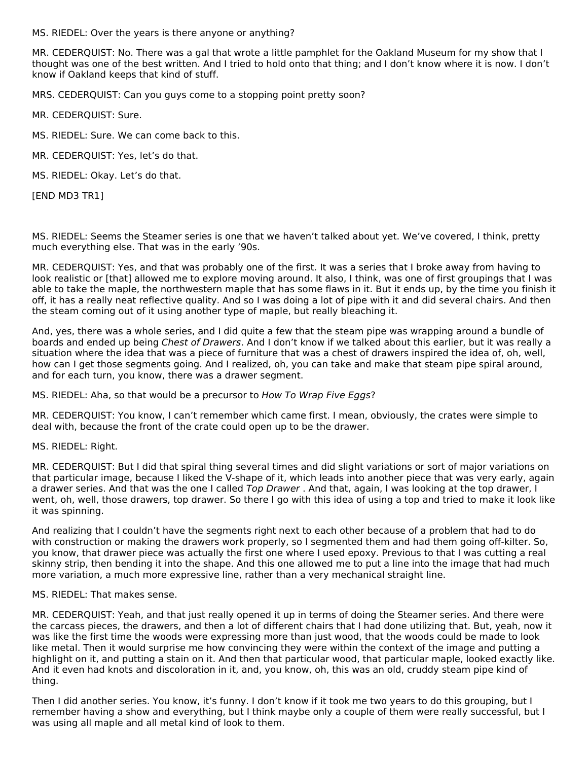MS. RIEDEL: Over the years is there anyone or anything?

MR. CEDERQUIST: No. There was a gal that wrote a little pamphlet for the Oakland Museum for my show that I thought was one of the best written. And I tried to hold onto that thing; and I don't know where it is now. I don't know if Oakland keeps that kind of stuff.

MRS. CEDERQUIST: Can you guys come to a stopping point pretty soon?

MR. CEDERQUIST: Sure.

MS. RIEDEL: Sure. We can come back to this.

MR. CEDERQUIST: Yes, let's do that.

MS. RIEDEL: Okay. Let's do that.

[END MD3 TR1]

MS. RIEDEL: Seems the Steamer series is one that we haven't talked about yet. We've covered, I think, pretty much everything else. That was in the early '90s.

MR. CEDERQUIST: Yes, and that was probably one of the first. It was a series that I broke away from having to look realistic or [that] allowed me to explore moving around. It also, I think, was one of first groupings that I was able to take the maple, the northwestern maple that has some flaws in it. But it ends up, by the time you finish it off, it has a really neat reflective quality. And so I was doing a lot of pipe with it and did several chairs. And then the steam coming out of it using another type of maple, but really bleaching it.

And, yes, there was a whole series, and I did quite a few that the steam pipe was wrapping around a bundle of boards and ended up being Chest of Drawers. And I don't know if we talked about this earlier, but it was really a situation where the idea that was a piece of furniture that was a chest of drawers inspired the idea of, oh, well, how can I get those segments going. And I realized, oh, you can take and make that steam pipe spiral around, and for each turn, you know, there was a drawer segment.

MS. RIEDEL: Aha, so that would be a precursor to How To Wrap Five Eggs?

MR. CEDERQUIST: You know, I can't remember which came first. I mean, obviously, the crates were simple to deal with, because the front of the crate could open up to be the drawer.

MS. RIEDEL: Right.

MR. CEDERQUIST: But I did that spiral thing several times and did slight variations or sort of major variations on that particular image, because I liked the V‑shape of it, which leads into another piece that was very early, again a drawer series. And that was the one I called Top Drawer . And that, again, I was looking at the top drawer, I went, oh, well, those drawers, top drawer. So there I go with this idea of using a top and tried to make it look like it was spinning.

And realizing that I couldn't have the segments right next to each other because of a problem that had to do with construction or making the drawers work properly, so I segmented them and had them going off-kilter. So, you know, that drawer piece was actually the first one where I used epoxy. Previous to that I was cutting a real skinny strip, then bending it into the shape. And this one allowed me to put a line into the image that had much more variation, a much more expressive line, rather than a very mechanical straight line.

#### MS. RIEDEL: That makes sense.

MR. CEDERQUIST: Yeah, and that just really opened it up in terms of doing the Steamer series. And there were the carcass pieces, the drawers, and then a lot of different chairs that I had done utilizing that. But, yeah, now it was like the first time the woods were expressing more than just wood, that the woods could be made to look like metal. Then it would surprise me how convincing they were within the context of the image and putting a highlight on it, and putting a stain on it. And then that particular wood, that particular maple, looked exactly like. And it even had knots and discoloration in it, and, you know, oh, this was an old, cruddy steam pipe kind of thing.

Then I did another series. You know, it's funny. I don't know if it took me two years to do this grouping, but I remember having a show and everything, but I think maybe only a couple of them were really successful, but I was using all maple and all metal kind of look to them.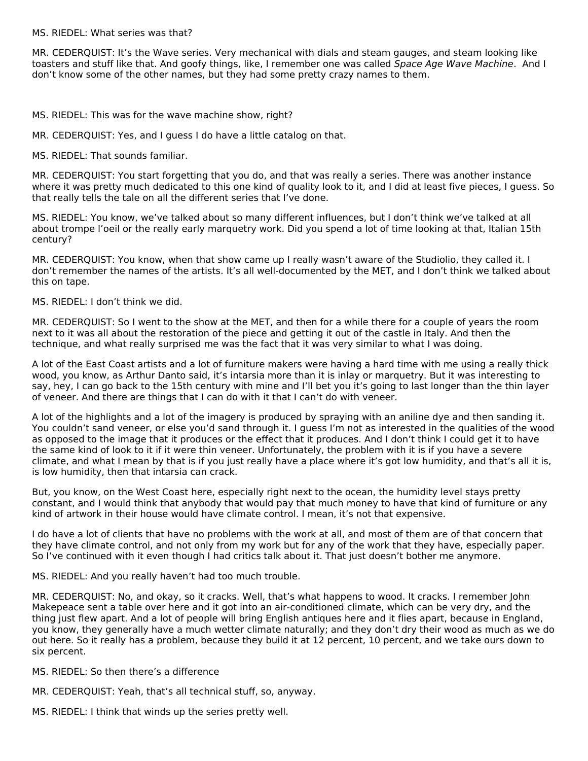MS. RIEDEL: What series was that?

MR. CEDERQUIST: It's the Wave series. Very mechanical with dials and steam gauges, and steam looking like toasters and stuff like that. And goofy things, like, I remember one was called Space Age Wave Machine. And I don't know some of the other names, but they had some pretty crazy names to them.

MS. RIEDEL: This was for the wave machine show, right?

MR. CEDERQUIST: Yes, and I guess I do have a little catalog on that.

MS. RIEDEL: That sounds familiar.

MR. CEDERQUIST: You start forgetting that you do, and that was really a series. There was another instance where it was pretty much dedicated to this one kind of quality look to it, and I did at least five pieces, I guess. So that really tells the tale on all the different series that I've done.

MS. RIEDEL: You know, we've talked about so many different influences, but I don't think we've talked at all about trompe l'oeil or the really early marquetry work. Did you spend a lot of time looking at that, Italian 15th century?

MR. CEDERQUIST: You know, when that show came up I really wasn't aware of the Studiolio, they called it. I don't remember the names of the artists. It's all well-documented by the MET, and I don't think we talked about this on tape.

MS. RIEDEL: I don't think we did.

MR. CEDERQUIST: So I went to the show at the MET, and then for a while there for a couple of years the room next to it was all about the restoration of the piece and getting it out of the castle in Italy. And then the technique, and what really surprised me was the fact that it was very similar to what I was doing.

A lot of the East Coast artists and a lot of furniture makers were having a hard time with me using a really thick wood, you know, as Arthur Danto said, it's intarsia more than it is inlay or marquetry. But it was interesting to say, hey, I can go back to the 15th century with mine and I'll bet you it's going to last longer than the thin layer of veneer. And there are things that I can do with it that I can't do with veneer.

A lot of the highlights and a lot of the imagery is produced by spraying with an aniline dye and then sanding it. You couldn't sand veneer, or else you'd sand through it. I guess I'm not as interested in the qualities of the wood as opposed to the image that it produces or the effect that it produces. And I don't think I could get it to have the same kind of look to it if it were thin veneer. Unfortunately, the problem with it is if you have a severe climate, and what I mean by that is if you just really have a place where it's got low humidity, and that's all it is, is low humidity, then that intarsia can crack.

But, you know, on the West Coast here, especially right next to the ocean, the humidity level stays pretty constant, and I would think that anybody that would pay that much money to have that kind of furniture or any kind of artwork in their house would have climate control. I mean, it's not that expensive.

I do have a lot of clients that have no problems with the work at all, and most of them are of that concern that they have climate control, and not only from my work but for any of the work that they have, especially paper. So I've continued with it even though I had critics talk about it. That just doesn't bother me anymore.

MS. RIEDEL: And you really haven't had too much trouble.

MR. CEDERQUIST: No, and okay, so it cracks. Well, that's what happens to wood. It cracks. I remember John Makepeace sent a table over here and it got into an air‑conditioned climate, which can be very dry, and the thing just flew apart. And a lot of people will bring English antiques here and it flies apart, because in England, you know, they generally have a much wetter climate naturally; and they don't dry their wood as much as we do out here. So it really has a problem, because they build it at 12 percent, 10 percent, and we take ours down to six percent.

MS. RIEDEL: So then there's a difference

MR. CEDERQUIST: Yeah, that's all technical stuff, so, anyway.

MS. RIEDEL: I think that winds up the series pretty well.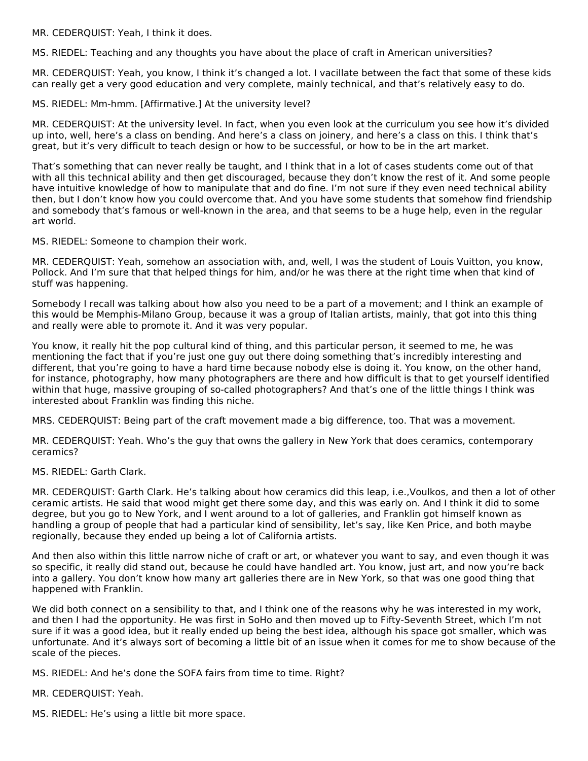MR. CEDERQUIST: Yeah, I think it does.

MS. RIEDEL: Teaching and any thoughts you have about the place of craft in American universities?

MR. CEDERQUIST: Yeah, you know, I think it's changed a lot. I vacillate between the fact that some of these kids can really get a very good education and very complete, mainly technical, and that's relatively easy to do.

MS. RIEDEL: Mm‑hmm. [Affirmative.] At the university level?

MR. CEDERQUIST: At the university level. In fact, when you even look at the curriculum you see how it's divided up into, well, here's a class on bending. And here's a class on joinery, and here's a class on this. I think that's great, but it's very difficult to teach design or how to be successful, or how to be in the art market.

That's something that can never really be taught, and I think that in a lot of cases students come out of that with all this technical ability and then get discouraged, because they don't know the rest of it. And some people have intuitive knowledge of how to manipulate that and do fine. I'm not sure if they even need technical ability then, but I don't know how you could overcome that. And you have some students that somehow find friendship and somebody that's famous or well-known in the area, and that seems to be a huge help, even in the regular art world.

MS. RIEDEL: Someone to champion their work.

MR. CEDERQUIST: Yeah, somehow an association with, and, well, I was the student of Louis Vuitton, you know, Pollock. And I'm sure that that helped things for him, and/or he was there at the right time when that kind of stuff was happening.

Somebody I recall was talking about how also you need to be a part of a movement; and I think an example of this would be Memphis-Milano Group, because it was a group of Italian artists, mainly, that got into this thing and really were able to promote it. And it was very popular.

You know, it really hit the pop cultural kind of thing, and this particular person, it seemed to me, he was mentioning the fact that if you're just one guy out there doing something that's incredibly interesting and different, that you're going to have a hard time because nobody else is doing it. You know, on the other hand, for instance, photography, how many photographers are there and how difficult is that to get yourself identified within that huge, massive grouping of so-called photographers? And that's one of the little things I think was interested about Franklin was finding this niche.

MRS. CEDERQUIST: Being part of the craft movement made a big difference, too. That was a movement.

MR. CEDERQUIST: Yeah. Who's the guy that owns the gallery in New York that does ceramics, contemporary ceramics?

MS. RIEDEL: Garth Clark.

MR. CEDERQUIST: Garth Clark. He's talking about how ceramics did this leap, i.e.,Voulkos, and then a lot of other ceramic artists. He said that wood might get there some day, and this was early on. And I think it did to some degree, but you go to New York, and I went around to a lot of galleries, and Franklin got himself known as handling a group of people that had a particular kind of sensibility, let's say, like Ken Price, and both maybe regionally, because they ended up being a lot of California artists.

And then also within this little narrow niche of craft or art, or whatever you want to say, and even though it was so specific, it really did stand out, because he could have handled art. You know, just art, and now you're back into a gallery. You don't know how many art galleries there are in New York, so that was one good thing that happened with Franklin.

We did both connect on a sensibility to that, and I think one of the reasons why he was interested in my work, and then I had the opportunity. He was first in SoHo and then moved up to Fifty-Seventh Street, which I'm not sure if it was a good idea, but it really ended up being the best idea, although his space got smaller, which was unfortunate. And it's always sort of becoming a little bit of an issue when it comes for me to show because of the scale of the pieces.

MS. RIEDEL: And he's done the SOFA fairs from time to time. Right?

MR. CEDERQUIST: Yeah.

MS. RIEDEL: He's using a little bit more space.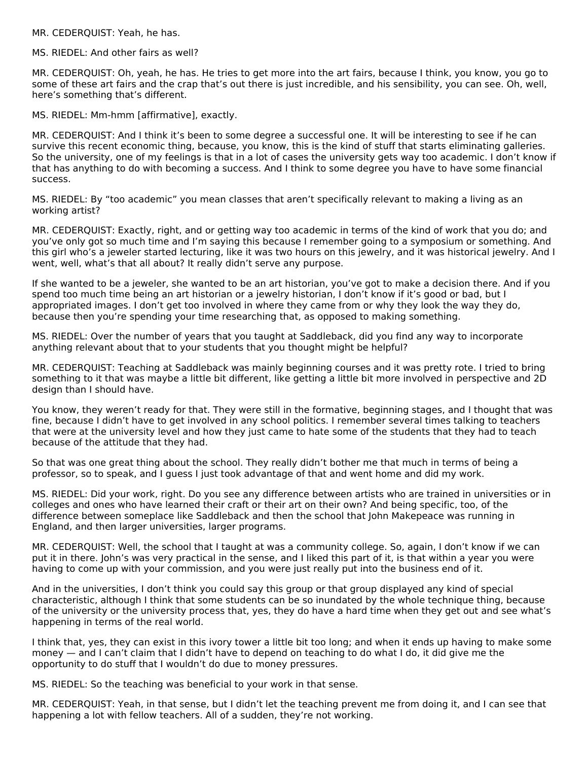MR. CEDERQUIST: Yeah, he has.

MS. RIEDEL: And other fairs as well?

MR. CEDERQUIST: Oh, yeah, he has. He tries to get more into the art fairs, because I think, you know, you go to some of these art fairs and the crap that's out there is just incredible, and his sensibility, you can see. Oh, well, here's something that's different.

MS. RIEDEL: Mm‑hmm [affirmative], exactly.

MR. CEDERQUIST: And I think it's been to some degree a successful one. It will be interesting to see if he can survive this recent economic thing, because, you know, this is the kind of stuff that starts eliminating galleries. So the university, one of my feelings is that in a lot of cases the university gets way too academic. I don't know if that has anything to do with becoming a success. And I think to some degree you have to have some financial success.

MS. RIEDEL: By "too academic" you mean classes that aren't specifically relevant to making a living as an working artist?

MR. CEDERQUIST: Exactly, right, and or getting way too academic in terms of the kind of work that you do; and you've only got so much time and I'm saying this because I remember going to a symposium or something. And this girl who's a jeweler started lecturing, like it was two hours on this jewelry, and it was historical jewelry. And I went, well, what's that all about? It really didn't serve any purpose.

If she wanted to be a jeweler, she wanted to be an art historian, you've got to make a decision there. And if you spend too much time being an art historian or a jewelry historian, I don't know if it's good or bad, but I appropriated images. I don't get too involved in where they came from or why they look the way they do, because then you're spending your time researching that, as opposed to making something.

MS. RIEDEL: Over the number of years that you taught at Saddleback, did you find any way to incorporate anything relevant about that to your students that you thought might be helpful?

MR. CEDERQUIST: Teaching at Saddleback was mainly beginning courses and it was pretty rote. I tried to bring something to it that was maybe a little bit different, like getting a little bit more involved in perspective and 2D design than I should have.

You know, they weren't ready for that. They were still in the formative, beginning stages, and I thought that was fine, because I didn't have to get involved in any school politics. I remember several times talking to teachers that were at the university level and how they just came to hate some of the students that they had to teach because of the attitude that they had.

So that was one great thing about the school. They really didn't bother me that much in terms of being a professor, so to speak, and I guess I just took advantage of that and went home and did my work.

MS. RIEDEL: Did your work, right. Do you see any difference between artists who are trained in universities or in colleges and ones who have learned their craft or their art on their own? And being specific, too, of the difference between someplace like Saddleback and then the school that John Makepeace was running in England, and then larger universities, larger programs.

MR. CEDERQUIST: Well, the school that I taught at was a community college. So, again, I don't know if we can put it in there. John's was very practical in the sense, and I liked this part of it, is that within a year you were having to come up with your commission, and you were just really put into the business end of it.

And in the universities, I don't think you could say this group or that group displayed any kind of special characteristic, although I think that some students can be so inundated by the whole technique thing, because of the university or the university process that, yes, they do have a hard time when they get out and see what's happening in terms of the real world.

I think that, yes, they can exist in this ivory tower a little bit too long; and when it ends up having to make some money — and I can't claim that I didn't have to depend on teaching to do what I do, it did give me the opportunity to do stuff that I wouldn't do due to money pressures.

MS. RIEDEL: So the teaching was beneficial to your work in that sense.

MR. CEDERQUIST: Yeah, in that sense, but I didn't let the teaching prevent me from doing it, and I can see that happening a lot with fellow teachers. All of a sudden, they're not working.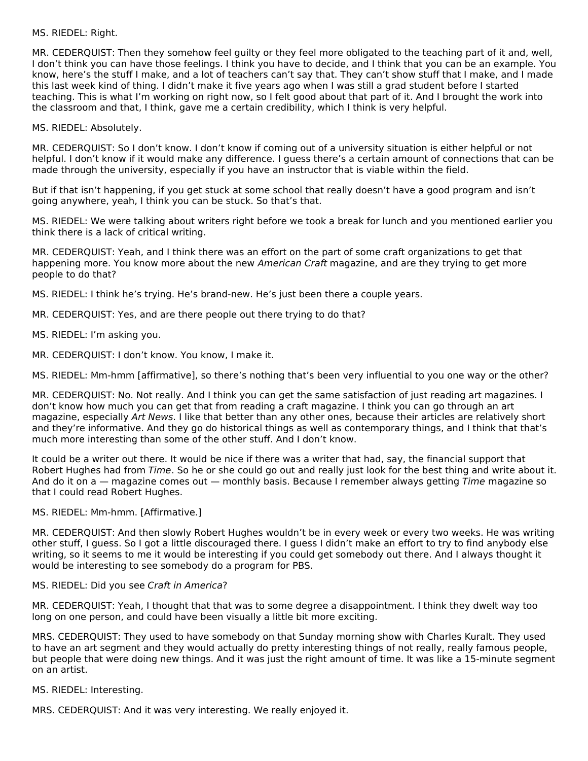#### MS. RIEDEL: Right.

MR. CEDERQUIST: Then they somehow feel guilty or they feel more obligated to the teaching part of it and, well, I don't think you can have those feelings. I think you have to decide, and I think that you can be an example. You know, here's the stuff I make, and a lot of teachers can't say that. They can't show stuff that I make, and I made this last week kind of thing. I didn't make it five years ago when I was still a grad student before I started teaching. This is what I'm working on right now, so I felt good about that part of it. And I brought the work into the classroom and that, I think, gave me a certain credibility, which I think is very helpful.

MS. RIEDEL: Absolutely.

MR. CEDERQUIST: So I don't know. I don't know if coming out of a university situation is either helpful or not helpful. I don't know if it would make any difference. I guess there's a certain amount of connections that can be made through the university, especially if you have an instructor that is viable within the field.

But if that isn't happening, if you get stuck at some school that really doesn't have a good program and isn't going anywhere, yeah, I think you can be stuck. So that's that.

MS. RIEDEL: We were talking about writers right before we took a break for lunch and you mentioned earlier you think there is a lack of critical writing.

MR. CEDERQUIST: Yeah, and I think there was an effort on the part of some craft organizations to get that happening more. You know more about the new American Craft magazine, and are they trying to get more people to do that?

MS. RIEDEL: I think he's trying. He's brand-new. He's just been there a couple years.

- MR. CEDERQUIST: Yes, and are there people out there trying to do that?
- MS. RIEDEL: I'm asking you.
- MR. CEDERQUIST: I don't know. You know, I make it.

MS. RIEDEL: Mm‑hmm [affirmative], so there's nothing that's been very influential to you one way or the other?

MR. CEDERQUIST: No. Not really. And I think you can get the same satisfaction of just reading art magazines. I don't know how much you can get that from reading a craft magazine. I think you can go through an art magazine, especially Art News. I like that better than any other ones, because their articles are relatively short and they're informative. And they go do historical things as well as contemporary things, and I think that that's much more interesting than some of the other stuff. And I don't know.

It could be a writer out there. It would be nice if there was a writer that had, say, the financial support that Robert Hughes had from Time. So he or she could go out and really just look for the best thing and write about it. And do it on a — magazine comes out — monthly basis. Because I remember always getting  $\overline{T}$ ime magazine so that I could read Robert Hughes.

#### MS. RIEDEL: Mm‑hmm. [Affirmative.]

MR. CEDERQUIST: And then slowly Robert Hughes wouldn't be in every week or every two weeks. He was writing other stuff, I guess. So I got a little discouraged there. I guess I didn't make an effort to try to find anybody else writing, so it seems to me it would be interesting if you could get somebody out there. And I always thought it would be interesting to see somebody do a program for PBS.

#### MS. RIEDEL: Did you see Craft in America?

MR. CEDERQUIST: Yeah, I thought that that was to some degree a disappointment. I think they dwelt way too long on one person, and could have been visually a little bit more exciting.

MRS. CEDERQUIST: They used to have somebody on that Sunday morning show with Charles Kuralt. They used to have an art segment and they would actually do pretty interesting things of not really, really famous people, but people that were doing new things. And it was just the right amount of time. It was like a 15‑minute segment on an artist.

MS. RIEDEL: Interesting.

MRS. CEDERQUIST: And it was very interesting. We really enjoyed it.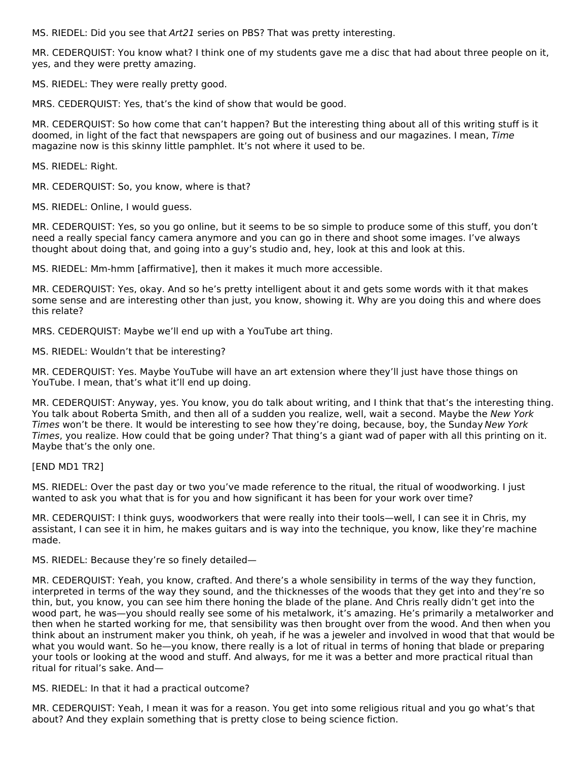MS. RIEDEL: Did you see that Art21 series on PBS? That was pretty interesting.

MR. CEDERQUIST: You know what? I think one of my students gave me a disc that had about three people on it, yes, and they were pretty amazing.

MS. RIEDEL: They were really pretty good.

MRS. CEDERQUIST: Yes, that's the kind of show that would be good.

MR. CEDERQUIST: So how come that can't happen? But the interesting thing about all of this writing stuff is it doomed, in light of the fact that newspapers are going out of business and our magazines. I mean, Time magazine now is this skinny little pamphlet. It's not where it used to be.

MS. RIEDEL: Right.

MR. CEDERQUIST: So, you know, where is that?

MS. RIEDEL: Online, I would guess.

MR. CEDERQUIST: Yes, so you go online, but it seems to be so simple to produce some of this stuff, you don't need a really special fancy camera anymore and you can go in there and shoot some images. I've always thought about doing that, and going into a guy's studio and, hey, look at this and look at this.

MS. RIEDEL: Mm‑hmm [affirmative], then it makes it much more accessible.

MR. CEDERQUIST: Yes, okay. And so he's pretty intelligent about it and gets some words with it that makes some sense and are interesting other than just, you know, showing it. Why are you doing this and where does this relate?

MRS. CEDERQUIST: Maybe we'll end up with a YouTube art thing.

MS. RIEDEL: Wouldn't that be interesting?

MR. CEDERQUIST: Yes. Maybe YouTube will have an art extension where they'll just have those things on YouTube. I mean, that's what it'll end up doing.

MR. CEDERQUIST: Anyway, yes. You know, you do talk about writing, and I think that that's the interesting thing. You talk about Roberta Smith, and then all of a sudden you realize, well, wait a second. Maybe the New York Times won't be there. It would be interesting to see how they're doing, because, boy, the Sunday New York Times, you realize. How could that be going under? That thing's a giant wad of paper with all this printing on it. Maybe that's the only one.

[END MD1 TR2]

MS. RIEDEL: Over the past day or two you've made reference to the ritual, the ritual of woodworking. I just wanted to ask you what that is for you and how significant it has been for your work over time?

MR. CEDERQUIST: I think guys, woodworkers that were really into their tools—well, I can see it in Chris, my assistant, I can see it in him, he makes guitars and is way into the technique, you know, like they're machine made.

MS. RIEDEL: Because they're so finely detailed—

MR. CEDERQUIST: Yeah, you know, crafted. And there's a whole sensibility in terms of the way they function, interpreted in terms of the way they sound, and the thicknesses of the woods that they get into and they're so thin, but, you know, you can see him there honing the blade of the plane. And Chris really didn't get into the wood part, he was—you should really see some of his metalwork, it's amazing. He's primarily a metalworker and then when he started working for me, that sensibility was then brought over from the wood. And then when you think about an instrument maker you think, oh yeah, if he was a jeweler and involved in wood that that would be what you would want. So he—you know, there really is a lot of ritual in terms of honing that blade or preparing your tools or looking at the wood and stuff. And always, for me it was a better and more practical ritual than ritual for ritual's sake. And—

MS. RIEDEL: In that it had a practical outcome?

MR. CEDERQUIST: Yeah, I mean it was for a reason. You get into some religious ritual and you go what's that about? And they explain something that is pretty close to being science fiction.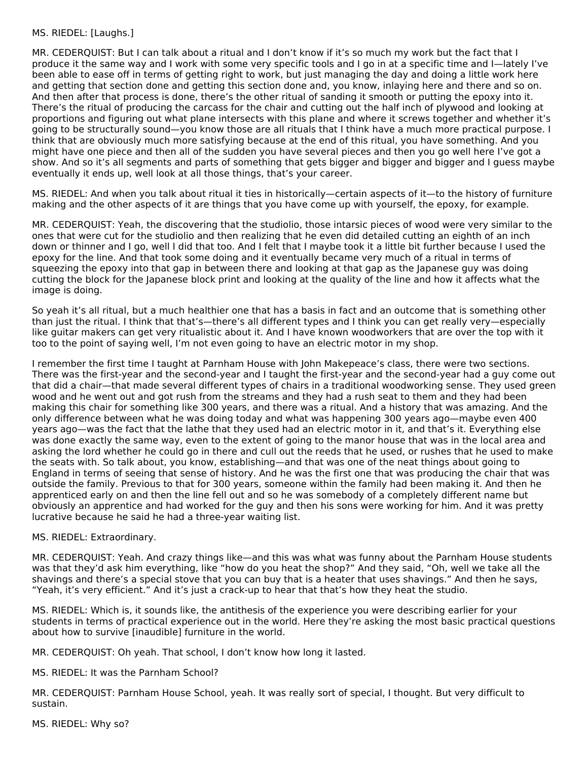#### MS. RIEDEL: [Laughs.]

MR. CEDERQUIST: But I can talk about a ritual and I don't know if it's so much my work but the fact that I produce it the same way and I work with some very specific tools and I go in at a specific time and I—lately I've been able to ease off in terms of getting right to work, but just managing the day and doing a little work here and getting that section done and getting this section done and, you know, inlaying here and there and so on. And then after that process is done, there's the other ritual of sanding it smooth or putting the epoxy into it. There's the ritual of producing the carcass for the chair and cutting out the half inch of plywood and looking at proportions and figuring out what plane intersects with this plane and where it screws together and whether it's going to be structurally sound—you know those are all rituals that I think have a much more practical purpose. I think that are obviously much more satisfying because at the end of this ritual, you have something. And you might have one piece and then all of the sudden you have several pieces and then you go well here I've got a show. And so it's all segments and parts of something that gets bigger and bigger and bigger and I guess maybe eventually it ends up, well look at all those things, that's your career.

MS. RIEDEL: And when you talk about ritual it ties in historically—certain aspects of it—to the history of furniture making and the other aspects of it are things that you have come up with yourself, the epoxy, for example.

MR. CEDERQUIST: Yeah, the discovering that the studiolio, those intarsic pieces of wood were very similar to the ones that were cut for the studiolio and then realizing that he even did detailed cutting an eighth of an inch down or thinner and I go, well I did that too. And I felt that I maybe took it a little bit further because I used the epoxy for the line. And that took some doing and it eventually became very much of a ritual in terms of squeezing the epoxy into that gap in between there and looking at that gap as the Japanese guy was doing cutting the block for the Japanese block print and looking at the quality of the line and how it affects what the image is doing.

So yeah it's all ritual, but a much healthier one that has a basis in fact and an outcome that is something other than just the ritual. I think that that's—there's all different types and I think you can get really very—especially like guitar makers can get very ritualistic about it. And I have known woodworkers that are over the top with it too to the point of saying well, I'm not even going to have an electric motor in my shop.

I remember the first time I taught at Parnham House with John Makepeace's class, there were two sections. There was the first-year and the second-year and I taught the first-year and the second-year had a guy come out that did a chair—that made several different types of chairs in a traditional woodworking sense. They used green wood and he went out and got rush from the streams and they had a rush seat to them and they had been making this chair for something like 300 years, and there was a ritual. And a history that was amazing. And the only difference between what he was doing today and what was happening 300 years ago—maybe even 400 years ago—was the fact that the lathe that they used had an electric motor in it, and that's it. Everything else was done exactly the same way, even to the extent of going to the manor house that was in the local area and asking the lord whether he could go in there and cull out the reeds that he used, or rushes that he used to make the seats with. So talk about, you know, establishing—and that was one of the neat things about going to England in terms of seeing that sense of history. And he was the first one that was producing the chair that was outside the family. Previous to that for 300 years, someone within the family had been making it. And then he apprenticed early on and then the line fell out and so he was somebody of a completely different name but obviously an apprentice and had worked for the guy and then his sons were working for him. And it was pretty lucrative because he said he had a three-year waiting list.

#### MS. RIEDEL: Extraordinary.

MR. CEDERQUIST: Yeah. And crazy things like—and this was what was funny about the Parnham House students was that they'd ask him everything, like "how do you heat the shop?" And they said, "Oh, well we take all the shavings and there's a special stove that you can buy that is a heater that uses shavings." And then he says, "Yeah, it's very efficient." And it's just a crack-up to hear that that's how they heat the studio.

MS. RIEDEL: Which is, it sounds like, the antithesis of the experience you were describing earlier for your students in terms of practical experience out in the world. Here they're asking the most basic practical questions about how to survive [inaudible] furniture in the world.

MR. CEDERQUIST: Oh yeah. That school, I don't know how long it lasted.

MS. RIEDEL: It was the Parnham School?

MR. CEDERQUIST: Parnham House School, yeah. It was really sort of special, I thought. But very difficult to sustain.